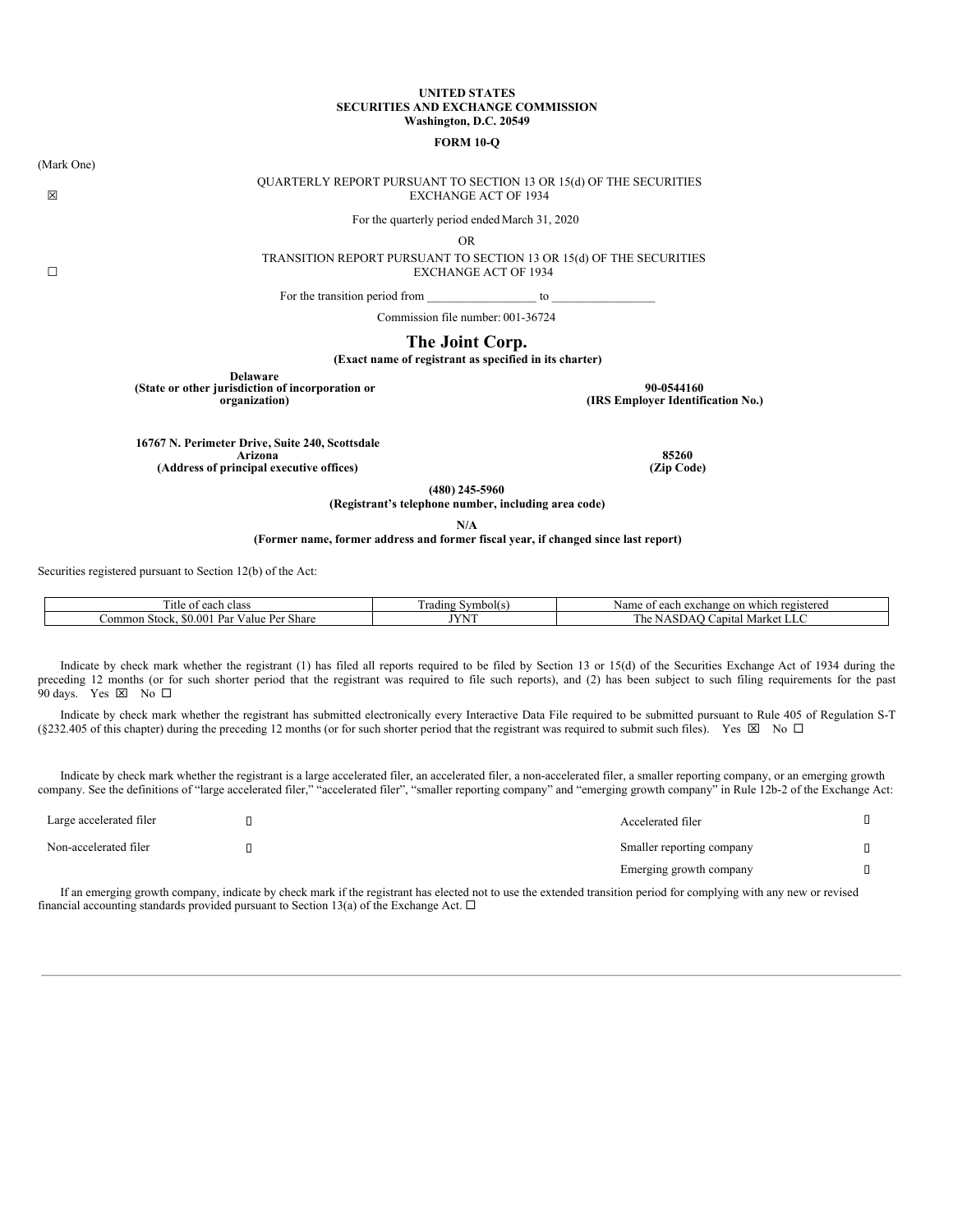## **UNITED STATES SECURITIES AND EXCHANGE COMMISSION Washington, D.C. 20549**

### **FORM 10-Q**

(Mark One)

☒

☐

QUARTERLY REPORT PURSUANT TO SECTION 13 OR 15(d) OF THE SECURITIES EXCHANGE ACT OF 1934

For the quarterly period ended March 31, 2020

OR

TRANSITION REPORT PURSUANT TO SECTION 13 OR 15(d) OF THE SECURITIES EXCHANGE ACT OF 1934

For the transition period from to  $\sim$ 

Commission file number: 001-36724

# **The Joint Corp.**

**(Exact name of registrant as specified in its charter)**

**Delaware (State or other jurisdiction of incorporation or organization)**

**90-0544160 (IRS Employer Identification No.)**

**16767 N. Perimeter Drive, Suite 240, Scottsdale Arizona (Address of principal executive offices)**

**85260 (Zip Code)**

**(480) 245-5960**

**(Registrant's telephone number, including area code)**

**N/A**

**(Former name, former address and former fiscal year, if changed since last report)**

Securities registered pursuant to Section 12(b) of the Act:

| . itle<br>class<br>: each<br>ΩT                            | $\sim$<br>radıng<br>Symbol(s) | Name<br>registered '<br>. exchang<br>∟which<br>on<br>each<br>$\sim$ |
|------------------------------------------------------------|-------------------------------|---------------------------------------------------------------------|
| Par<br>-<br>SO 00<br>-Pe<br>∕aluo<br>Share<br>ommon Stock. | <b>IX/XIT</b>                 | $\sim$<br>∟apıtal<br>$\Delta$<br>.ne<br><b>IVIALKE</b><br>1. 7 1    |

Indicate by check mark whether the registrant (1) has filed all reports required to be filed by Section 13 or 15(d) of the Securities Exchange Act of 1934 during the preceding 12 months (or for such shorter period that the registrant was required to file such reports), and (2) has been subject to such filing requirements for the past 90 days. Yes  $\boxtimes$  No  $\square$ 

Indicate by check mark whether the registrant has submitted electronically every Interactive Data File required to be submitted pursuant to Rule 405 of Regulation S-T (§232.405 of this chapter) during the preceding 12 months (or for such shorter period that the registrant was required to submit such files). Yes  $\boxtimes$  No  $\Box$ 

Indicate by check mark whether the registrant is a large accelerated filer, an accelerated filer, a non-accelerated filer, a smaller reporting company, or an emerging growth company. See the definitions of "large accelerated filer," "accelerated filer", "smaller reporting company" and "emerging growth company" in Rule 12b-2 of the Exchange Act:

| Large accelerated filer | Accelerated filer         |   |
|-------------------------|---------------------------|---|
| Non-accelerated filer   | Smaller reporting company | П |
|                         | Emerging growth company   | П |

If an emerging growth company, indicate by check mark if the registrant has elected not to use the extended transition period for complying with any new or revised financial accounting standards provided pursuant to Section 13(a) of the Exchange Act.  $\Box$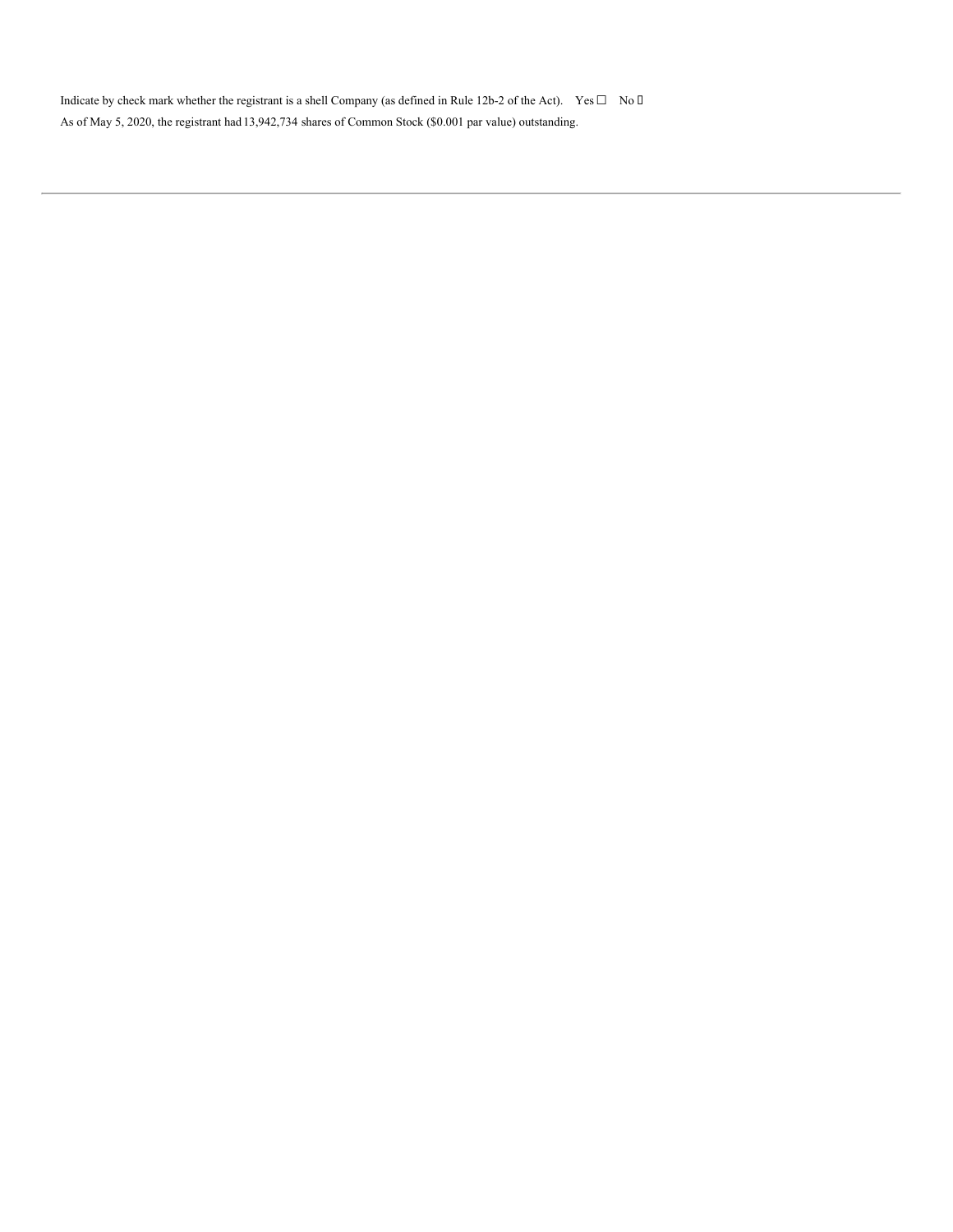<span id="page-1-0"></span>Indicate by check mark whether the registrant is a shell Company (as defined in Rule 12b-2 of the Act). Yes  $\square$  No  $\square$ As of May 5, 2020, the registrant had13,942,734 shares of Common Stock (\$0.001 par value) outstanding.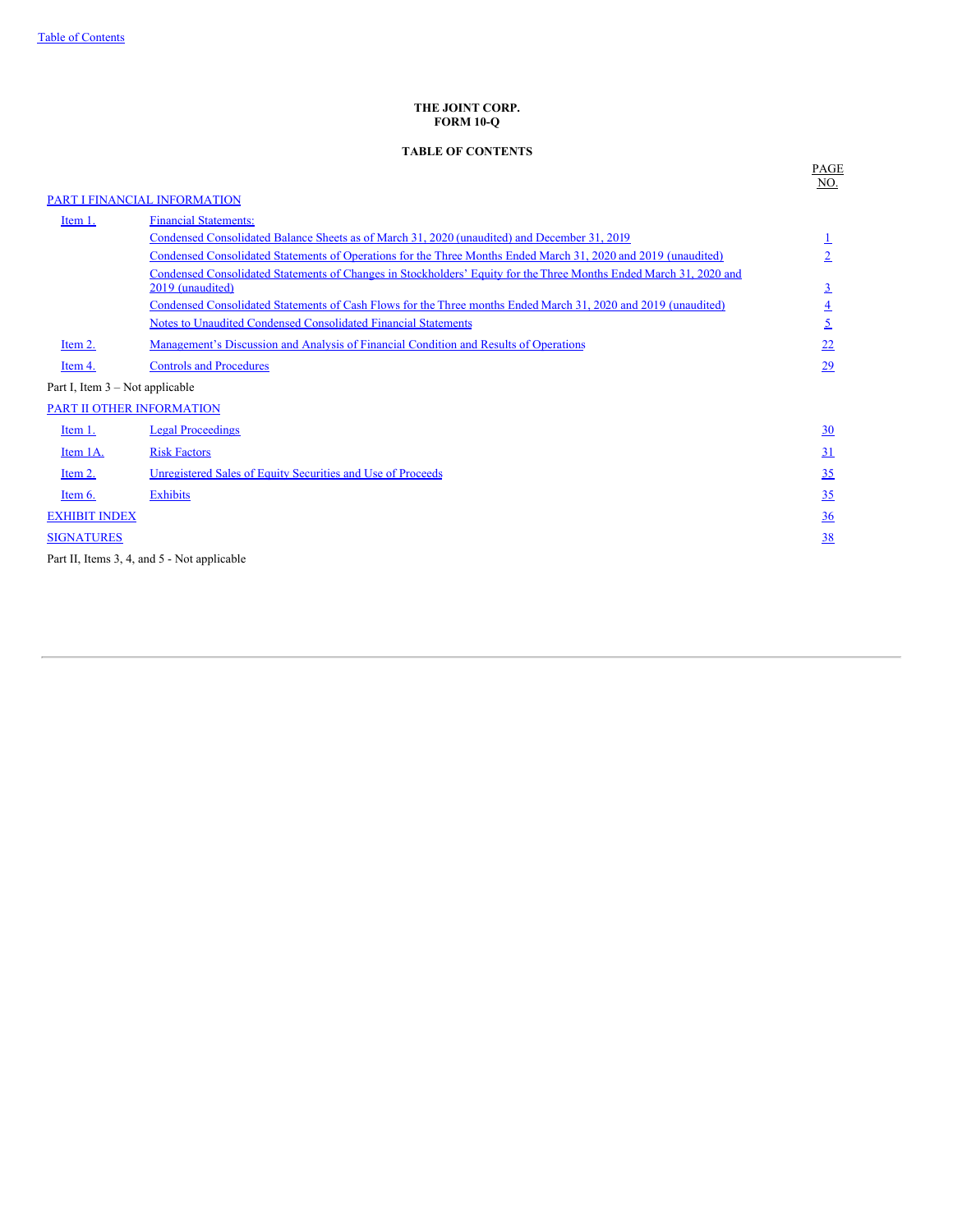# **THE JOINT CORP. FORM 10-Q**

# **TABLE OF CONTENTS**

<span id="page-2-0"></span>

|                                   |                                                                                                                    | PAGE<br>NO.    |
|-----------------------------------|--------------------------------------------------------------------------------------------------------------------|----------------|
|                                   | PART I FINANCIAL INFORMATION                                                                                       |                |
| Item 1.                           | <b>Financial Statements:</b>                                                                                       |                |
|                                   | Condensed Consolidated Balance Sheets as of March 31, 2020 (unaudited) and December 31, 2019                       |                |
|                                   | Condensed Consolidated Statements of Operations for the Three Months Ended March 31, 2020 and 2019 (unaudited)     | $\overline{2}$ |
|                                   | Condensed Consolidated Statements of Changes in Stockholders' Equity for the Three Months Ended March 31, 2020 and |                |
|                                   | 2019 (unaudited)                                                                                                   | $\overline{3}$ |
|                                   | Condensed Consolidated Statements of Cash Flows for the Three months Ended March 31, 2020 and 2019 (unaudited)     | $\overline{4}$ |
|                                   | <b>Notes to Unaudited Condensed Consolidated Financial Statements</b>                                              | $\overline{2}$ |
| Item 2.                           | Management's Discussion and Analysis of Financial Condition and Results of Operations                              | <u>22</u>      |
| Item 4.                           | <b>Controls and Procedures</b>                                                                                     | 29             |
| Part I, Item $3 - Not$ applicable |                                                                                                                    |                |
| PART II OTHER INFORMATION         |                                                                                                                    |                |
| Item 1.                           | <b>Legal Proceedings</b>                                                                                           | 30             |
| Item 1A.                          | <b>Risk Factors</b>                                                                                                | 31             |
| Item 2.                           | Unregistered Sales of Equity Securities and Use of Proceeds                                                        | 35             |
| Item 6.                           | <b>Exhibits</b>                                                                                                    | 35             |
| <b>EXHIBIT INDEX</b>              |                                                                                                                    | 36             |
| <b>SIGNATURES</b>                 |                                                                                                                    | <u>38</u>      |
|                                   | Part II, Items 3, 4, and 5 - Not applicable                                                                        |                |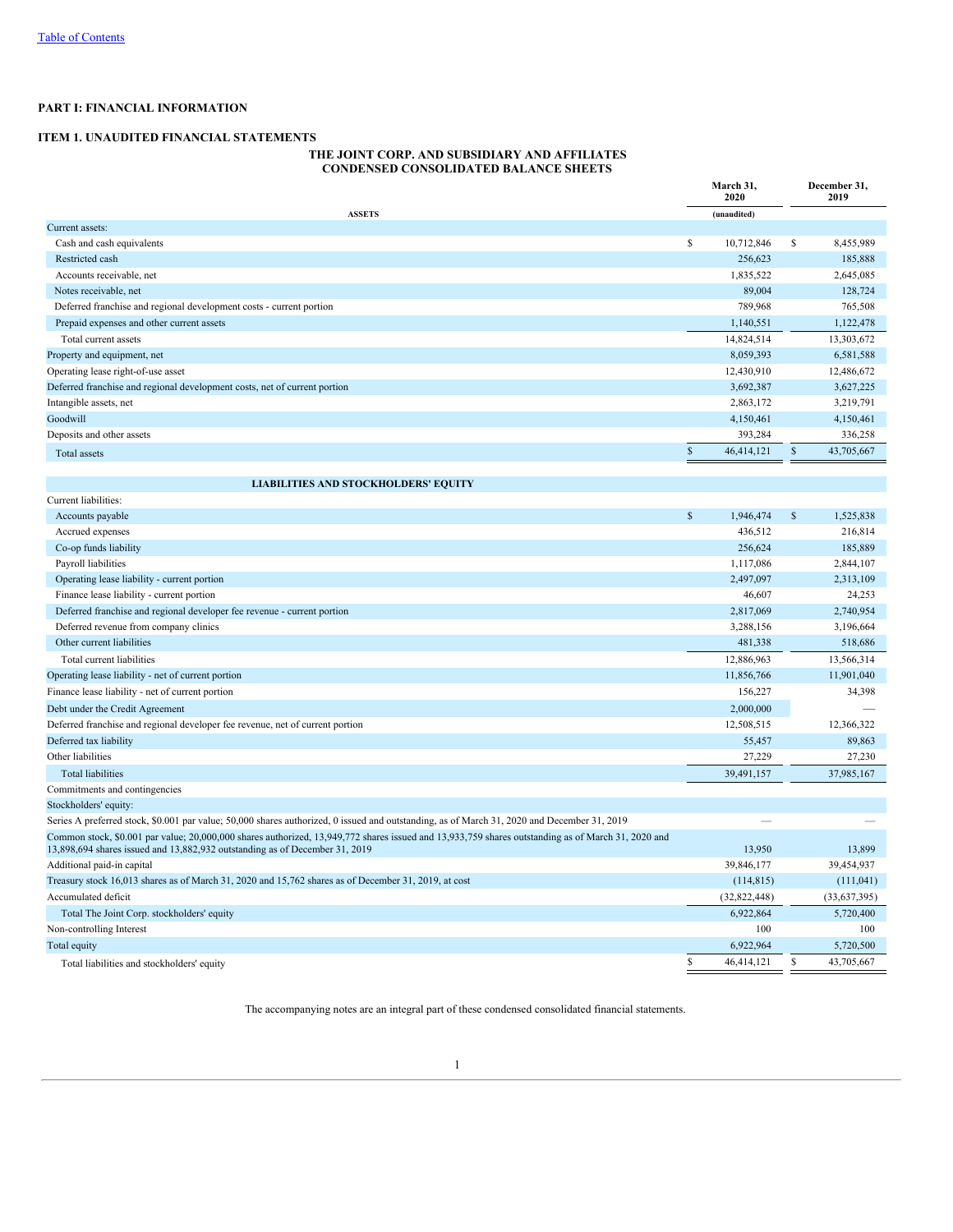# <span id="page-3-0"></span>**PART I: FINANCIAL INFORMATION**

# <span id="page-3-1"></span>**ITEM 1. UNAUDITED FINANCIAL STATEMENTS**

# **THE JOINT CORP. AND SUBSIDIARY AND AFFILIATES CONDENSED CONSOLIDATED BALANCE SHEETS**

|                                                                                                                                                                                                                                   |              | March 31,<br>2020 |               | December 31,<br>2019 |
|-----------------------------------------------------------------------------------------------------------------------------------------------------------------------------------------------------------------------------------|--------------|-------------------|---------------|----------------------|
| <b>ASSETS</b>                                                                                                                                                                                                                     |              | (unaudited)       |               |                      |
| Current assets:                                                                                                                                                                                                                   |              |                   |               |                      |
| Cash and cash equivalents                                                                                                                                                                                                         | $\mathbb S$  | 10,712,846        | S             | 8,455,989            |
| Restricted cash                                                                                                                                                                                                                   |              | 256,623           |               | 185,888              |
| Accounts receivable, net                                                                                                                                                                                                          |              | 1,835,522         |               | 2,645,085            |
| Notes receivable, net                                                                                                                                                                                                             |              | 89,004            |               | 128,724              |
| Deferred franchise and regional development costs - current portion                                                                                                                                                               |              | 789,968           |               | 765,508              |
| Prepaid expenses and other current assets                                                                                                                                                                                         |              | 1,140,551         |               | 1,122,478            |
| Total current assets                                                                                                                                                                                                              |              | 14,824,514        |               | 13,303,672           |
| Property and equipment, net                                                                                                                                                                                                       |              | 8,059,393         |               | 6,581,588            |
| Operating lease right-of-use asset                                                                                                                                                                                                |              | 12,430,910        |               | 12,486,672           |
| Deferred franchise and regional development costs, net of current portion                                                                                                                                                         |              | 3,692,387         |               | 3,627,225            |
| Intangible assets, net                                                                                                                                                                                                            |              | 2,863,172         |               | 3,219,791            |
| Goodwill                                                                                                                                                                                                                          |              | 4,150,461         |               | 4,150,461            |
| Deposits and other assets                                                                                                                                                                                                         |              | 393,284           |               | 336,258              |
| Total assets                                                                                                                                                                                                                      | $\mathbb{S}$ | 46,414,121        | $\mathsf{\$}$ | 43,705,667           |
| <b>LIABILITIES AND STOCKHOLDERS' EQUITY</b>                                                                                                                                                                                       |              |                   |               |                      |
| Current liabilities:                                                                                                                                                                                                              |              |                   |               |                      |
| Accounts payable                                                                                                                                                                                                                  | $\mathbb{S}$ | 1,946,474         | $\mathcal{S}$ | 1,525,838            |
|                                                                                                                                                                                                                                   |              | 436,512           |               | 216,814              |
| Accrued expenses                                                                                                                                                                                                                  |              | 256,624           |               | 185,889              |
| Co-op funds liability<br>Payroll liabilities                                                                                                                                                                                      |              | 1,117,086         |               | 2,844,107            |
|                                                                                                                                                                                                                                   |              |                   |               |                      |
| Operating lease liability - current portion                                                                                                                                                                                       |              | 2,497,097         |               | 2,313,109            |
| Finance lease liability - current portion                                                                                                                                                                                         |              | 46,607            |               | 24,253               |
| Deferred franchise and regional developer fee revenue - current portion                                                                                                                                                           |              | 2,817,069         |               | 2,740,954            |
| Deferred revenue from company clinics                                                                                                                                                                                             |              | 3,288,156         |               | 3,196,664            |
| Other current liabilities                                                                                                                                                                                                         |              | 481,338           |               | 518,686              |
| Total current liabilities                                                                                                                                                                                                         |              | 12,886,963        |               | 13,566,314           |
| Operating lease liability - net of current portion                                                                                                                                                                                |              | 11,856,766        |               | 11,901,040           |
| Finance lease liability - net of current portion                                                                                                                                                                                  |              | 156,227           |               | 34,398               |
| Debt under the Credit Agreement                                                                                                                                                                                                   |              | 2,000,000         |               |                      |
| Deferred franchise and regional developer fee revenue, net of current portion                                                                                                                                                     |              | 12,508,515        |               | 12,366,322           |
| Deferred tax liability                                                                                                                                                                                                            |              | 55,457            |               | 89,863               |
| Other liabilities                                                                                                                                                                                                                 |              | 27,229            |               | 27,230               |
| <b>Total liabilities</b>                                                                                                                                                                                                          |              | 39,491,157        |               | 37,985,167           |
| Commitments and contingencies                                                                                                                                                                                                     |              |                   |               |                      |
| Stockholders' equity:                                                                                                                                                                                                             |              |                   |               |                      |
| Series A preferred stock, \$0.001 par value; 50,000 shares authorized, 0 issued and outstanding, as of March 31, 2020 and December 31, 2019                                                                                       |              |                   |               |                      |
| Common stock, \$0.001 par value; 20,000,000 shares authorized, 13,949,772 shares issued and 13,933,759 shares outstanding as of March 31, 2020 and<br>13,898,694 shares issued and 13,882,932 outstanding as of December 31, 2019 |              | 13,950            |               | 13,899               |
|                                                                                                                                                                                                                                   |              | 39,846,177        |               | 39,454,937           |
| Additional paid-in capital                                                                                                                                                                                                        |              |                   |               |                      |
| Treasury stock 16,013 shares as of March 31, 2020 and 15,762 shares as of December 31, 2019, at cost                                                                                                                              |              | (114, 815)        |               | (111, 041)           |
| Accumulated deficit                                                                                                                                                                                                               |              | (32,822,448)      |               | (33,637,395)         |
| Total The Joint Corp. stockholders' equity                                                                                                                                                                                        |              | 6,922,864         |               | 5,720,400            |
| Non-controlling Interest                                                                                                                                                                                                          |              | 100               |               | 100                  |
| Total equity                                                                                                                                                                                                                      |              | 6,922,964         |               | 5,720,500            |
| Total liabilities and stockholders' equity                                                                                                                                                                                        | \$           | 46,414,121        | $\mathbb{S}$  | 43,705,667           |

<span id="page-3-2"></span>The accompanying notes are an integral part of these condensed consolidated financial statements.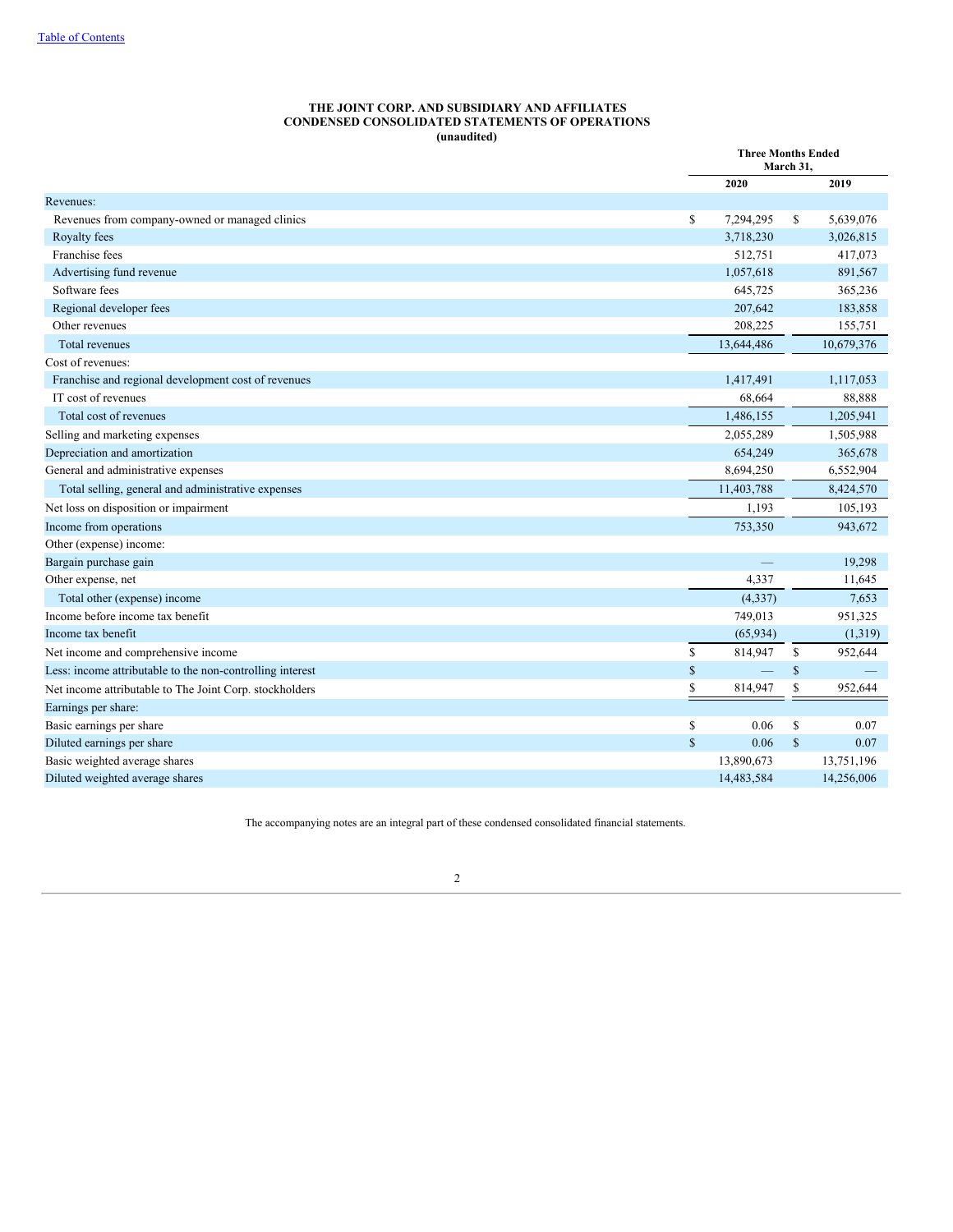#### **THE JOINT CORP. AND SUBSIDIARY AND AFFILIATES CONDENSED CONSOLIDATED STATEMENTS OF OPERATIONS (unaudited)**

|                                                           |    | <b>Three Months Ended</b><br>March 31, |              |            |
|-----------------------------------------------------------|----|----------------------------------------|--------------|------------|
|                                                           |    | 2020                                   |              | 2019       |
| Revenues:                                                 |    |                                        |              |            |
| Revenues from company-owned or managed clinics            | \$ | 7,294,295                              | \$           | 5,639,076  |
| Royalty fees                                              |    | 3,718,230                              |              | 3,026,815  |
| Franchise fees                                            |    | 512,751                                |              | 417,073    |
| Advertising fund revenue                                  |    | 1,057,618                              |              | 891,567    |
| Software fees                                             |    | 645,725                                |              | 365,236    |
| Regional developer fees                                   |    | 207,642                                |              | 183,858    |
| Other revenues                                            |    | 208,225                                |              | 155,751    |
| <b>Total revenues</b>                                     |    | 13,644,486                             |              | 10,679,376 |
| Cost of revenues:                                         |    |                                        |              |            |
| Franchise and regional development cost of revenues       |    | 1,417,491                              |              | 1,117,053  |
| IT cost of revenues                                       |    | 68,664                                 |              | 88,888     |
| Total cost of revenues                                    |    | 1,486,155                              |              | 1,205,941  |
| Selling and marketing expenses                            |    | 2,055,289                              |              | 1,505,988  |
| Depreciation and amortization                             |    | 654,249                                |              | 365,678    |
| General and administrative expenses                       |    | 8,694,250                              |              | 6,552,904  |
| Total selling, general and administrative expenses        |    | 11,403,788                             |              | 8,424,570  |
| Net loss on disposition or impairment                     |    | 1,193                                  |              | 105,193    |
| Income from operations                                    |    | 753,350                                |              | 943,672    |
| Other (expense) income:                                   |    |                                        |              |            |
| Bargain purchase gain                                     |    |                                        |              | 19,298     |
| Other expense, net                                        |    | 4,337                                  |              | 11,645     |
| Total other (expense) income                              |    | (4, 337)                               |              | 7,653      |
| Income before income tax benefit                          |    | 749,013                                |              | 951,325    |
| Income tax benefit                                        |    | (65, 934)                              |              | (1,319)    |
| Net income and comprehensive income                       | \$ | 814,947                                | \$           | 952,644    |
| Less: income attributable to the non-controlling interest | \$ |                                        | $\mathbb{S}$ |            |
| Net income attributable to The Joint Corp. stockholders   | S  | 814,947                                | S            | 952,644    |
| Earnings per share:                                       |    |                                        |              |            |
| Basic earnings per share                                  | \$ | 0.06                                   | S            | 0.07       |
| Diluted earnings per share                                | \$ | 0.06                                   | $\mathbb{S}$ | 0.07       |
| Basic weighted average shares                             |    | 13,890,673                             |              | 13,751,196 |
| Diluted weighted average shares                           |    | 14,483,584                             |              | 14,256,006 |

<span id="page-4-0"></span>The accompanying notes are an integral part of these condensed consolidated financial statements.

| ł |   |
|---|---|
|   | i |
| I |   |
|   |   |
|   |   |
|   |   |
|   |   |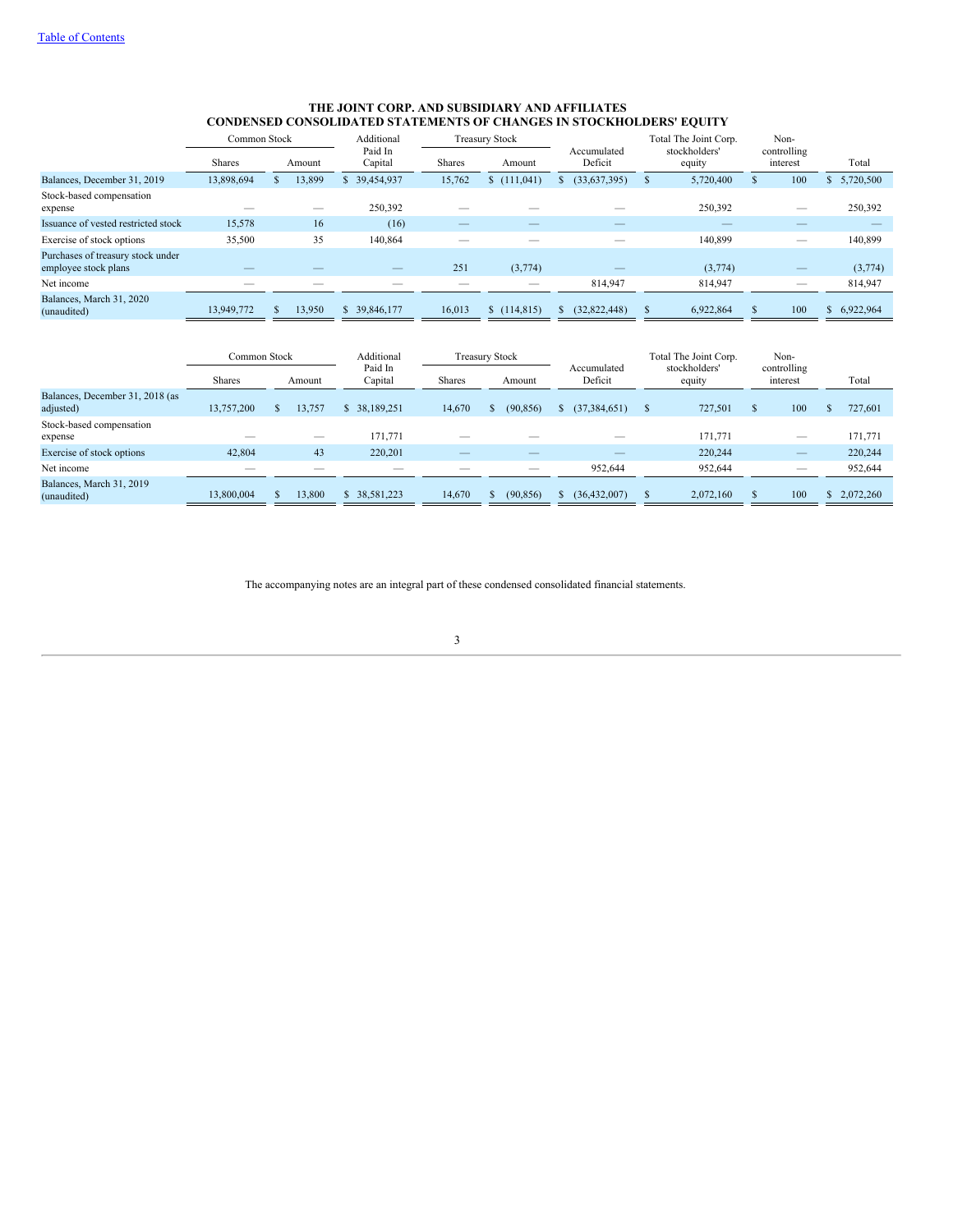# **THE JOINT CORP. AND SUBSIDIARY AND AFFILIATES CONDENSED CONSOLIDATED STATEMENTS OF CHANGES IN STOCKHOLDERS' EQUITY**

|                                                           | Common Stock  |        | Additional<br><b>Treasury Stock</b> |               | Total The Joint Corp. |                        |                         | Non- |                         |                |
|-----------------------------------------------------------|---------------|--------|-------------------------------------|---------------|-----------------------|------------------------|-------------------------|------|-------------------------|----------------|
|                                                           | <b>Shares</b> | Amount | Paid In<br>Capital                  | <b>Shares</b> | Amount                | Accumulated<br>Deficit | stockholders'<br>equity |      | controlling<br>interest | Total          |
| Balances, December 31, 2019                               | 13,898,694    | 13,899 | \$39,454,937                        | 15,762        | (111, 041)<br>S.      | (33,637,395)           | 5,720,400<br>S          |      | 100                     | 5,720,500<br>ъ |
| Stock-based compensation<br>expense                       |               |        | 250,392                             |               |                       |                        | 250,392                 |      |                         | 250,392        |
| Issuance of vested restricted stock                       | 15,578        | 16     | (16)                                |               |                       |                        |                         |      |                         |                |
| Exercise of stock options                                 | 35,500        | 35     | 140,864                             |               |                       |                        | 140,899                 |      |                         | 140,899        |
| Purchases of treasury stock under<br>employee stock plans |               |        |                                     | 251           | (3,774)               |                        | (3,774)                 |      | _                       | (3,774)        |
| Net income                                                |               |        |                                     |               |                       | 814.947                | 814,947                 |      |                         | 814,947        |
| Balances, March 31, 2020<br>(unaudited)                   | 13,949,772    | 13,950 | \$ 39,846,177                       | 16,013        | \$(114,815)           | (32,822,448)           | 6,922,864               |      | 100                     | 6,922,964      |

|                                              | Common Stock  |        | Additional<br><b>Treasury Stock</b> |               |           | Total The Joint Corp.  | Non-                    |                          |           |
|----------------------------------------------|---------------|--------|-------------------------------------|---------------|-----------|------------------------|-------------------------|--------------------------|-----------|
|                                              | <b>Shares</b> | Amount | Paid In<br>Capital                  | <b>Shares</b> | Amount    | Accumulated<br>Deficit | stockholders'<br>equity | controlling<br>interest  | Total     |
| Balances, December 31, 2018 (as<br>adjusted) | 13,757,200    | 13.757 | \$ 38,189,251                       | 14.670        | (90, 856) | (37, 384, 651)         | 727.501<br>S            | 100                      | 727.601   |
| Stock-based compensation<br>expense          |               | $-$    | 171,771                             |               |           |                        | 171,771                 | $\overline{\phantom{a}}$ | 171,771   |
| Exercise of stock options                    | 42,804        | 43     | 220,201                             |               |           |                        | 220,244                 | $\overline{\phantom{a}}$ | 220,244   |
| Net income                                   | _             | __     | __                                  |               | $-$       | 952.644                | 952,644                 |                          | 952.644   |
| Balances, March 31, 2019<br>(unaudited)      | 13,800,004    | 13.800 | \$ 38,581,223                       | 14,670        | (90, 856) | (36, 432, 007)         | 2,072,160               | 100                      | 2,072,260 |

<span id="page-5-0"></span>The accompanying notes are an integral part of these condensed consolidated financial statements.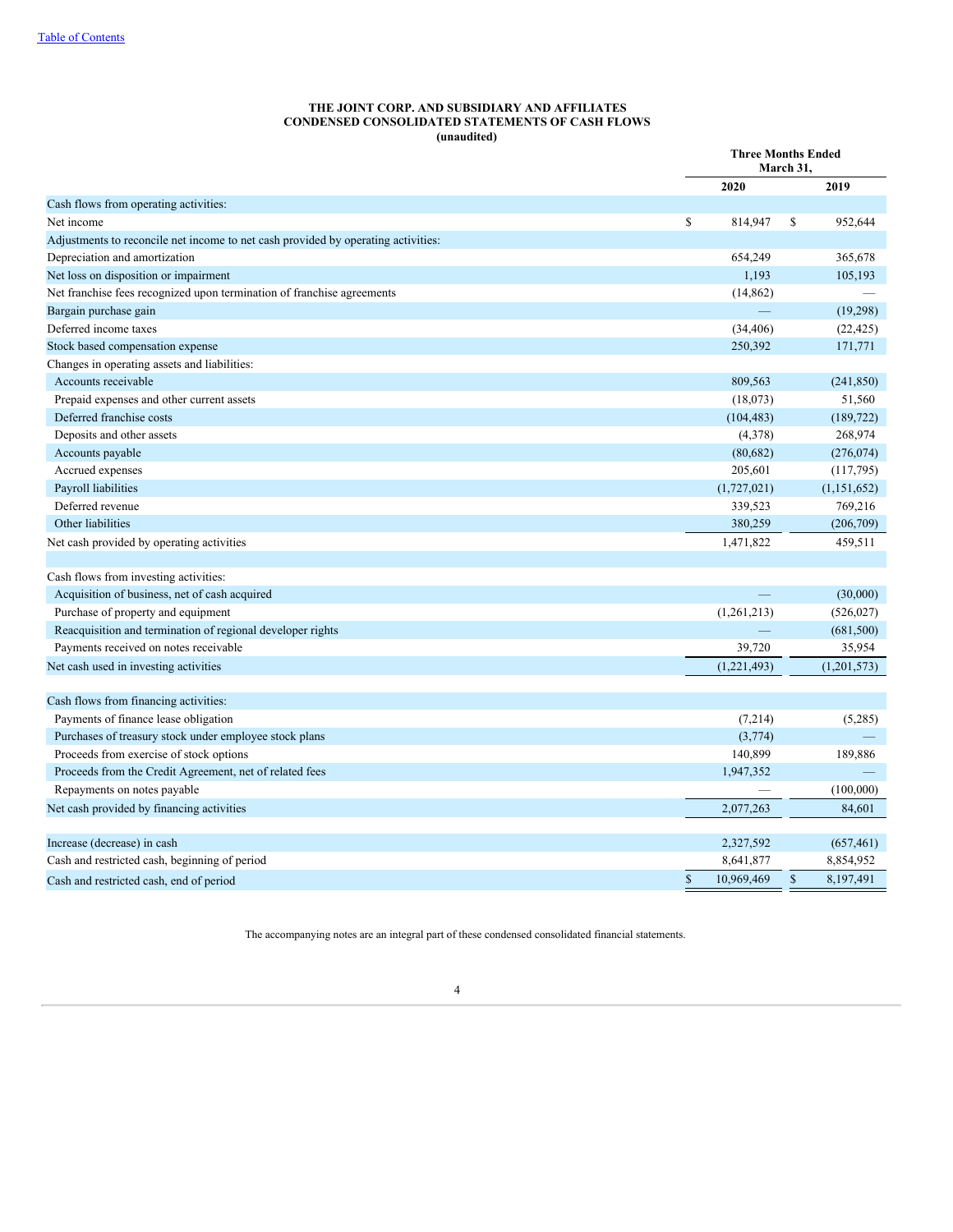#### **THE JOINT CORP. AND SUBSIDIARY AND AFFILIATES CONDENSED CONSOLIDATED STATEMENTS OF CASH FLOWS (unaudited)**

|                                                                                   | <b>Three Months Ended</b><br>March 31, |                          |  |
|-----------------------------------------------------------------------------------|----------------------------------------|--------------------------|--|
|                                                                                   | 2020                                   | 2019                     |  |
| Cash flows from operating activities:                                             |                                        |                          |  |
| $\mathbb{S}$<br>Net income                                                        | 814,947                                | \$<br>952,644            |  |
| Adjustments to reconcile net income to net cash provided by operating activities: |                                        |                          |  |
| Depreciation and amortization                                                     | 654,249                                | 365,678                  |  |
| Net loss on disposition or impairment                                             | 1,193                                  | 105,193                  |  |
| Net franchise fees recognized upon termination of franchise agreements            | (14, 862)                              |                          |  |
| Bargain purchase gain                                                             |                                        | (19,298)                 |  |
| Deferred income taxes                                                             | (34, 406)                              | (22, 425)                |  |
| Stock based compensation expense                                                  | 250,392                                | 171,771                  |  |
| Changes in operating assets and liabilities:                                      |                                        |                          |  |
| Accounts receivable                                                               | 809,563                                | (241, 850)               |  |
| Prepaid expenses and other current assets                                         | (18,073)                               | 51,560                   |  |
| Deferred franchise costs                                                          | (104, 483)                             | (189, 722)               |  |
| Deposits and other assets                                                         | (4,378)                                | 268,974                  |  |
| Accounts payable                                                                  | (80, 682)                              | (276, 074)               |  |
| Accrued expenses                                                                  | 205,601                                | (117,795)                |  |
| Payroll liabilities                                                               | (1,727,021)                            | (1, 151, 652)            |  |
| Deferred revenue                                                                  | 339,523                                | 769,216                  |  |
| Other liabilities                                                                 | 380,259                                | (206,709)                |  |
| Net cash provided by operating activities                                         | 1,471,822                              | 459,511                  |  |
| Cash flows from investing activities:                                             |                                        |                          |  |
| Acquisition of business, net of cash acquired                                     |                                        | (30,000)                 |  |
| Purchase of property and equipment                                                | (1,261,213)                            | (526, 027)               |  |
| Reacquisition and termination of regional developer rights                        |                                        | (681,500)                |  |
| Payments received on notes receivable                                             | 39,720                                 | 35,954                   |  |
| Net cash used in investing activities                                             | (1,221,493)                            | (1,201,573)              |  |
| Cash flows from financing activities:                                             |                                        |                          |  |
| Payments of finance lease obligation                                              | (7,214)                                | (5,285)                  |  |
| Purchases of treasury stock under employee stock plans                            | (3,774)                                |                          |  |
| Proceeds from exercise of stock options                                           | 140,899                                | 189,886                  |  |
| Proceeds from the Credit Agreement, net of related fees                           | 1,947,352                              |                          |  |
| Repayments on notes payable                                                       |                                        | (100,000)                |  |
| Net cash provided by financing activities                                         | 2,077,263                              | 84,601                   |  |
|                                                                                   |                                        |                          |  |
| Increase (decrease) in cash                                                       | 2,327,592                              | (657, 461)               |  |
| Cash and restricted cash, beginning of period                                     | 8,641,877                              | 8,854,952                |  |
| $\mathbb{S}$<br>Cash and restricted cash, end of period                           | 10,969,469                             | $\sqrt{\ }$<br>8,197,491 |  |

The accompanying notes are an integral part of these condensed consolidated financial statements.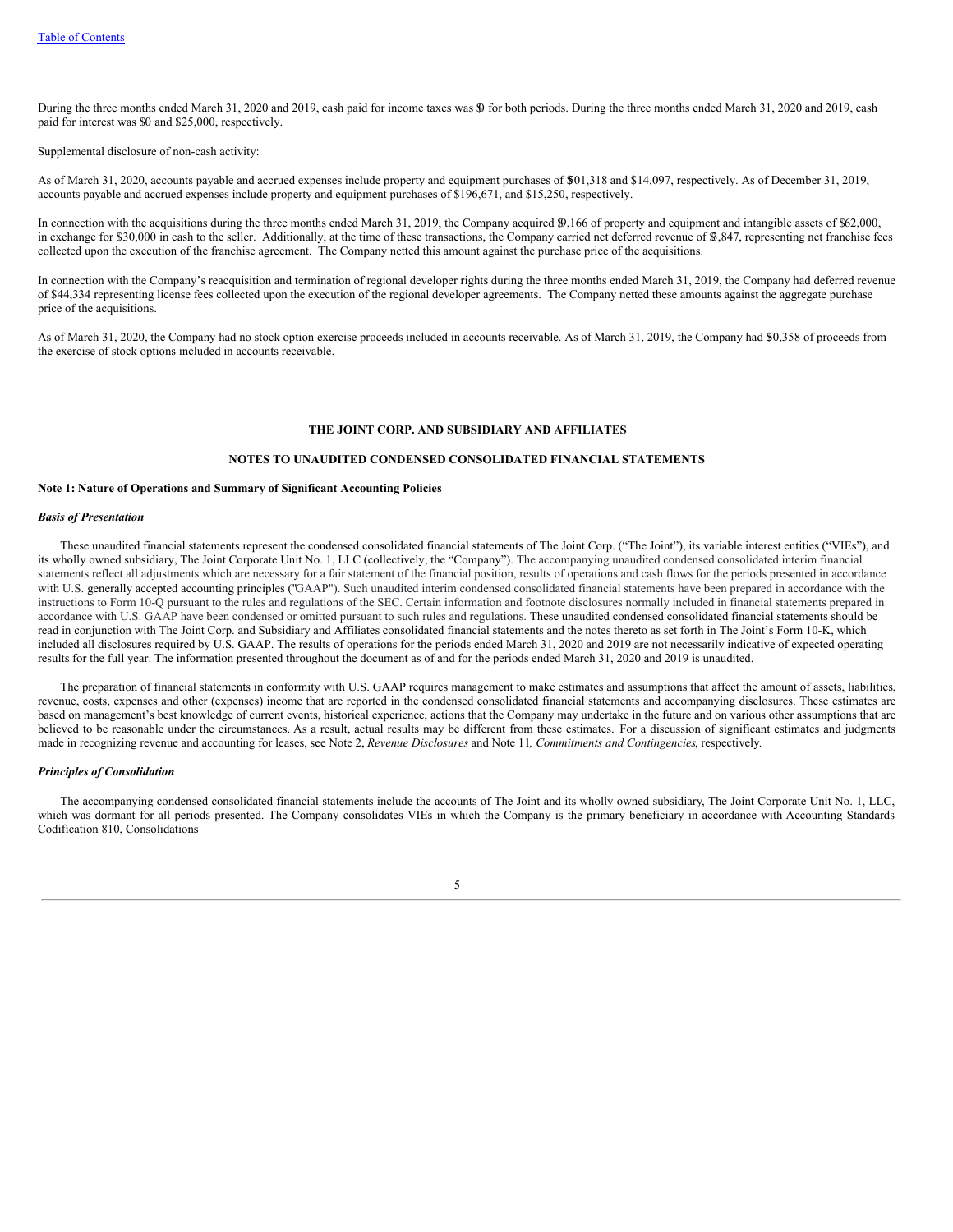During the three months ended March 31, 2020 and 2019, cash paid for income taxes was \$0 for both periods. During the three months ended March 31, 2020 and 2019, cash paid for interest was \$0 and \$25,000, respectively.

Supplemental disclosure of non-cash activity:

As of March 31, 2020, accounts payable and accrued expenses include property and equipment purchases of \$501,318 and \$14,097, respectively. As of December 31, 2019, accounts payable and accrued expenses include property and equipment purchases of \$196,671, and \$15,250, respectively.

In connection with the acquisitions during the three months ended March 31, 2019, the Company acquired \$9,166 of property and equipment and intangible assets of \$62,000, in exchange for \$30,000 in cash to the seller. Additionally, at the time of these transactions, the Company carried net deferred revenue of \$,847, representing net franchise fees collected upon the execution of the franchise agreement. The Company netted this amount against the purchase price of the acquisitions.

In connection with the Company's reacquisition and termination of regional developer rights during the three months ended March 31, 2019, the Company had deferred revenue of \$44,334 representing license fees collected upon the execution of the regional developer agreements. The Company netted these amounts against the aggregate purchase price of the acquisitions.

As of March 31, 2020, the Company had no stock option exercise proceeds included in accounts receivable. As of March 31, 2019, the Company had \$30,358 of proceeds from the exercise of stock options included in accounts receivable.

## **THE JOINT CORP. AND SUBSIDIARY AND AFFILIATES**

# **NOTES TO UNAUDITED CONDENSED CONSOLIDATED FINANCIAL STATEMENTS**

### <span id="page-7-0"></span>**Note 1: Nature of Operations and Summary of Significant Accounting Policies**

### *Basis of Presentation*

These unaudited financial statements represent the condensed consolidated financial statements of The Joint Corp. ("The Joint"), its variable interest entities ("VIEs"), and its wholly owned subsidiary, The Joint Corporate Unit No. 1, LLC (collectively, the "Company"). The accompanying unaudited condensed consolidated interim financial statements reflect all adjustments which are necessary for a fair statement of the financial position, results of operations and cash flows for the periods presented in accordance with U.S. generally accepted accounting principles ("GAAP"). Such unaudited interim condensed consolidated financial statements have been prepared in accordance with the instructions to Form 10-Q pursuant to the rules and regulations of the SEC. Certain information and footnote disclosures normally included in financial statements prepared in accordance with U.S. GAAP have been condensed or omitted pursuant to such rules and regulations. These unaudited condensed consolidated financial statements should be read in conjunction with The Joint Corp. and Subsidiary and Affiliates consolidated financial statements and the notes thereto as set forth in The Joint's Form 10-K, which included all disclosures required by U.S. GAAP. The results of operations for the periods ended March 31, 2020 and 2019 are not necessarily indicative of expected operating results for the full year. The information presented throughout the document as of and for the periods ended March 31, 2020 and 2019 is unaudited.

The preparation of financial statements in conformity with U.S. GAAP requires management to make estimates and assumptions that affect the amount of assets, liabilities, revenue, costs, expenses and other (expenses) income that are reported in the condensed consolidated financial statements and accompanying disclosures. These estimates are based on management's best knowledge of current events, historical experience, actions that the Company may undertake in the future and on various other assumptions that are believed to be reasonable under the circumstances. As a result, actual results may be different from these estimates. For a discussion of significant estimates and judgments made in recognizing revenue and accounting for leases, see Note 2, *Revenue Disclosures* and Note 11*, Commitments and Contingencies*, respectively*.*

#### *Principles of Consolidation*

The accompanying condensed consolidated financial statements include the accounts of The Joint and its wholly owned subsidiary, The Joint Corporate Unit No. 1, LLC, which was dormant for all periods presented. The Company consolidates VIEs in which the Company is the primary beneficiary in accordance with Accounting Standards Codification 810, Consolidations

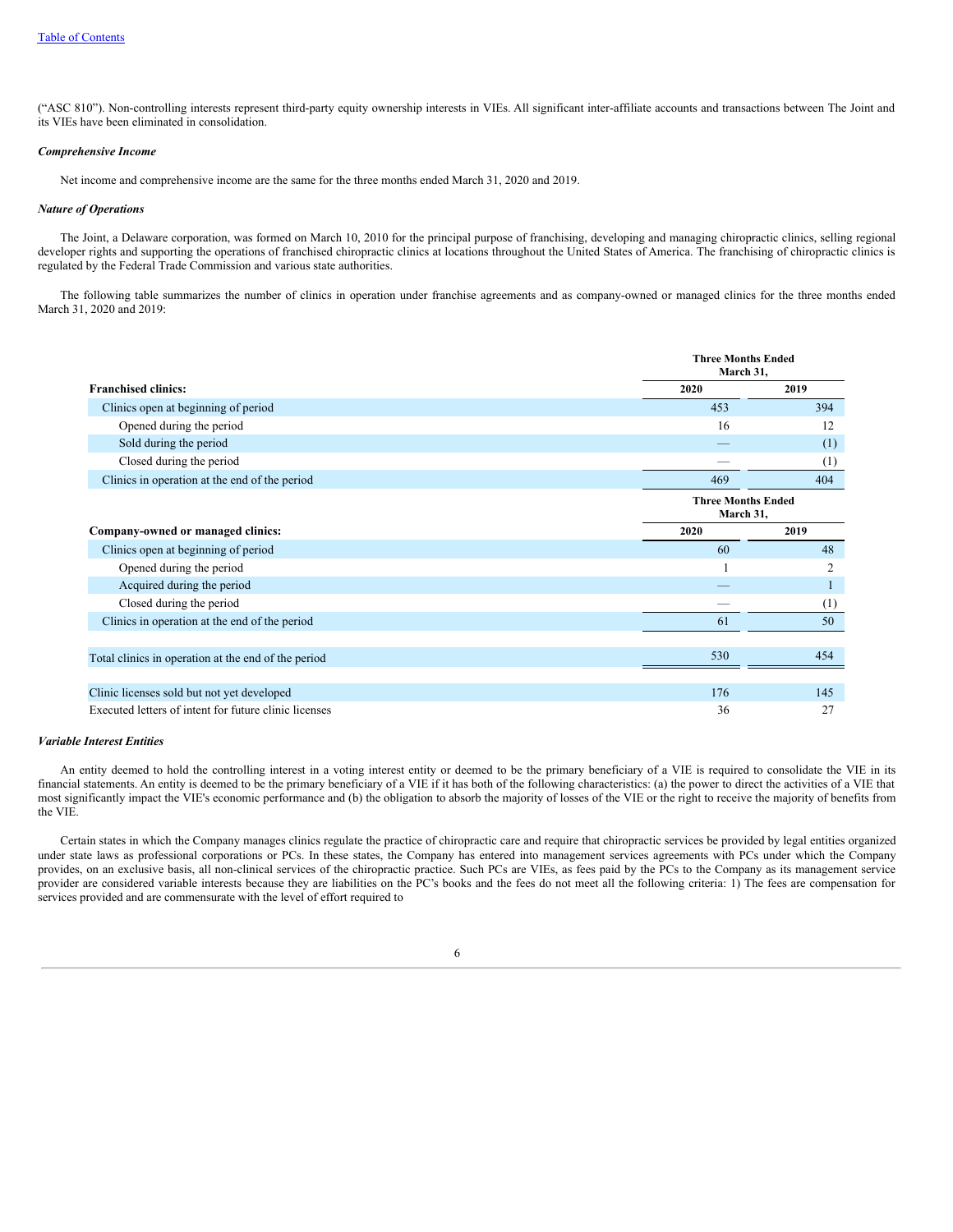("ASC 810"). Non-controlling interests represent third-party equity ownership interests in VIEs. All significant inter-affiliate accounts and transactions between The Joint and its VIEs have been eliminated in consolidation.

# *Comprehensive Income*

Net income and comprehensive income are the same for the three months ended March 31, 2020 and 2019.

### *Nature of Operations*

The Joint, a Delaware corporation, was formed on March 10, 2010 for the principal purpose of franchising, developing and managing chiropractic clinics, selling regional developer rights and supporting the operations of franchised chiropractic clinics at locations throughout the United States of America. The franchising of chiropractic clinics is regulated by the Federal Trade Commission and various state authorities.

The following table summarizes the number of clinics in operation under franchise agreements and as company-owned or managed clinics for the three months ended March 31, 2020 and 2019:

|                                                       |      | <b>Three Months Ended</b><br>March 31, |
|-------------------------------------------------------|------|----------------------------------------|
| <b>Franchised clinics:</b>                            | 2020 | 2019                                   |
| Clinics open at beginning of period                   | 453  | 394                                    |
| Opened during the period                              | 16   | 12                                     |
| Sold during the period                                |      | (1)                                    |
| Closed during the period                              |      | (1)                                    |
| Clinics in operation at the end of the period         | 469  | 404                                    |
|                                                       |      | <b>Three Months Ended</b><br>March 31, |
| Company-owned or managed clinics:                     | 2020 | 2019                                   |
| Clinics open at beginning of period                   | 60   | 48                                     |
| Opened during the period                              |      | 2                                      |
| Acquired during the period                            |      |                                        |
| Closed during the period                              |      | (1)                                    |
| Clinics in operation at the end of the period         | 61   | 50                                     |
|                                                       |      |                                        |
| Total clinics in operation at the end of the period   | 530  | 454                                    |
|                                                       |      |                                        |
| Clinic licenses sold but not yet developed            | 176  | 145                                    |
| Executed letters of intent for future clinic licenses | 36   | 27                                     |

## *Variable Interest Entities*

An entity deemed to hold the controlling interest in a voting interest entity or deemed to be the primary beneficiary of a VIE is required to consolidate the VIE in its financial statements. An entity is deemed to be the primary beneficiary of a VIE if it has both of the following characteristics: (a) the power to direct the activities of a VIE that most significantly impact the VIE's economic performance and (b) the obligation to absorb the majority of losses of the VIE or the right to receive the majority of benefits from the VIE.

Certain states in which the Company manages clinics regulate the practice of chiropractic care and require that chiropractic services be provided by legal entities organized under state laws as professional corporations or PCs. In these states, the Company has entered into management services agreements with PCs under which the Company provides, on an exclusive basis, all non-clinical services of the chiropractic practice. Such PCs are VIEs, as fees paid by the PCs to the Company as its management service provider are considered variable interests because they are liabilities on the PC's books and the fees do not meet all the following criteria: 1) The fees are compensation for services provided and are commensurate with the level of effort required to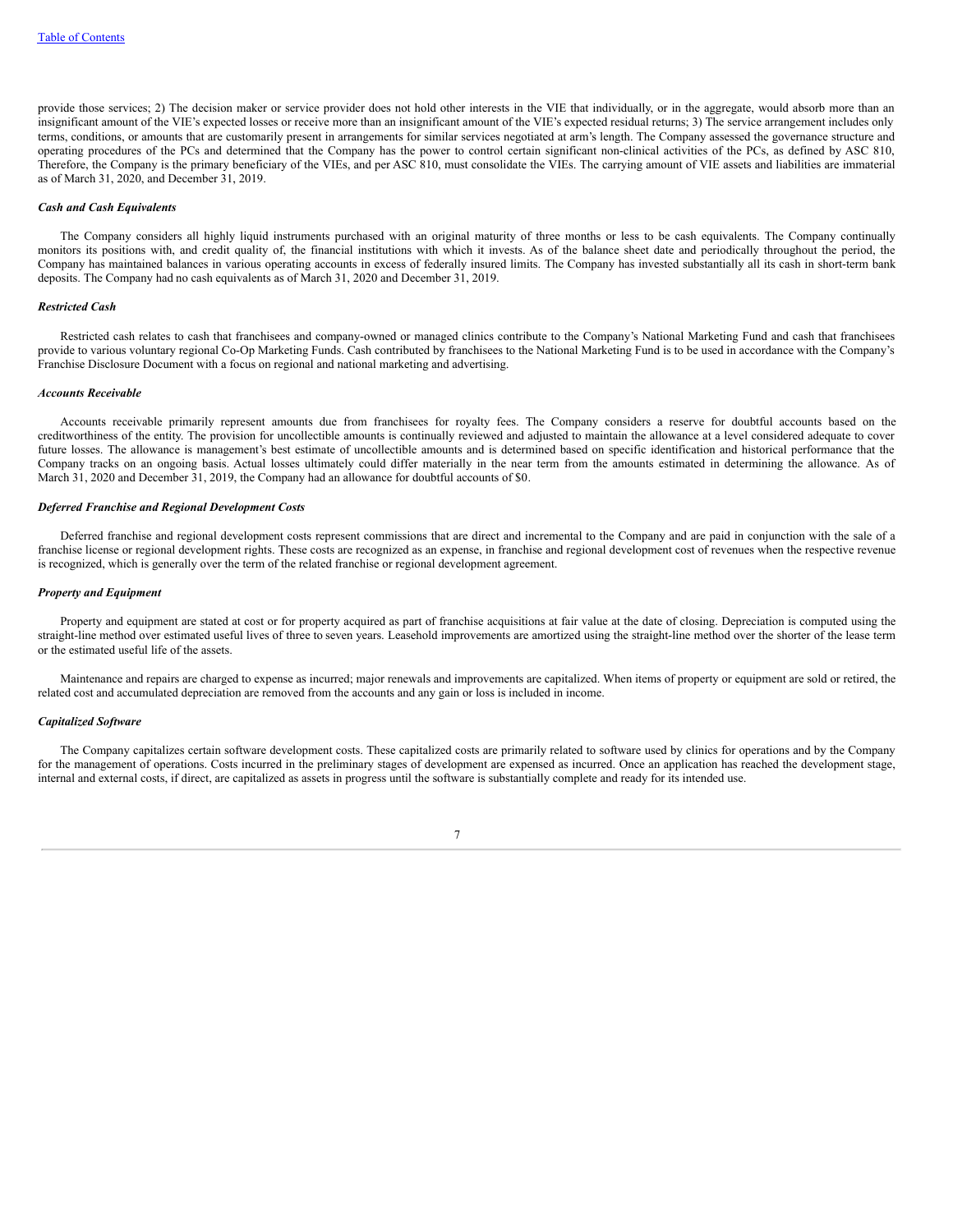provide those services; 2) The decision maker or service provider does not hold other interests in the VIE that individually, or in the aggregate, would absorb more than an insignificant amount of the VIE's expected losses or receive more than an insignificant amount of the VIE's expected residual returns; 3) The service arrangement includes only terms, conditions, or amounts that are customarily present in arrangements for similar services negotiated at arm's length. The Company assessed the governance structure and operating procedures of the PCs and determined that the Company has the power to control certain significant non-clinical activities of the PCs, as defined by ASC 810, Therefore, the Company is the primary beneficiary of the VIEs, and per ASC 810, must consolidate the VIEs. The carrying amount of VIE assets and liabilities are immaterial as of March 31, 2020, and December 31, 2019.

#### *Cash and Cash Equivalents*

The Company considers all highly liquid instruments purchased with an original maturity of three months or less to be cash equivalents. The Company continually monitors its positions with, and credit quality of, the financial institutions with which it invests. As of the balance sheet date and periodically throughout the period, the Company has maintained balances in various operating accounts in excess of federally insured limits. The Company has invested substantially all its cash in short-term bank deposits. The Company had no cash equivalents as of March 31, 2020 and December 31, 2019.

## *Restricted Cash*

Restricted cash relates to cash that franchisees and company-owned or managed clinics contribute to the Company's National Marketing Fund and cash that franchisees provide to various voluntary regional Co-Op Marketing Funds. Cash contributed by franchisees to the National Marketing Fund is to be used in accordance with the Company's Franchise Disclosure Document with a focus on regional and national marketing and advertising.

#### *Accounts Receivable*

Accounts receivable primarily represent amounts due from franchisees for royalty fees. The Company considers a reserve for doubtful accounts based on the creditworthiness of the entity. The provision for uncollectible amounts is continually reviewed and adjusted to maintain the allowance at a level considered adequate to cover future losses. The allowance is management's best estimate of uncollectible amounts and is determined based on specific identification and historical performance that the Company tracks on an ongoing basis. Actual losses ultimately could differ materially in the near term from the amounts estimated in determining the allowance. As of March 31, 2020 and December 31, 2019, the Company had an allowance for doubtful accounts of \$0.

#### *Deferred Franchise and Regional Development Costs*

Deferred franchise and regional development costs represent commissions that are direct and incremental to the Company and are paid in conjunction with the sale of a franchise license or regional development rights. These costs are recognized as an expense, in franchise and regional development cost of revenues when the respective revenue is recognized, which is generally over the term of the related franchise or regional development agreement.

#### *Property and Equipment*

Property and equipment are stated at cost or for property acquired as part of franchise acquisitions at fair value at the date of closing. Depreciation is computed using the straight-line method over estimated useful lives of three to seven years. Leasehold improvements are amortized using the straight-line method over the shorter of the lease term or the estimated useful life of the assets.

Maintenance and repairs are charged to expense as incurred; major renewals and improvements are capitalized. When items of property or equipment are sold or retired, the related cost and accumulated depreciation are removed from the accounts and any gain or loss is included in income.

### *Capitalized Software*

The Company capitalizes certain software development costs. These capitalized costs are primarily related to software used by clinics for operations and by the Company for the management of operations. Costs incurred in the preliminary stages of development are expensed as incurred. Once an application has reached the development stage, internal and external costs, if direct, are capitalized as assets in progress until the software is substantially complete and ready for its intended use.

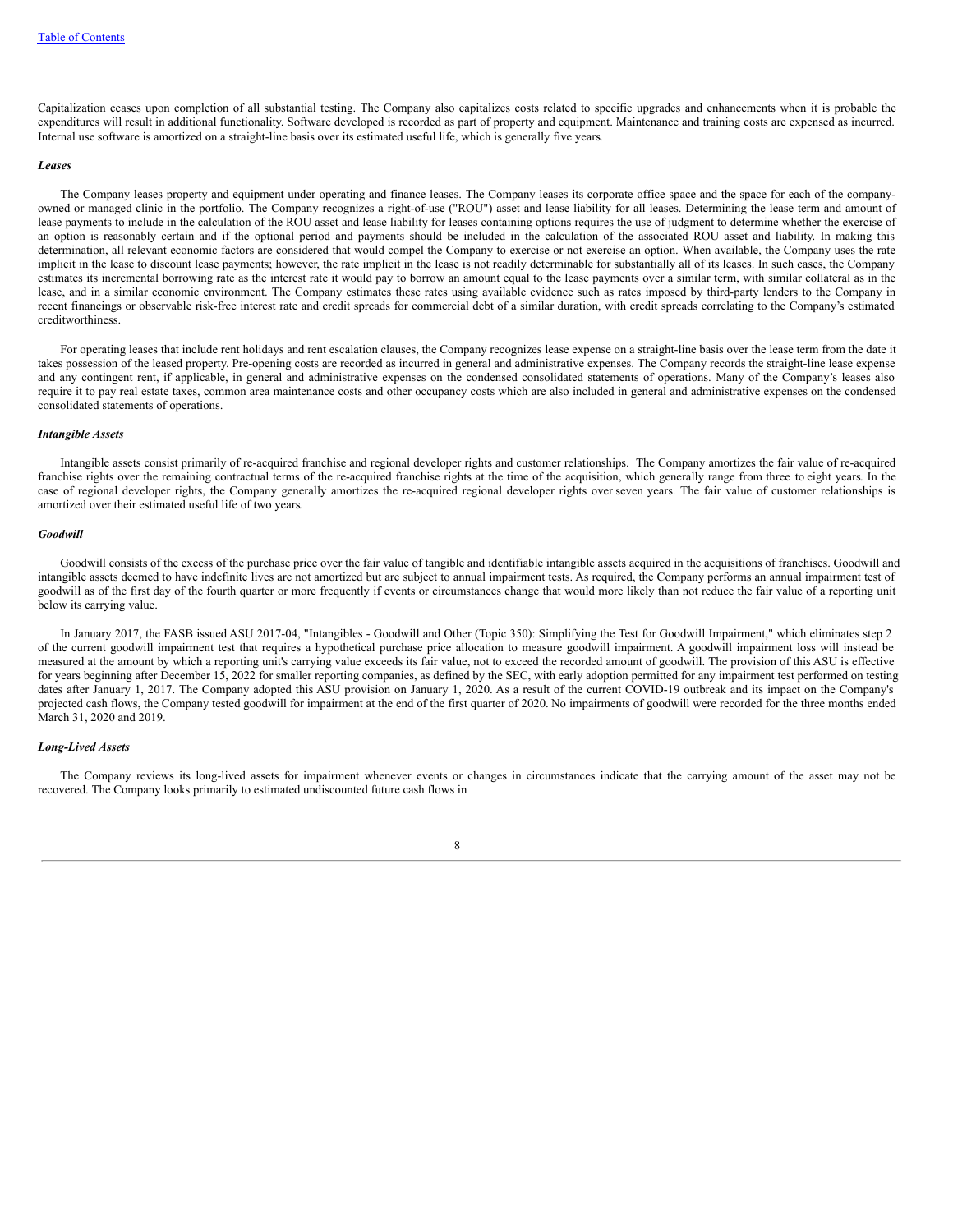Capitalization ceases upon completion of all substantial testing. The Company also capitalizes costs related to specific upgrades and enhancements when it is probable the expenditures will result in additional functionality. Software developed is recorded as part of property and equipment. Maintenance and training costs are expensed as incurred. Internal use software is amortized on a straight-line basis over its estimated useful life, which is generally five years.

#### *Leases*

The Company leases property and equipment under operating and finance leases. The Company leases its corporate office space and the space for each of the companyowned or managed clinic in the portfolio. The Company recognizes a right-of-use ("ROU") asset and lease liability for all leases. Determining the lease term and amount of lease payments to include in the calculation of the ROU asset and lease liability for leases containing options requires the use of judgment to determine whether the exercise of an option is reasonably certain and if the optional period and payments should be included in the calculation of the associated ROU asset and liability. In making this determination, all relevant economic factors are considered that would compel the Company to exercise or not exercise an option. When available, the Company uses the rate implicit in the lease to discount lease payments; however, the rate implicit in the lease is not readily determinable for substantially all of its leases. In such cases, the Company estimates its incremental borrowing rate as the interest rate it would pay to borrow an amount equal to the lease payments over a similar term, with similar collateral as in the lease, and in a similar economic environment. The Company estimates these rates using available evidence such as rates imposed by third-party lenders to the Company in recent financings or observable risk-free interest rate and credit spreads for commercial debt of a similar duration, with credit spreads correlating to the Company's estimated creditworthiness.

For operating leases that include rent holidays and rent escalation clauses, the Company recognizes lease expense on a straight-line basis over the lease term from the date it takes possession of the leased property. Pre-opening costs are recorded as incurred in general and administrative expenses. The Company records the straight-line lease expense and any contingent rent, if applicable, in general and administrative expenses on the condensed consolidated statements of operations. Many of the Company's leases also require it to pay real estate taxes, common area maintenance costs and other occupancy costs which are also included in general and administrative expenses on the condensed consolidated statements of operations.

## *Intangible Assets*

Intangible assets consist primarily of re-acquired franchise and regional developer rights and customer relationships. The Company amortizes the fair value of re-acquired franchise rights over the remaining contractual terms of the re-acquired franchise rights at the time of the acquisition, which generally range from three to eight years. In the case of regional developer rights, the Company generally amortizes the re-acquired regional developer rights over seven years. The fair value of customer relationships is amortized over their estimated useful life of two years.

#### *Goodwill*

Goodwill consists of the excess of the purchase price over the fair value of tangible and identifiable intangible assets acquired in the acquisitions of franchises. Goodwill and intangible assets deemed to have indefinite lives are not amortized but are subject to annual impairment tests. As required, the Company performs an annual impairment test of goodwill as of the first day of the fourth quarter or more frequently if events or circumstances change that would more likely than not reduce the fair value of a reporting unit below its carrying value.

In January 2017, the FASB issued ASU 2017-04, "Intangibles - Goodwill and Other (Topic 350): Simplifying the Test for Goodwill Impairment," which eliminates step 2 of the current goodwill impairment test that requires a hypothetical purchase price allocation to measure goodwill impairment. A goodwill impairment loss will instead be measured at the amount by which a reporting unit's carrying value exceeds its fair value, not to exceed the recorded amount of goodwill. The provision of this ASU is effective for years beginning after December 15, 2022 for smaller reporting companies, as defined by the SEC, with early adoption permitted for any impairment test performed on testing dates after January 1, 2017. The Company adopted this ASU provision on January 1, 2020. As a result of the current COVID-19 outbreak and its impact on the Company's projected cash flows, the Company tested goodwill for impairment at the end of the first quarter of 2020. No impairments of goodwill were recorded for the three months ended March 31, 2020 and 2019.

#### *Long-Lived Assets*

The Company reviews its long-lived assets for impairment whenever events or changes in circumstances indicate that the carrying amount of the asset may not be recovered. The Company looks primarily to estimated undiscounted future cash flows in

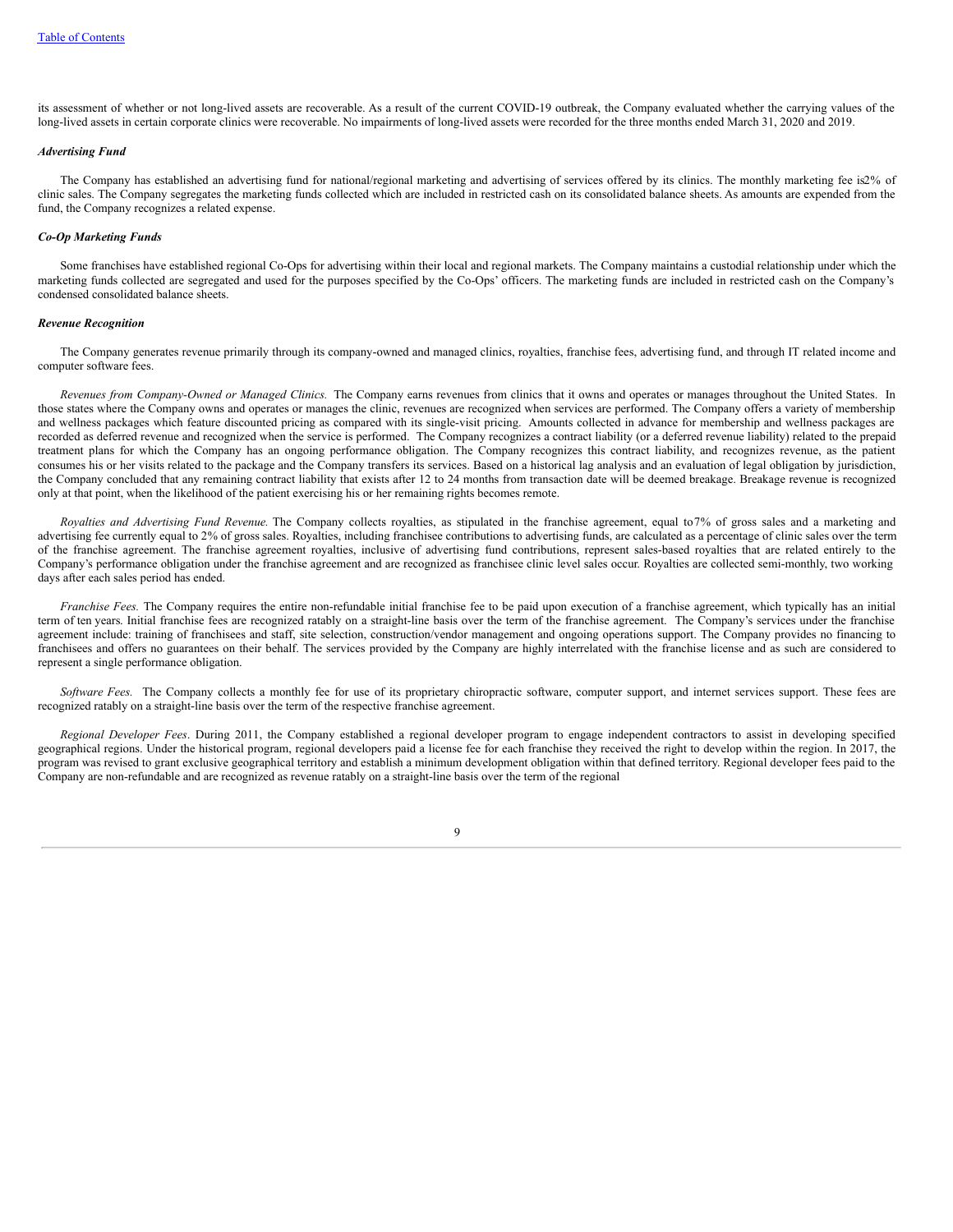its assessment of whether or not long-lived assets are recoverable. As a result of the current COVID-19 outbreak, the Company evaluated whether the carrying values of the long-lived assets in certain corporate clinics were recoverable. No impairments of long-lived assets were recorded for the three months ended March 31, 2020 and 2019.

# *Advertising Fund*

The Company has established an advertising fund for national/regional marketing and advertising of services offered by its clinics. The monthly marketing fee is2% of clinic sales. The Company segregates the marketing funds collected which are included in restricted cash on its consolidated balance sheets. As amounts are expended from the fund, the Company recognizes a related expense.

# *Co-Op Marketing Funds*

Some franchises have established regional Co-Ops for advertising within their local and regional markets. The Company maintains a custodial relationship under which the marketing funds collected are segregated and used for the purposes specified by the Co-Ops' officers. The marketing funds are included in restricted cash on the Company's condensed consolidated balance sheets.

#### *Revenue Recognition*

The Company generates revenue primarily through its company-owned and managed clinics, royalties, franchise fees, advertising fund, and through IT related income and computer software fees.

*Revenues from Company-Owned or Managed Clinics.* The Company earns revenues from clinics that it owns and operates or manages throughout the United States. In those states where the Company owns and operates or manages the clinic, revenues are recognized when services are performed. The Company offers a variety of membership and wellness packages which feature discounted pricing as compared with its single-visit pricing. Amounts collected in advance for membership and wellness packages are recorded as deferred revenue and recognized when the service is performed. The Company recognizes a contract liability (or a deferred revenue liability) related to the prepaid treatment plans for which the Company has an ongoing performance obligation. The Company recognizes this contract liability, and recognizes revenue, as the patient consumes his or her visits related to the package and the Company transfers its services. Based on a historical lag analysis and an evaluation of legal obligation by jurisdiction, the Company concluded that any remaining contract liability that exists after 12 to 24 months from transaction date will be deemed breakage. Breakage revenue is recognized only at that point, when the likelihood of the patient exercising his or her remaining rights becomes remote.

*Royalties and Advertising Fund Revenue.* The Company collects royalties, as stipulated in the franchise agreement, equal to7% of gross sales and a marketing and advertising fee currently equal to 2% of gross sales. Royalties, including franchisee contributions to advertising funds, are calculated as a percentage of clinic sales over the term of the franchise agreement. The franchise agreement royalties, inclusive of advertising fund contributions, represent sales-based royalties that are related entirely to the Company's performance obligation under the franchise agreement and are recognized as franchisee clinic level sales occur. Royalties are collected semi-monthly, two working days after each sales period has ended.

*Franchise Fees.* The Company requires the entire non-refundable initial franchise fee to be paid upon execution of a franchise agreement, which typically has an initial term of ten years. Initial franchise fees are recognized ratably on a straight-line basis over the term of the franchise agreement. The Company's services under the franchise agreement include: training of franchisees and staff, site selection, construction/vendor management and ongoing operations support. The Company provides no financing to franchisees and offers no guarantees on their behalf. The services provided by the Company are highly interrelated with the franchise license and as such are considered to represent a single performance obligation.

*Software Fees.* The Company collects a monthly fee for use of its proprietary chiropractic software, computer support, and internet services support. These fees are recognized ratably on a straight-line basis over the term of the respective franchise agreement.

*Regional Developer Fees*. During 2011, the Company established a regional developer program to engage independent contractors to assist in developing specified geographical regions. Under the historical program, regional developers paid a license fee for each franchise they received the right to develop within the region. In 2017, the program was revised to grant exclusive geographical territory and establish a minimum development obligation within that defined territory. Regional developer fees paid to the Company are non-refundable and are recognized as revenue ratably on a straight-line basis over the term of the regional

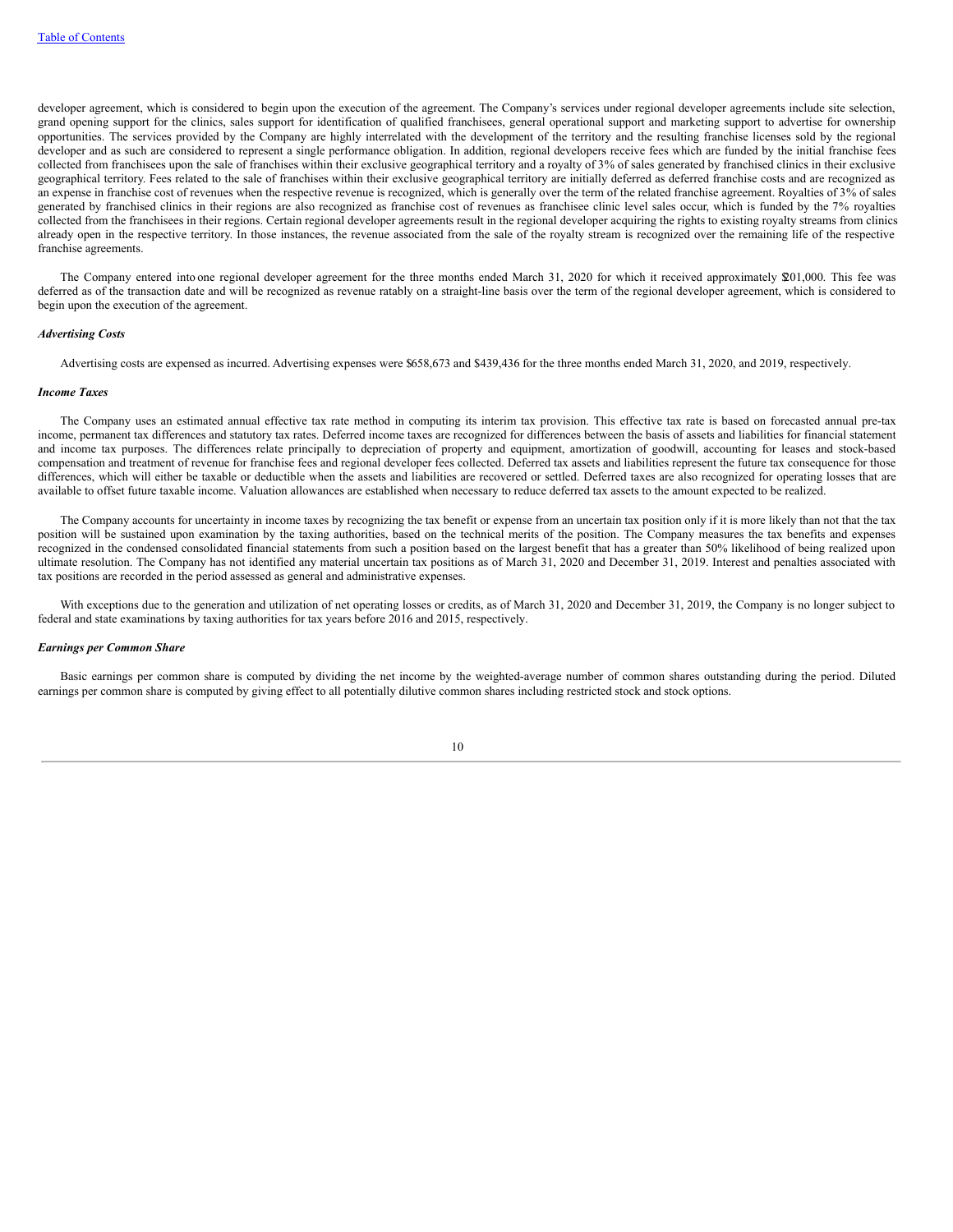developer agreement, which is considered to begin upon the execution of the agreement. The Company's services under regional developer agreements include site selection, grand opening support for the clinics, sales support for identification of qualified franchisees, general operational support and marketing support to advertise for ownership opportunities. The services provided by the Company are highly interrelated with the development of the territory and the resulting franchise licenses sold by the regional developer and as such are considered to represent a single performance obligation. In addition, regional developers receive fees which are funded by the initial franchise fees collected from franchisees upon the sale of franchises within their exclusive geographical territory and a royalty of 3% of sales generated by franchised clinics in their exclusive geographical territory. Fees related to the sale of franchises within their exclusive geographical territory are initially deferred as deferred franchise costs and are recognized as an expense in franchise cost of revenues when the respective revenue is recognized, which is generally over the term of the related franchise agreement. Royalties of 3% of sales generated by franchised clinics in their regions are also recognized as franchise cost of revenues as franchisee clinic level sales occur, which is funded by the 7% royalties collected from the franchisees in their regions. Certain regional developer agreements result in the regional developer acquiring the rights to existing royalty streams from clinics already open in the respective territory. In those instances, the revenue associated from the sale of the royalty stream is recognized over the remaining life of the respective franchise agreements.

The Company entered into one regional developer agreement for the three months ended March 31, 2020 for which it received approximately \$201,000. This fee was deferred as of the transaction date and will be recognized as revenue ratably on a straight-line basis over the term of the regional developer agreement, which is considered to begin upon the execution of the agreement.

## *Advertising Costs*

Advertising costs are expensed as incurred. Advertising expenses were \$658,673 and \$439,436 for the three months ended March 31, 2020, and 2019, respectively.

#### *Income Taxes*

The Company uses an estimated annual effective tax rate method in computing its interim tax provision. This effective tax rate is based on forecasted annual pre-tax income, permanent tax differences and statutory tax rates. Deferred income taxes are recognized for differences between the basis of assets and liabilities for financial statement and income tax purposes. The differences relate principally to depreciation of property and equipment, amortization of goodwill, accounting for leases and stock-based compensation and treatment of revenue for franchise fees and regional developer fees collected. Deferred tax assets and liabilities represent the future tax consequence for those differences, which will either be taxable or deductible when the assets and liabilities are recovered or settled. Deferred taxes are also recognized for operating losses that are available to offset future taxable income. Valuation allowances are established when necessary to reduce deferred tax assets to the amount expected to be realized.

The Company accounts for uncertainty in income taxes by recognizing the tax benefit or expense from an uncertain tax position only if it is more likely than not that the tax position will be sustained upon examination by the taxing authorities, based on the technical merits of the position. The Company measures the tax benefits and expenses recognized in the condensed consolidated financial statements from such a position based on the largest benefit that has a greater than 50% likelihood of being realized upon ultimate resolution. The Company has not identified any material uncertain tax positions as of March 31, 2020 and December 31, 2019. Interest and penalties associated with tax positions are recorded in the period assessed as general and administrative expenses.

With exceptions due to the generation and utilization of net operating losses or credits, as of March 31, 2020 and December 31, 2019, the Company is no longer subject to federal and state examinations by taxing authorities for tax years before 2016 and 2015, respectively.

### *Earnings per Common Share*

Basic earnings per common share is computed by dividing the net income by the weighted-average number of common shares outstanding during the period. Diluted earnings per common share is computed by giving effect to all potentially dilutive common shares including restricted stock and stock options.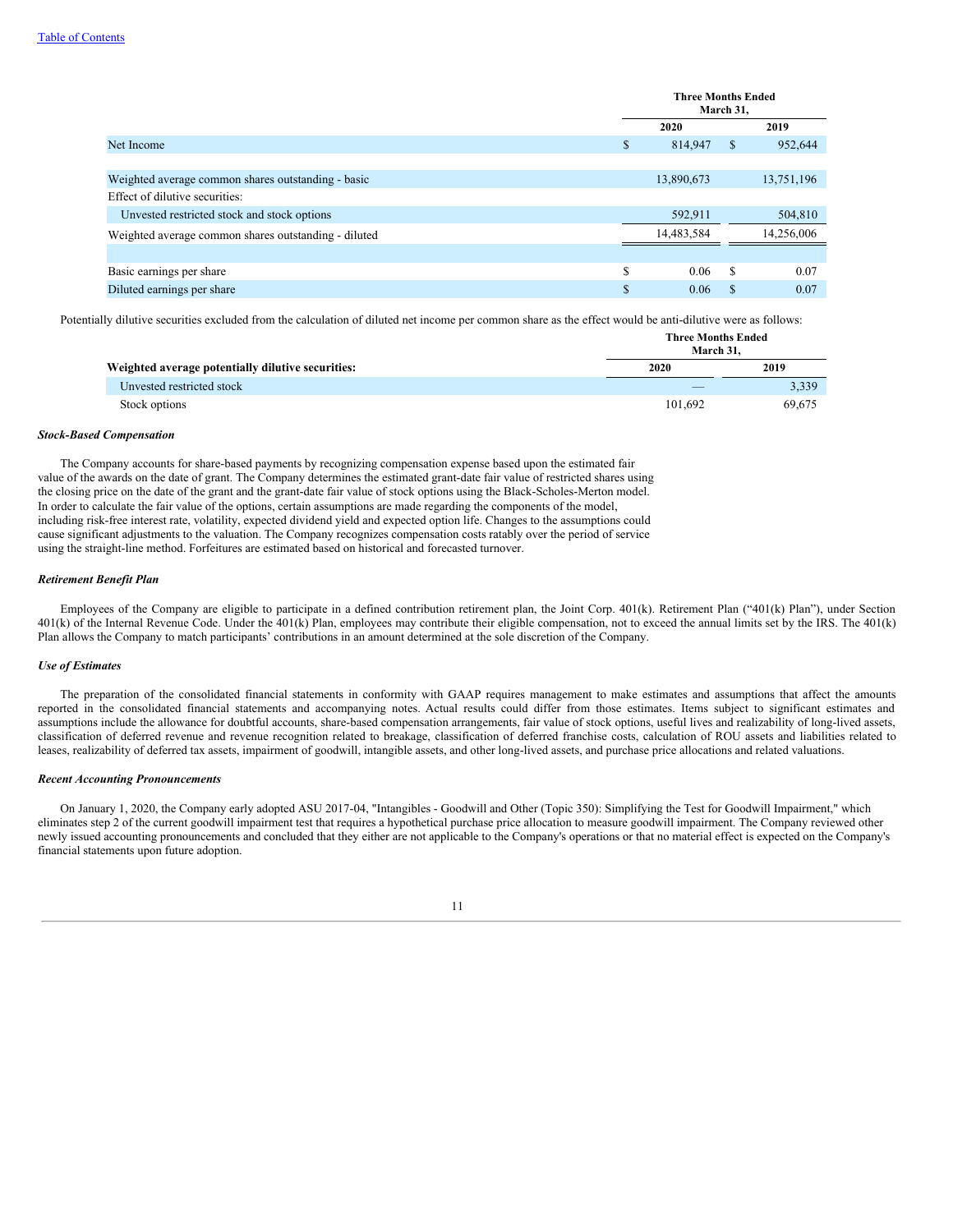| <b>Three Months Ended</b><br>March 31, |                          |            |
|----------------------------------------|--------------------------|------------|
| 2020                                   |                          | 2019       |
| 814,947                                | S                        | 952,644    |
|                                        |                          |            |
|                                        |                          | 13,751,196 |
|                                        |                          |            |
| 592,911                                |                          | 504,810    |
|                                        |                          | 14,256,006 |
|                                        |                          |            |
| 0.06                                   | S                        | 0.07       |
| 0.06                                   | S                        | 0.07       |
|                                        | 13,890,673<br>14,483,584 |            |

Potentially dilutive securities excluded from the calculation of diluted net income per common share as the effect would be anti-dilutive were as follows:

|                                                   | <b>Three Months Ended</b><br>March 31. |        |
|---------------------------------------------------|----------------------------------------|--------|
| Weighted average potentially dilutive securities: | 2020                                   | 2019   |
| Unvested restricted stock                         |                                        | 3,339  |
| Stock options                                     | 101.692                                | 69.675 |

## *Stock-Based Compensation*

The Company accounts for share-based payments by recognizing compensation expense based upon the estimated fair value of the awards on the date of grant. The Company determines the estimated grant-date fair value of restricted shares using the closing price on the date of the grant and the grant-date fair value of stock options using the Black-Scholes-Merton model. In order to calculate the fair value of the options, certain assumptions are made regarding the components of the model, including risk-free interest rate, volatility, expected dividend yield and expected option life. Changes to the assumptions could cause significant adjustments to the valuation. The Company recognizes compensation costs ratably over the period of service using the straight-line method. Forfeitures are estimated based on historical and forecasted turnover.

## *Retirement Benefit Plan*

Employees of the Company are eligible to participate in a defined contribution retirement plan, the Joint Corp. 401(k). Retirement Plan ("401(k) Plan"), under Section 401(k) of the Internal Revenue Code. Under the 401(k) Plan, employees may contribute their eligible compensation, not to exceed the annual limits set by the IRS. The 401(k) Plan allows the Company to match participants' contributions in an amount determined at the sole discretion of the Company.

## *Use of Estimates*

The preparation of the consolidated financial statements in conformity with GAAP requires management to make estimates and assumptions that affect the amounts reported in the consolidated financial statements and accompanying notes. Actual results could differ from those estimates. Items subject to significant estimates and assumptions include the allowance for doubtful accounts, share-based compensation arrangements, fair value of stock options, useful lives and realizability of long-lived assets, classification of deferred revenue and revenue recognition related to breakage, classification of deferred franchise costs, calculation of ROU assets and liabilities related to leases, realizability of deferred tax assets, impairment of goodwill, intangible assets, and other long-lived assets, and purchase price allocations and related valuations.

### *Recent Accounting Pronouncements*

On January 1, 2020, the Company early adopted ASU 2017-04, "Intangibles - Goodwill and Other (Topic 350): Simplifying the Test for Goodwill Impairment," which eliminates step 2 of the current goodwill impairment test that requires a hypothetical purchase price allocation to measure goodwill impairment. The Company reviewed other newly issued accounting pronouncements and concluded that they either are not applicable to the Company's operations or that no material effect is expected on the Company's financial statements upon future adoption.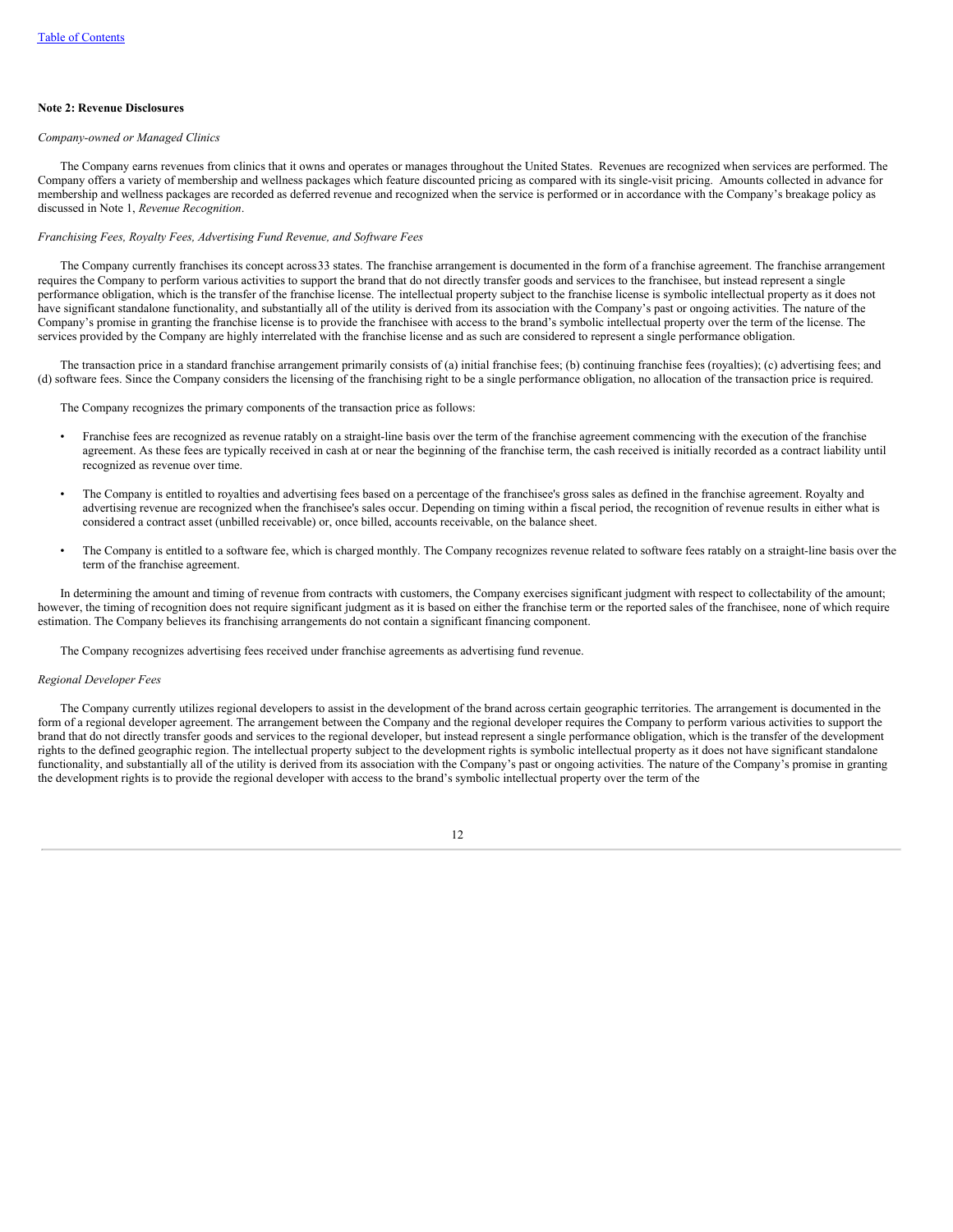## **Note 2: Revenue Disclosures**

#### *Company-owned or Managed Clinics*

The Company earns revenues from clinics that it owns and operates or manages throughout the United States. Revenues are recognized when services are performed. The Company offers a variety of membership and wellness packages which feature discounted pricing as compared with its single-visit pricing. Amounts collected in advance for membership and wellness packages are recorded as deferred revenue and recognized when the service is performed or in accordance with the Company's breakage policy as discussed in Note 1, *Revenue Recognition*.

## *Franchising Fees, Royalty Fees, Advertising Fund Revenue, and Software Fees*

The Company currently franchises its concept across33 states. The franchise arrangement is documented in the form of a franchise agreement. The franchise arrangement requires the Company to perform various activities to support the brand that do not directly transfer goods and services to the franchisee, but instead represent a single performance obligation, which is the transfer of the franchise license. The intellectual property subject to the franchise license is symbolic intellectual property as it does not have significant standalone functionality, and substantially all of the utility is derived from its association with the Company's past or ongoing activities. The nature of the Company's promise in granting the franchise license is to provide the franchisee with access to the brand's symbolic intellectual property over the term of the license. The services provided by the Company are highly interrelated with the franchise license and as such are considered to represent a single performance obligation.

The transaction price in a standard franchise arrangement primarily consists of (a) initial franchise fees; (b) continuing franchise fees (royalties); (c) advertising fees; and (d) software fees. Since the Company considers the licensing of the franchising right to be a single performance obligation, no allocation of the transaction price is required.

The Company recognizes the primary components of the transaction price as follows:

- Franchise fees are recognized as revenue ratably on a straight-line basis over the term of the franchise agreement commencing with the execution of the franchise agreement. As these fees are typically received in cash at or near the beginning of the franchise term, the cash received is initially recorded as a contract liability until recognized as revenue over time.
- The Company is entitled to royalties and advertising fees based on a percentage of the franchisee's gross sales as defined in the franchise agreement. Royalty and advertising revenue are recognized when the franchisee's sales occur. Depending on timing within a fiscal period, the recognition of revenue results in either what is considered a contract asset (unbilled receivable) or, once billed, accounts receivable, on the balance sheet.
- The Company is entitled to a software fee, which is charged monthly. The Company recognizes revenue related to software fees ratably on a straight-line basis over the term of the franchise agreement.

In determining the amount and timing of revenue from contracts with customers, the Company exercises significant judgment with respect to collectability of the amount; however, the timing of recognition does not require significant judgment as it is based on either the franchise term or the reported sales of the franchisee, none of which require estimation. The Company believes its franchising arrangements do not contain a significant financing component.

The Company recognizes advertising fees received under franchise agreements as advertising fund revenue.

#### *Regional Developer Fees*

The Company currently utilizes regional developers to assist in the development of the brand across certain geographic territories. The arrangement is documented in the form of a regional developer agreement. The arrangement between the Company and the regional developer requires the Company to perform various activities to support the brand that do not directly transfer goods and services to the regional developer, but instead represent a single performance obligation, which is the transfer of the development rights to the defined geographic region. The intellectual property subject to the development rights is symbolic intellectual property as it does not have significant standalone functionality, and substantially all of the utility is derived from its association with the Company's past or ongoing activities. The nature of the Company's promise in granting the development rights is to provide the regional developer with access to the brand's symbolic intellectual property over the term of the

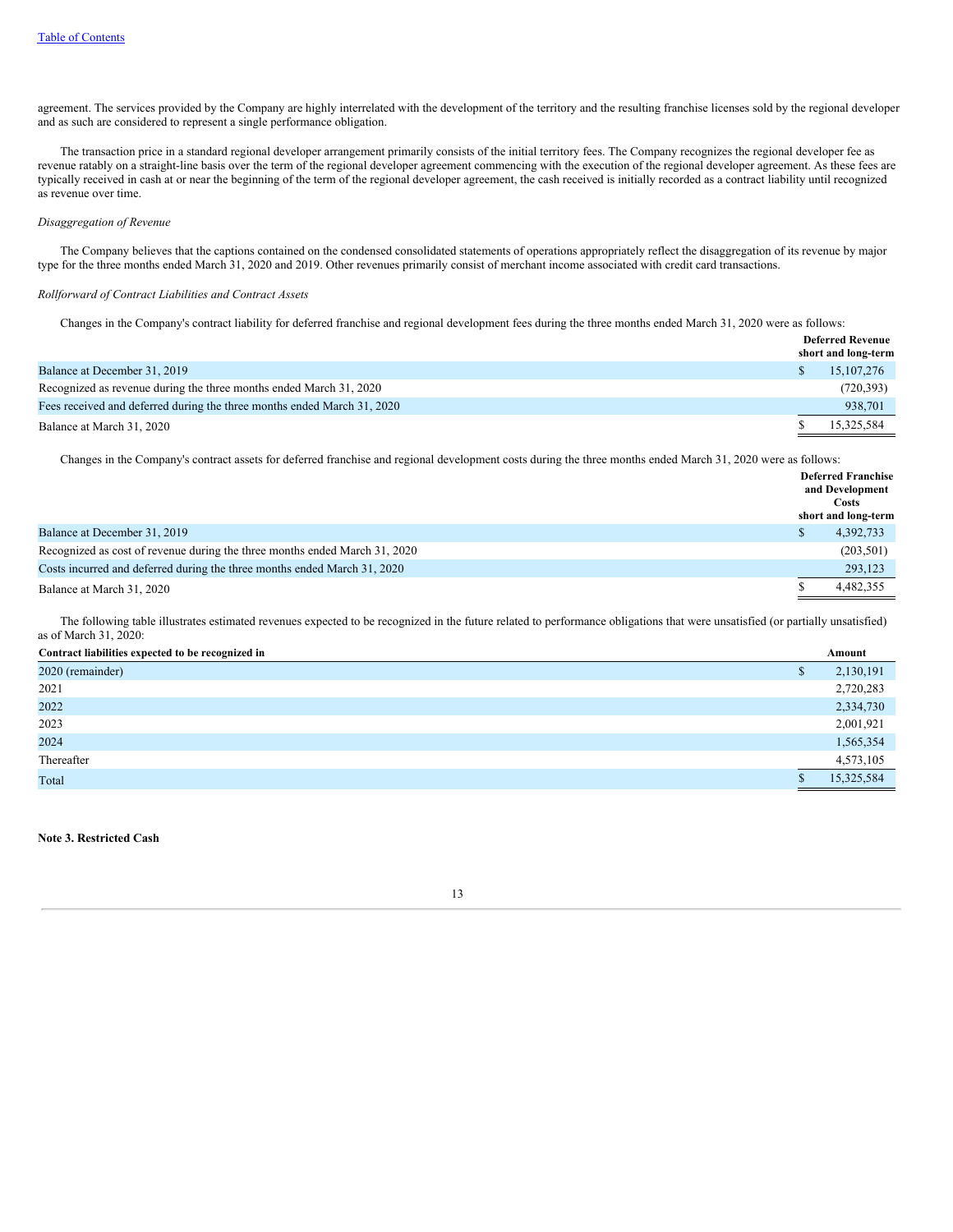agreement. The services provided by the Company are highly interrelated with the development of the territory and the resulting franchise licenses sold by the regional developer and as such are considered to represent a single performance obligation.

The transaction price in a standard regional developer arrangement primarily consists of the initial territory fees. The Company recognizes the regional developer fee as revenue ratably on a straight-line basis over the term of the regional developer agreement commencing with the execution of the regional developer agreement. As these fees are typically received in cash at or near the beginning of the term of the regional developer agreement, the cash received is initially recorded as a contract liability until recognized as revenue over time.

## *Disaggregation of Revenue*

The Company believes that the captions contained on the condensed consolidated statements of operations appropriately reflect the disaggregation of its revenue by major type for the three months ended March 31, 2020 and 2019. Other revenues primarily consist of merchant income associated with credit card transactions.

### *Rollforward of Contract Liabilities and Contract Assets*

Changes in the Company's contract liability for deferred franchise and regional development fees during the three months ended March 31, 2020 were as follows:

|                                                                         | <b>Deferred Revenue</b><br>short and long-term |
|-------------------------------------------------------------------------|------------------------------------------------|
| Balance at December 31, 2019                                            | 15, 107, 276                                   |
| Recognized as revenue during the three months ended March 31, 2020      | (720, 393)                                     |
| Fees received and deferred during the three months ended March 31, 2020 | 938,701                                        |
| Balance at March 31, 2020                                               | 15,325,584                                     |

Changes in the Company's contract assets for deferred franchise and regional development costs during the three months ended March 31, 2020 were as follows:

|                                                                            | <b>Deferred Franchise</b><br>and Development<br>Costs<br>short and long-term |
|----------------------------------------------------------------------------|------------------------------------------------------------------------------|
| Balance at December 31, 2019                                               | 4,392,733                                                                    |
| Recognized as cost of revenue during the three months ended March 31, 2020 | (203, 501)                                                                   |
| Costs incurred and deferred during the three months ended March 31, 2020   | 293,123                                                                      |
| Balance at March 31, 2020                                                  | 4,482,355                                                                    |

The following table illustrates estimated revenues expected to be recognized in the future related to performance obligations that were unsatisfied (or partially unsatisfied) as of March 31, 2020:

| Contract liabilities expected to be recognized in |   | Amount     |
|---------------------------------------------------|---|------------|
| 2020 (remainder)                                  | ъ | 2,130,191  |
| 2021                                              |   | 2,720,283  |
| 2022                                              |   | 2,334,730  |
| 2023                                              |   | 2,001,921  |
| 2024                                              |   | 1,565,354  |
| Thereafter                                        |   | 4,573,105  |
| Total                                             |   | 15,325,584 |

**Note 3. Restricted Cash**

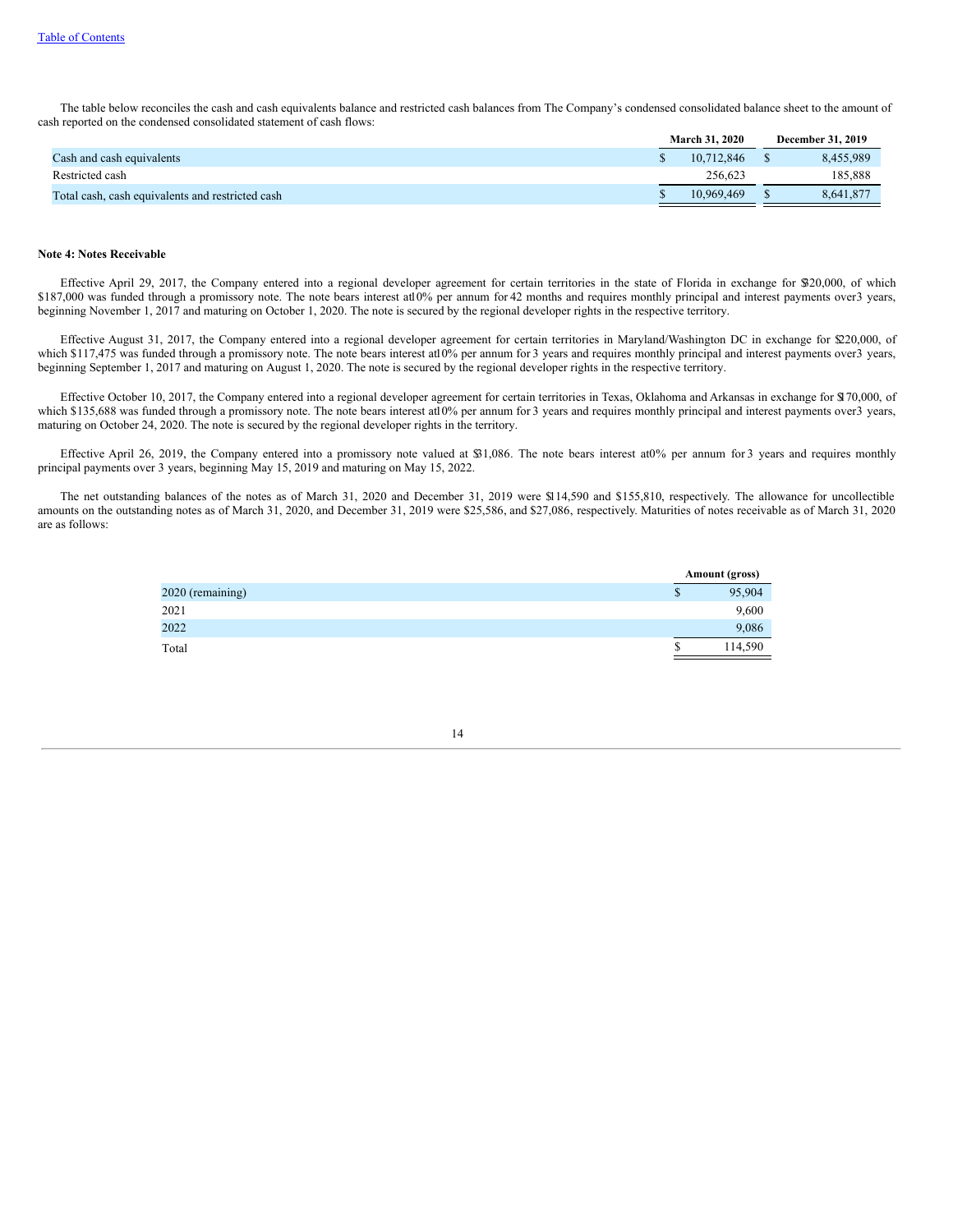The table below reconciles the cash and cash equivalents balance and restricted cash balances from The Company's condensed consolidated balance sheet to the amount of cash reported on the condensed consolidated statement of cash flows:

|                                                  | <b>March 31, 2020</b> | <b>December 31, 2019</b> |
|--------------------------------------------------|-----------------------|--------------------------|
| Cash and cash equivalents                        | 10.712.846            | 8,455,989                |
| Restricted cash                                  | 256,623               | 185.888                  |
| Total cash, cash equivalents and restricted cash | 10.969.469            | 8,641,877                |

## **Note 4: Notes Receivable**

Effective April 29, 2017, the Company entered into a regional developer agreement for certain territories in the state of Florida in exchange for \$320,000, of which \$187,000 was funded through a promissory note. The note bears interest at 0% per annum for 42 months and requires monthly principal and interest payments over3 years, beginning November 1, 2017 and maturing on October 1, 2020. The note is secured by the regional developer rights in the respective territory.

Effective August 31, 2017, the Company entered into a regional developer agreement for certain territories in Maryland/Washington DC in exchange for \$220,000, of which \$117,475 was funded through a promissory note. The note bears interest at 0% per annum for 3 years and requires monthly principal and interest payments over 3 years, beginning September 1, 2017 and maturing on August 1, 2020. The note is secured by the regional developer rights in the respective territory.

Effective October 10, 2017, the Company entered into a regional developer agreement for certain territories in Texas, Oklahoma and Arkansas in exchange for \$170,000, of which \$135,688 was funded through a promissory note. The note bears interest at 0% per annum for 3 years and requires monthly principal and interest payments over 3 years, maturing on October 24, 2020. The note is secured by the regional developer rights in the territory.

Effective April 26, 2019, the Company entered into a promissory note valued at \$31,086. The note bears interest at0% per annum for 3 years and requires monthly principal payments over 3 years, beginning May 15, 2019 and maturing on May 15, 2022.

The net outstanding balances of the notes as of March 31, 2020 and December 31, 2019 were \$114,590 and \$155,810, respectively. The allowance for uncollectible amounts on the outstanding notes as of March 31, 2020, and December 31, 2019 were \$25,586, and \$27,086, respectively. Maturities of notes receivable as of March 31, 2020 are as follows:

|                  | Amount (gross) |         |
|------------------|----------------|---------|
| 2020 (remaining) | S              | 95,904  |
| 2021             |                | 9,600   |
| 2022             |                | 9,086   |
| Total            | S              | 114,590 |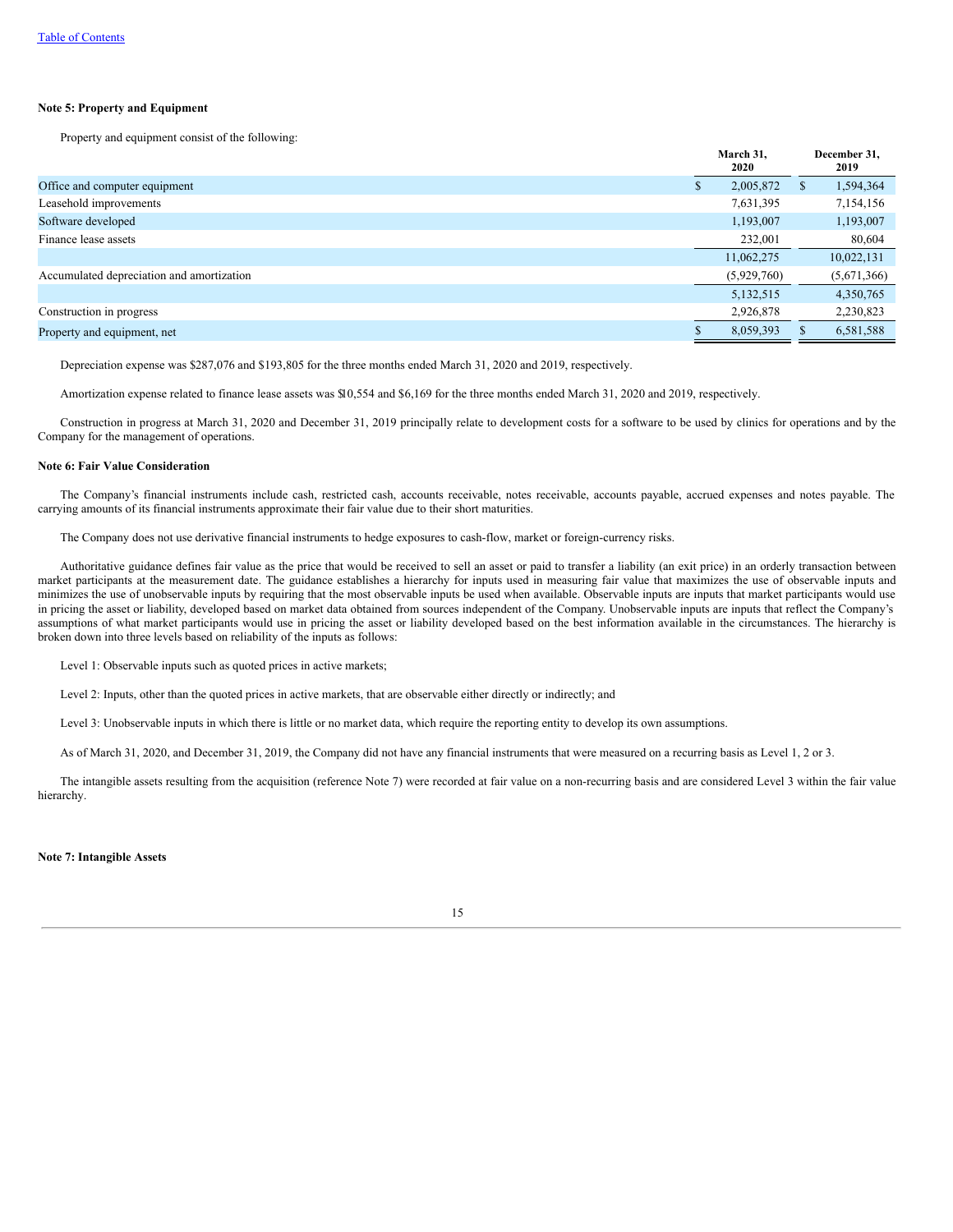#### **Note 5: Property and Equipment**

Property and equipment consist of the following:

|                                           |   | March 31.<br>2020 |              | December 31,<br>2019 |
|-------------------------------------------|---|-------------------|--------------|----------------------|
| Office and computer equipment             | æ | 2,005,872         | <sup>3</sup> | 1,594,364            |
| Leasehold improvements                    |   | 7,631,395         |              | 7,154,156            |
| Software developed                        |   | 1,193,007         |              | 1,193,007            |
| Finance lease assets                      |   | 232,001           |              | 80,604               |
|                                           |   | 11,062,275        |              | 10,022,131           |
| Accumulated depreciation and amortization |   | (5,929,760)       |              | (5,671,366)          |
|                                           |   | 5,132,515         |              | 4,350,765            |
| Construction in progress                  |   | 2,926,878         |              | 2,230,823            |
| Property and equipment, net               |   | 8,059,393         |              | 6,581,588            |

Depreciation expense was \$287,076 and \$193,805 for the three months ended March 31, 2020 and 2019, respectively.

Amortization expense related to finance lease assets was \$10,554 and \$6,169 for the three months ended March 31, 2020 and 2019, respectively.

Construction in progress at March 31, 2020 and December 31, 2019 principally relate to development costs for a software to be used by clinics for operations and by the Company for the management of operations.

#### **Note 6: Fair Value Consideration**

The Company's financial instruments include cash, restricted cash, accounts receivable, notes receivable, accounts payable, accrued expenses and notes payable. The carrying amounts of its financial instruments approximate their fair value due to their short maturities.

The Company does not use derivative financial instruments to hedge exposures to cash-flow, market or foreign-currency risks.

Authoritative guidance defines fair value as the price that would be received to sell an asset or paid to transfer a liability (an exit price) in an orderly transaction between market participants at the measurement date. The guidance establishes a hierarchy for inputs used in measuring fair value that maximizes the use of observable inputs and minimizes the use of unobservable inputs by requiring that the most observable inputs be used when available. Observable inputs are inputs that market participants would use in pricing the asset or liability, developed based on market data obtained from sources independent of the Company. Unobservable inputs are inputs that reflect the Company's assumptions of what market participants would use in pricing the asset or liability developed based on the best information available in the circumstances. The hierarchy is broken down into three levels based on reliability of the inputs as follows:

Level 1: Observable inputs such as quoted prices in active markets;

Level 2: Inputs, other than the quoted prices in active markets, that are observable either directly or indirectly; and

Level 3: Unobservable inputs in which there is little or no market data, which require the reporting entity to develop its own assumptions.

As of March 31, 2020, and December 31, 2019, the Company did not have any financial instruments that were measured on a recurring basis as Level 1, 2 or 3.

The intangible assets resulting from the acquisition (reference Note 7) were recorded at fair value on a non-recurring basis and are considered Level 3 within the fair value hierarchy.

**Note 7: Intangible Assets**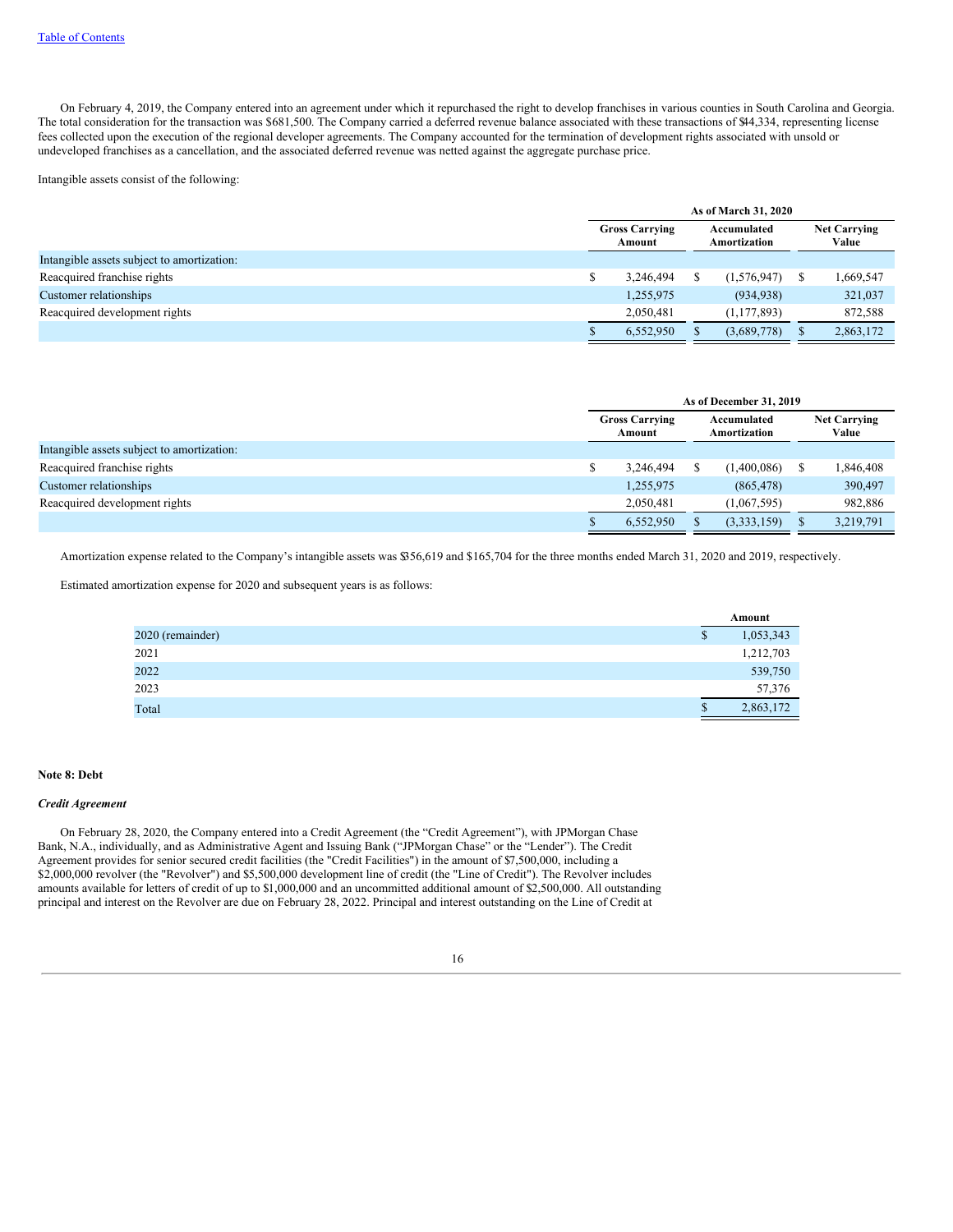On February 4, 2019, the Company entered into an agreement under which it repurchased the right to develop franchises in various counties in South Carolina and Georgia. The total consideration for the transaction was \$681,500. The Company carried a deferred revenue balance associated with these transactions of \$44,334, representing license fees collected upon the execution of the regional developer agreements. The Company accounted for the termination of development rights associated with unsold or undeveloped franchises as a cancellation, and the associated deferred revenue was netted against the aggregate purchase price.

Intangible assets consist of the following:

|                                            |  | As of March 31, 2020            |           |                             |               |  |           |                              |
|--------------------------------------------|--|---------------------------------|-----------|-----------------------------|---------------|--|-----------|------------------------------|
|                                            |  | <b>Gross Carrying</b><br>Amount |           | Accumulated<br>Amortization |               |  |           | <b>Net Carrying</b><br>Value |
| Intangible assets subject to amortization: |  |                                 |           |                             |               |  |           |                              |
| Reacquired franchise rights                |  | S.                              | 3,246,494 |                             | (1,576,947)   |  | 1,669,547 |                              |
| Customer relationships                     |  |                                 | 1,255,975 |                             | (934, 938)    |  | 321,037   |                              |
| Reacquired development rights              |  |                                 | 2,050,481 |                             | (1, 177, 893) |  | 872,588   |                              |
|                                            |  |                                 | 6,552,950 |                             | (3,689,778)   |  | 2,863,172 |                              |

|                                            | As of December 31, 2019         |           |                             |             |  |                              |
|--------------------------------------------|---------------------------------|-----------|-----------------------------|-------------|--|------------------------------|
|                                            | <b>Gross Carrying</b><br>Amount |           | Accumulated<br>Amortization |             |  | <b>Net Carrying</b><br>Value |
| Intangible assets subject to amortization: |                                 |           |                             |             |  |                              |
| Reacquired franchise rights                |                                 | 3.246.494 |                             | (1,400,086) |  | 1,846,408                    |
| Customer relationships                     |                                 | 1,255,975 |                             | (865, 478)  |  | 390,497                      |
| Reacquired development rights              |                                 | 2.050.481 |                             | (1,067,595) |  | 982,886                      |
|                                            |                                 | 6,552,950 |                             | (3,333,159) |  | 3,219,791                    |

Amortization expense related to the Company's intangible assets was \$356,619 and \$165,704 for the three months ended March 31, 2020 and 2019, respectively.

Estimated amortization expense for 2020 and subsequent years is as follows:

|                  |    | Amount    |
|------------------|----|-----------|
| 2020 (remainder) | \$ | 1,053,343 |
| 2021             |    | 1,212,703 |
| 2022             |    | 539,750   |
| 2023             |    | 57,376    |
| Total            | S  | 2,863,172 |

**Amount**

#### **Note 8: Debt**

## *Credit Agreement*

On February 28, 2020, the Company entered into a Credit Agreement (the "Credit Agreement"), with JPMorgan Chase Bank, N.A., individually, and as Administrative Agent and Issuing Bank ("JPMorgan Chase" or the "Lender"). The Credit Agreement provides for senior secured credit facilities (the "Credit Facilities") in the amount of \$7,500,000, including a \$2,000,000 revolver (the "Revolver") and \$5,500,000 development line of credit (the "Line of Credit"). The Revolver includes amounts available for letters of credit of up to \$1,000,000 and an uncommitted additional amount of \$2,500,000. All outstanding principal and interest on the Revolver are due on February 28, 2022. Principal and interest outstanding on the Line of Credit at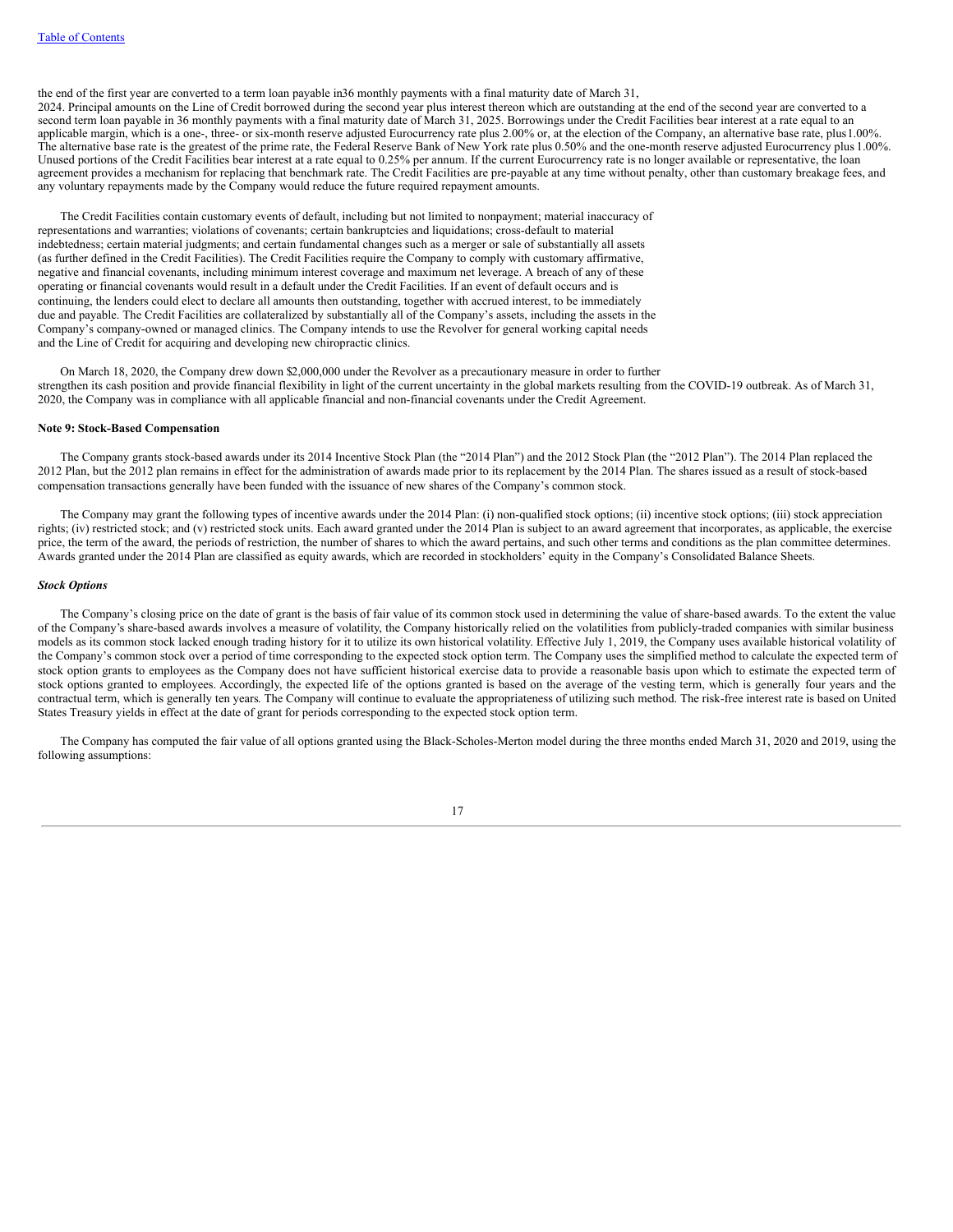the end of the first year are converted to a term loan payable in36 monthly payments with a final maturity date of March 31,

2024. Principal amounts on the Line of Credit borrowed during the second year plus interest thereon which are outstanding at the end of the second year are converted to a second term loan payable in 36 monthly payments with a final maturity date of March 31, 2025. Borrowings under the Credit Facilities bear interest at a rate equal to an applicable margin, which is a one-, three- or six-month reserve adjusted Eurocurrency rate plus 2.00% or, at the election of the Company, an alternative base rate, plus 1.00%. The alternative base rate is the greatest of the prime rate, the Federal Reserve Bank of New York rate plus 0.50% and the one-month reserve adjusted Eurocurrency plus 1.00%. Unused portions of the Credit Facilities bear interest at a rate equal to 0.25% per annum. If the current Eurocurrency rate is no longer available or representative, the loan agreement provides a mechanism for replacing that benchmark rate. The Credit Facilities are pre-payable at any time without penalty, other than customary breakage fees, and any voluntary repayments made by the Company would reduce the future required repayment amounts.

The Credit Facilities contain customary events of default, including but not limited to nonpayment; material inaccuracy of representations and warranties; violations of covenants; certain bankruptcies and liquidations; cross-default to material indebtedness; certain material judgments; and certain fundamental changes such as a merger or sale of substantially all assets (as further defined in the Credit Facilities). The Credit Facilities require the Company to comply with customary affirmative, negative and financial covenants, including minimum interest coverage and maximum net leverage. A breach of any of these operating or financial covenants would result in a default under the Credit Facilities. If an event of default occurs and is continuing, the lenders could elect to declare all amounts then outstanding, together with accrued interest, to be immediately due and payable. The Credit Facilities are collateralized by substantially all of the Company's assets, including the assets in the Company's company-owned or managed clinics. The Company intends to use the Revolver for general working capital needs and the Line of Credit for acquiring and developing new chiropractic clinics.

On March 18, 2020, the Company drew down \$2,000,000 under the Revolver as a precautionary measure in order to further strengthen its cash position and provide financial flexibility in light of the current uncertainty in the global markets resulting from the COVID-19 outbreak. As of March 31, 2020, the Company was in compliance with all applicable financial and non-financial covenants under the Credit Agreement.

#### **Note 9: Stock-Based Compensation**

The Company grants stock-based awards under its 2014 Incentive Stock Plan (the "2014 Plan") and the 2012 Stock Plan (the "2012 Plan"). The 2014 Plan replaced the 2012 Plan, but the 2012 plan remains in effect for the administration of awards made prior to its replacement by the 2014 Plan. The shares issued as a result of stock-based compensation transactions generally have been funded with the issuance of new shares of the Company's common stock.

The Company may grant the following types of incentive awards under the 2014 Plan: (i) non-qualified stock options; (ii) incentive stock options; (iii) stock appreciation rights; (iv) restricted stock; and (v) restricted stock units. Each award granted under the 2014 Plan is subject to an award agreement that incorporates, as applicable, the exercise price, the term of the award, the periods of restriction, the number of shares to which the award pertains, and such other terms and conditions as the plan committee determines. Awards granted under the 2014 Plan are classified as equity awards, which are recorded in stockholders' equity in the Company's Consolidated Balance Sheets.

#### *Stock Options*

The Company's closing price on the date of grant is the basis of fair value of its common stock used in determining the value of share-based awards. To the extent the value of the Company's share-based awards involves a measure of volatility, the Company historically relied on the volatilities from publicly-traded companies with similar business models as its common stock lacked enough trading history for it to utilize its own historical volatility. Effective July 1, 2019, the Company uses available historical volatility of the Company's common stock over a period of time corresponding to the expected stock option term. The Company uses the simplified method to calculate the expected term of stock option grants to employees as the Company does not have sufficient historical exercise data to provide a reasonable basis upon which to estimate the expected term of stock options granted to employees. Accordingly, the expected life of the options granted is based on the average of the vesting term, which is generally four years and the contractual term, which is generally ten years. The Company will continue to evaluate the appropriateness of utilizing such method. The risk-free interest rate is based on United States Treasury yields in effect at the date of grant for periods corresponding to the expected stock option term.

The Company has computed the fair value of all options granted using the Black-Scholes-Merton model during the three months ended March 31, 2020 and 2019, using the following assumptions:

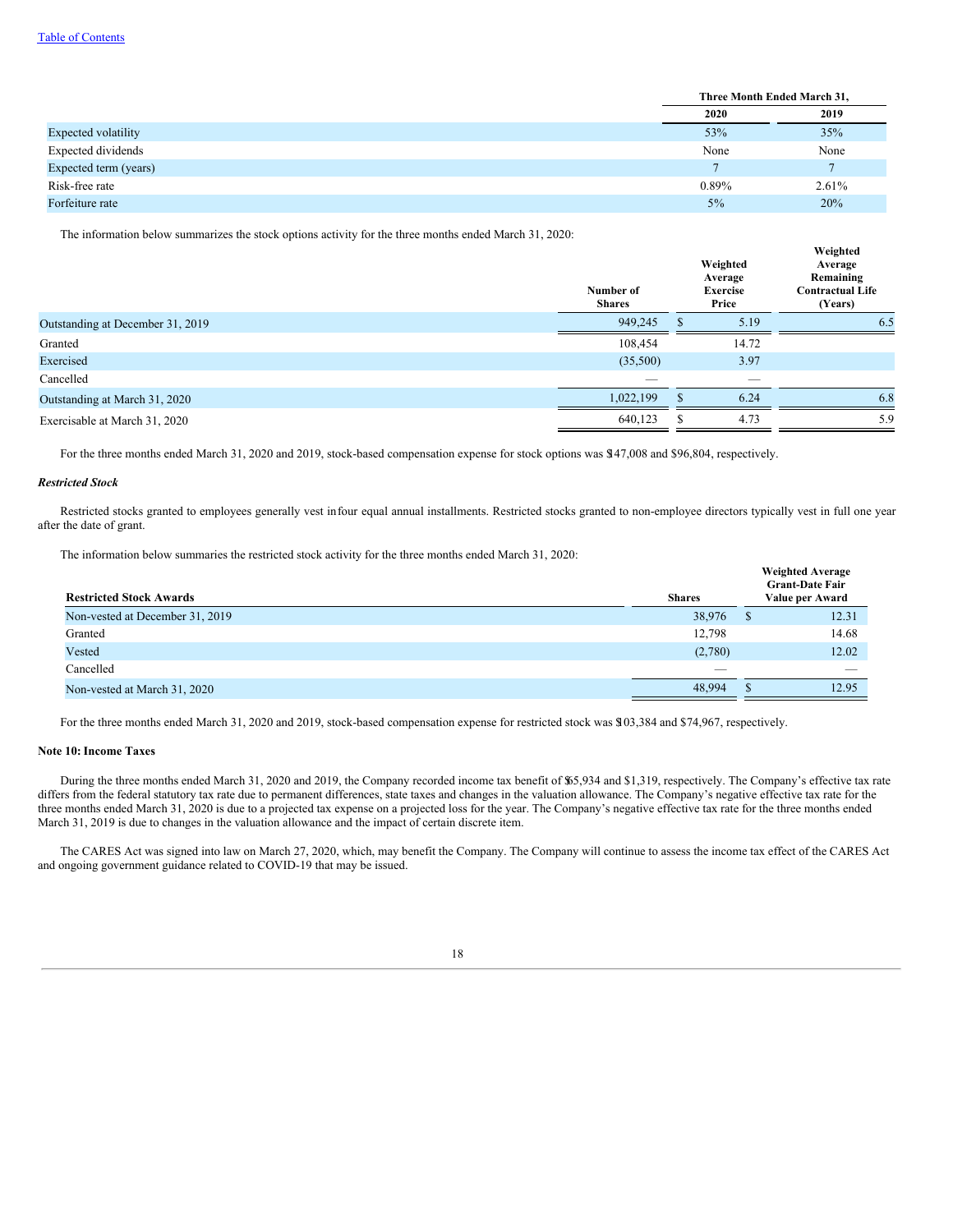|                            | Three Month Ended March 31, |          |
|----------------------------|-----------------------------|----------|
|                            | 2020                        | 2019     |
| <b>Expected volatility</b> | 53%                         | 35%      |
| Expected dividends         | None                        | None     |
| Expected term (years)      |                             |          |
| Risk-free rate             | 0.89%                       | $2.61\%$ |
| Forfeiture rate            | $5\%$                       | 20%      |

The information below summarizes the stock options activity for the three months ended March 31, 2020:

|                                  | Number of<br><b>Shares</b> |    | Weighted<br>Average<br><b>Exercise</b><br>Price | Weighted<br>Average<br>Remaining<br><b>Contractual Life</b><br>(Years) |
|----------------------------------|----------------------------|----|-------------------------------------------------|------------------------------------------------------------------------|
| Outstanding at December 31, 2019 | 949,245                    |    | 5.19                                            | 6.5                                                                    |
| Granted                          | 108,454                    |    | 14.72                                           |                                                                        |
| Exercised                        | (35,500)                   |    | 3.97                                            |                                                                        |
| Cancelled                        |                            |    | _                                               |                                                                        |
| Outstanding at March 31, 2020    | 1,022,199                  |    | 6.24                                            | 6.8                                                                    |
| Exercisable at March 31, 2020    | 640,123                    | Ж. | 4.73                                            | 5.9                                                                    |

For the three months ended March 31, 2020 and 2019, stock-based compensation expense for stock options was \$147,008 and \$96,804, respectively.

## *Restricted Stock*

Restricted stocks granted to employees generally vest in four equal annual installments. Restricted stocks granted to non-employee directors typically vest in full one year after the date of grant.

The information below summaries the restricted stock activity for the three months ended March 31, 2020:

| <b>Restricted Stock Awards</b>  | <b>Shares</b> |    | <b>Weighted Average</b><br><b>Grant-Date Fair</b><br>Value per Award |
|---------------------------------|---------------|----|----------------------------------------------------------------------|
| Non-vested at December 31, 2019 | 38,976        | -S | 12.31                                                                |
| Granted                         | 12,798        |    | 14.68                                                                |
| Vested                          | (2,780)       |    | 12.02                                                                |
| Cancelled                       |               |    |                                                                      |
| Non-vested at March 31, 2020    | 48,994        |    | 12.95                                                                |

For the three months ended March 31, 2020 and 2019, stock-based compensation expense for restricted stock was \$103,384 and \$74,967, respectively.

# **Note 10:Income Taxes**

During the three months ended March 31, 2020 and 2019, the Company recorded income tax benefit of \$65,934 and \$1,319, respectively. The Company's effective tax rate differs from the federal statutory tax rate due to permanent differences, state taxes and changes in the valuation allowance. The Company's negative effective tax rate for the three months ended March 31, 2020 is due to a projected tax expense on a projected loss for the year. The Company's negative effective tax rate for the three months ended March 31, 2019 is due to changes in the valuation allowance and the impact of certain discrete item.

The CARES Act was signed into law on March 27, 2020, which, may benefit the Company. The Company will continue to assess the income tax effect of the CARES Act and ongoing government guidance related to COVID-19 that may be issued.

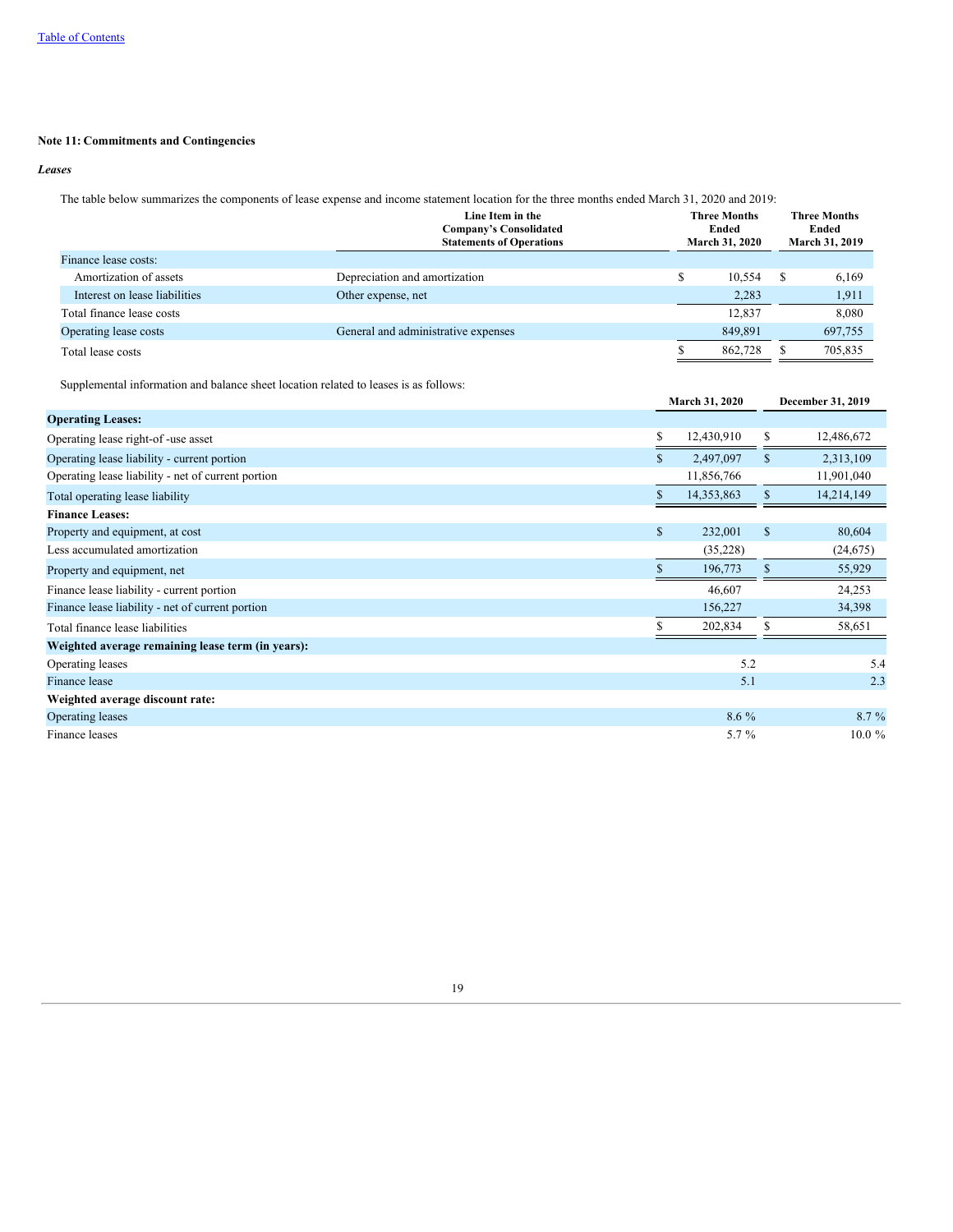# **Note 11: Commitments and Contingencies**

# *Leases*

The table below summarizes the components of lease expense and income statement location for the three months ended March 31, 2020 and 2019:

|                               | Line Item in the<br><b>Company's Consolidated</b><br><b>Statements of Operations</b> | Ended |         | <b>Three Months</b><br><b>Three Months</b><br><b>March 31, 2020</b><br>March 31, 2019 |         |
|-------------------------------|--------------------------------------------------------------------------------------|-------|---------|---------------------------------------------------------------------------------------|---------|
| Finance lease costs:          |                                                                                      |       |         |                                                                                       |         |
| Amortization of assets        | Depreciation and amortization                                                        |       | 10.554  | S                                                                                     | 6,169   |
| Interest on lease liabilities | Other expense, net                                                                   |       | 2,283   |                                                                                       | 1,911   |
| Total finance lease costs     |                                                                                      |       | 12.837  |                                                                                       | 8,080   |
| Operating lease costs         | General and administrative expenses                                                  |       | 849.891 |                                                                                       | 697,755 |
| Total lease costs             |                                                                                      |       | 862.728 |                                                                                       | 705,835 |

Supplemental information and balance sheet location related to leases is as follows:

|                                                    |              | March 31, 2020 |               | December 31, 2019 |  |
|----------------------------------------------------|--------------|----------------|---------------|-------------------|--|
| <b>Operating Leases:</b>                           |              |                |               |                   |  |
| Operating lease right-of-use asset                 | \$           | 12,430,910     | \$            | 12,486,672        |  |
| Operating lease liability - current portion        | \$           | 2,497,097      | <sup>S</sup>  | 2,313,109         |  |
| Operating lease liability - net of current portion |              | 11,856,766     |               | 11,901,040        |  |
| Total operating lease liability                    | \$           | 14,353,863     | $\mathbb{S}$  | 14,214,149        |  |
| <b>Finance Leases:</b>                             |              |                |               |                   |  |
| Property and equipment, at cost                    | $\mathbb{S}$ | 232,001        | $\mathbb{S}$  | 80,604            |  |
| Less accumulated amortization                      |              | (35, 228)      |               | (24, 675)         |  |
| Property and equipment, net                        | $\mathbf{s}$ | 196,773        | <sup>\$</sup> | 55,929            |  |
| Finance lease liability - current portion          |              | 46,607         |               | 24,253            |  |
| Finance lease liability - net of current portion   |              | 156,227        |               | 34,398            |  |
| Total finance lease liabilities                    |              | 202,834        | \$            | 58,651            |  |
| Weighted average remaining lease term (in years):  |              |                |               |                   |  |
| Operating leases                                   |              | 5.2            |               | 5.4               |  |
| Finance lease                                      |              | 5.1            |               | 2.3               |  |
| Weighted average discount rate:                    |              |                |               |                   |  |
| <b>Operating leases</b>                            |              | $8.6\%$        |               | 8.7 %             |  |
| Finance leases                                     |              | $5.7\%$        |               | $10.0 \%$         |  |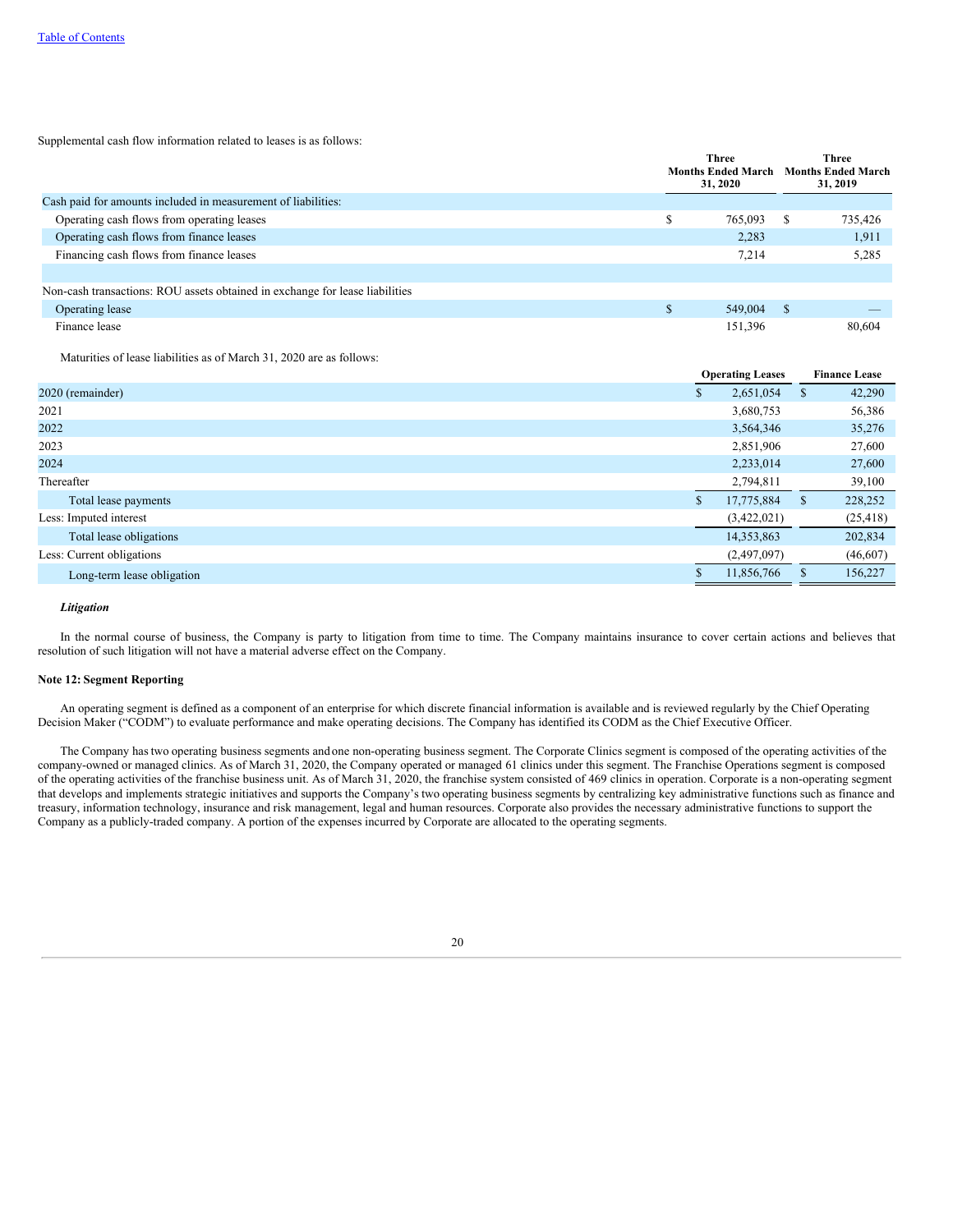Supplemental cash flow information related to leases is as follows:

|                                                                              | <b>Three</b><br><b>Months Ended March Months Ended March</b><br>31, 2020 |    | Three<br>31, 2019 |
|------------------------------------------------------------------------------|--------------------------------------------------------------------------|----|-------------------|
| Cash paid for amounts included in measurement of liabilities:                |                                                                          |    |                   |
| Operating cash flows from operating leases                                   | 765,093                                                                  | £. | 735,426           |
| Operating cash flows from finance leases                                     | 2,283                                                                    |    | 1,911             |
| Financing cash flows from finance leases                                     | 7,214                                                                    |    | 5,285             |
|                                                                              |                                                                          |    |                   |
| Non-cash transactions: ROU assets obtained in exchange for lease liabilities |                                                                          |    |                   |
| Operating lease                                                              | 549,004                                                                  | S  |                   |
| Finance lease                                                                | 151,396                                                                  |    | 80,604            |

Maturities of lease liabilities as of March 31, 2020 are as follows:

|                            | <b>Operating Leases</b> |             | <b>Finance Lease</b> |           |
|----------------------------|-------------------------|-------------|----------------------|-----------|
| 2020 (remainder)           | D                       | 2,651,054   | <sup>\$</sup>        | 42,290    |
| 2021                       |                         | 3,680,753   |                      | 56,386    |
| 2022                       |                         | 3,564,346   |                      | 35,276    |
| 2023                       |                         | 2,851,906   |                      | 27,600    |
| 2024                       |                         | 2,233,014   |                      | 27,600    |
| Thereafter                 |                         | 2,794,811   |                      | 39,100    |
| Total lease payments       | ъ                       | 17,775,884  | \$                   | 228,252   |
| Less: Imputed interest     |                         | (3,422,021) |                      | (25, 418) |
| Total lease obligations    |                         | 14,353,863  |                      | 202,834   |
| Less: Current obligations  |                         | (2,497,097) |                      | (46,607)  |
| Long-term lease obligation |                         | 11,856,766  |                      | 156,227   |

## *Litigation*

In the normal course of business, the Company is party to litigation from time to time. The Company maintains insurance to cover certain actions and believes that resolution of such litigation will not have a material adverse effect on the Company.

#### **Note 12: Segment Reporting**

An operating segment is defined as a component of an enterprise for which discrete financial information is available and is reviewed regularly by the Chief Operating Decision Maker ("CODM") to evaluate performance and make operating decisions. The Company has identified its CODM as the Chief Executive Officer.

The Company hastwo operating business segments and one non-operating business segment. The Corporate Clinics segment is composed of the operating activities of the company-owned or managed clinics. As of March 31, 2020, the Company operated or managed 61 clinics under this segment. The Franchise Operations segment is composed of the operating activities of the franchise business unit. As of March 31, 2020, the franchise system consisted of 469 clinics in operation. Corporate is a non-operating segment that develops and implements strategic initiatives and supports the Company's two operating business segments by centralizing key administrative functions such as finance and treasury, information technology, insurance and risk management, legal and human resources. Corporate also provides the necessary administrative functions to support the Company as a publicly-traded company. A portion of the expenses incurred by Corporate are allocated to the operating segments.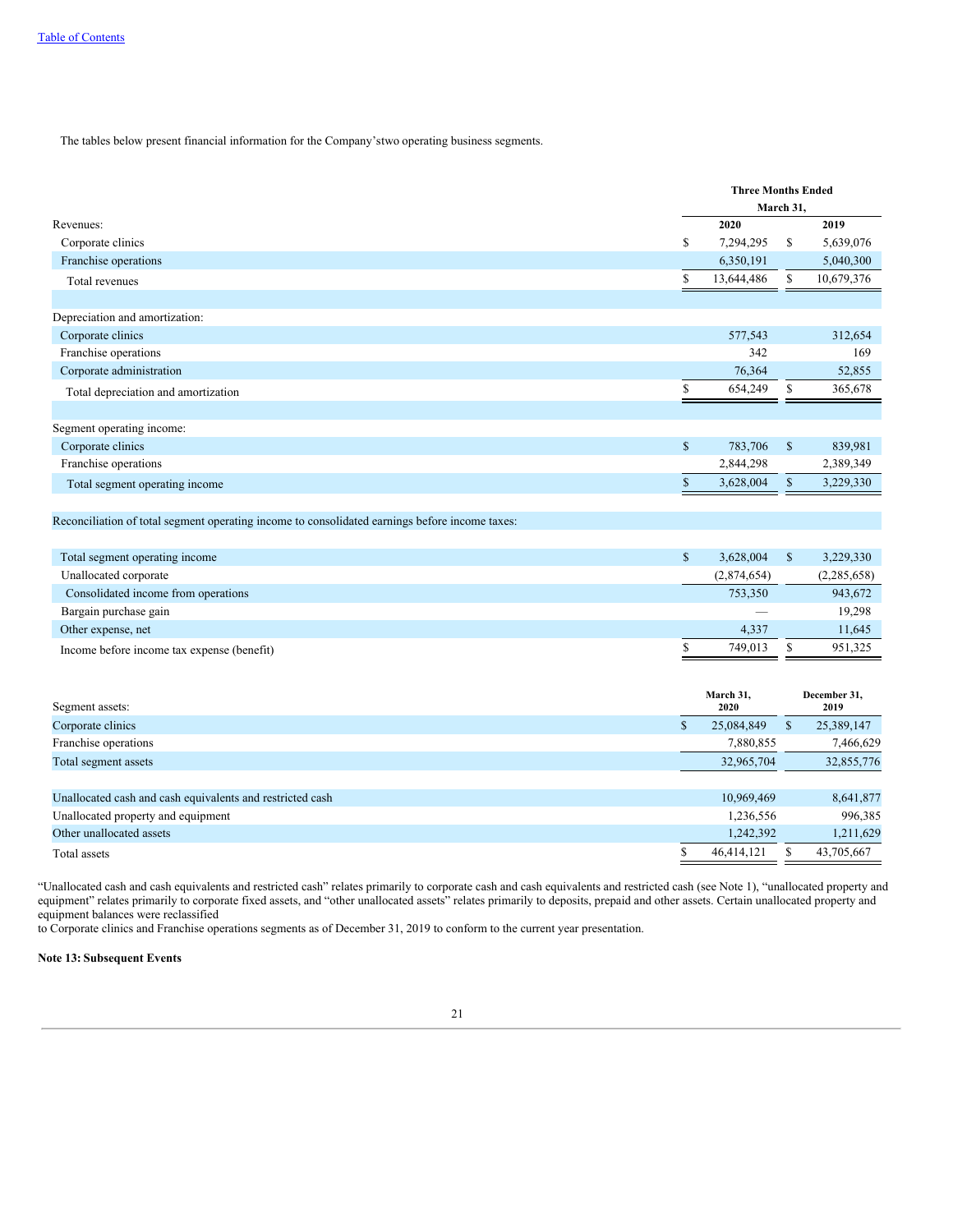The tables below present financial information for the Company'stwo operating business segments.

|                                                                                                |              | <b>Three Months Ended</b><br>March 31, |              |                      |  |  |  |
|------------------------------------------------------------------------------------------------|--------------|----------------------------------------|--------------|----------------------|--|--|--|
| Revenues:                                                                                      |              | 2020                                   |              | 2019                 |  |  |  |
| Corporate clinics                                                                              | \$           | 7,294,295                              | \$           | 5,639,076            |  |  |  |
| Franchise operations                                                                           |              | 6,350,191                              |              | 5,040,300            |  |  |  |
| Total revenues                                                                                 | \$           | 13,644,486                             | \$           | 10,679,376           |  |  |  |
| Depreciation and amortization:                                                                 |              |                                        |              |                      |  |  |  |
| Corporate clinics                                                                              |              | 577,543                                |              | 312,654              |  |  |  |
| Franchise operations                                                                           |              | 342                                    |              | 169                  |  |  |  |
| Corporate administration                                                                       |              | 76.364                                 |              | 52,855               |  |  |  |
| Total depreciation and amortization                                                            | \$           | 654,249                                | \$           | 365,678              |  |  |  |
| Segment operating income:                                                                      |              |                                        |              |                      |  |  |  |
| Corporate clinics                                                                              | $\mathbb{S}$ | 783,706                                | $\mathbb{S}$ | 839,981              |  |  |  |
| Franchise operations                                                                           |              | 2,844,298                              |              | 2,389,349            |  |  |  |
| Total segment operating income                                                                 | \$           | 3,628,004                              | $\mathbb{S}$ | 3,229,330            |  |  |  |
| Reconciliation of total segment operating income to consolidated earnings before income taxes: |              |                                        |              |                      |  |  |  |
| Total segment operating income                                                                 | $\mathbb{S}$ | 3,628,004                              | $\mathbb{S}$ | 3,229,330            |  |  |  |
| Unallocated corporate                                                                          |              | (2,874,654)                            |              | (2, 285, 658)        |  |  |  |
| Consolidated income from operations                                                            |              | 753,350                                |              | 943,672              |  |  |  |
| Bargain purchase gain                                                                          |              |                                        |              | 19,298               |  |  |  |
| Other expense, net                                                                             |              | 4,337                                  |              | 11,645               |  |  |  |
| Income before income tax expense (benefit)                                                     | \$           | 749,013                                | \$           | 951,325              |  |  |  |
| Segment assets:                                                                                |              | March 31,<br>2020                      |              | December 31,<br>2019 |  |  |  |
| Corporate clinics                                                                              | $\mathbf S$  | 25,084,849                             | $\mathbb{S}$ | 25,389,147           |  |  |  |
| Franchise operations                                                                           |              | 7,880,855                              |              | 7,466,629            |  |  |  |
| Total segment assets                                                                           |              | 32,965,704                             |              | 32,855,776           |  |  |  |
| Unallocated cash and cash equivalents and restricted cash                                      |              | 10,969,469                             |              | 8,641,877            |  |  |  |
| Unallocated property and equipment                                                             |              | 1,236,556                              |              | 996,385              |  |  |  |
| Other unallocated assets                                                                       |              | 1,242,392                              |              | 1,211,629            |  |  |  |
| Total assets                                                                                   | $\mathbb{S}$ | 46,414,121                             | $\mathbb{S}$ | 43,705,667           |  |  |  |

"Unallocated cash and cash equivalents and restricted cash" relates primarily to corporate cash and cash equivalents and restricted cash (see Note 1), "unallocated property and equipment" relates primarily to corporate fixed assets, and "other unallocated assets" relates primarily to deposits, prepaid and other assets. Certain unallocated property and equipment balances were reclassified

to Corporate clinics and Franchise operations segments as of December 31, 2019 to conform to the current year presentation.

**Note 13: Subsequent Events**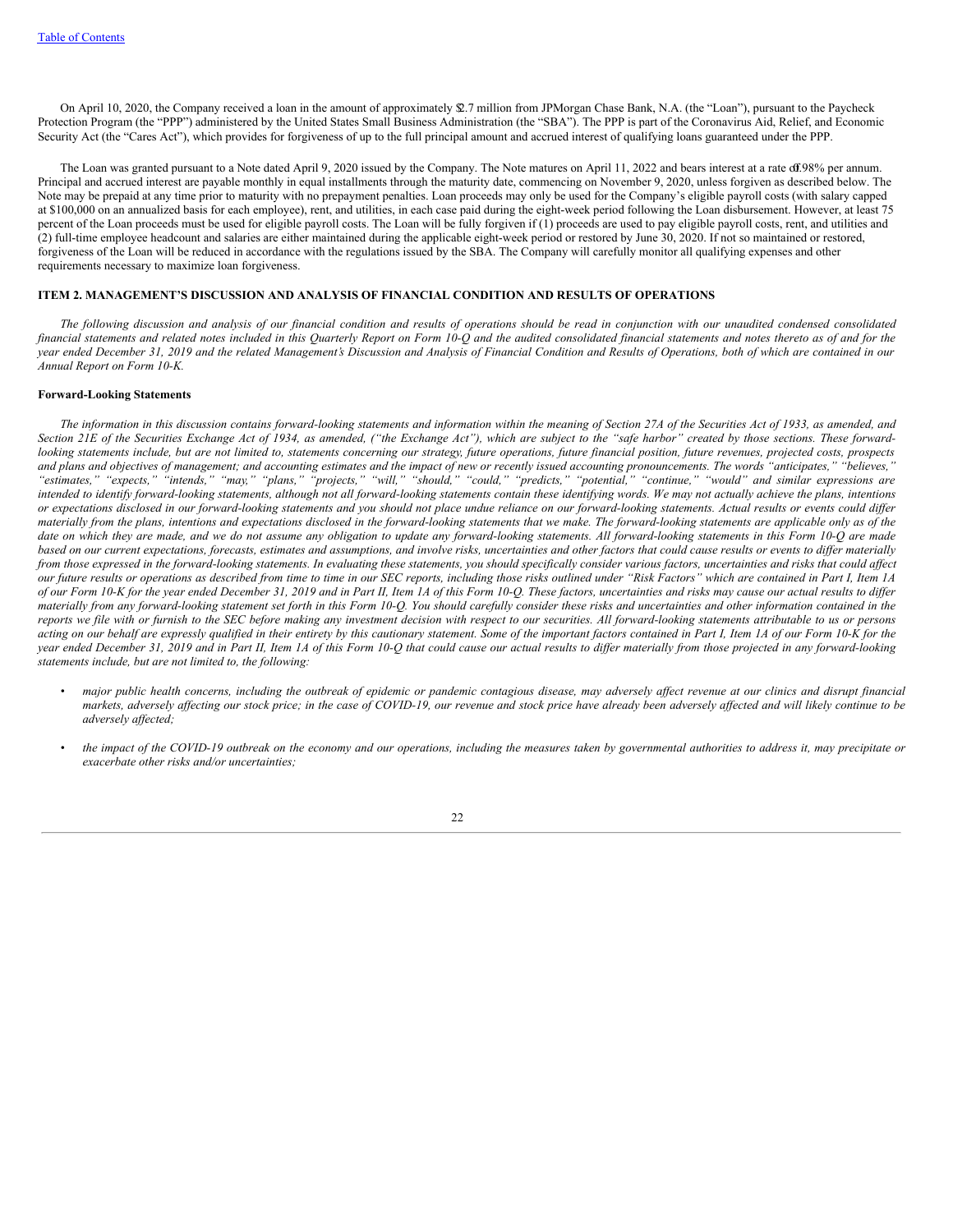On April 10, 2020, the Company received a loan in the amount of approximately \$2.7 million from JPMorgan Chase Bank, N.A. (the "Loan"), pursuant to the Paycheck Protection Program (the "PPP") administered by the United States Small Business Administration (the "SBA"). The PPP is part of the Coronavirus Aid, Relief, and Economic Security Act (the "Cares Act"), which provides for forgiveness of up to the full principal amount and accrued interest of qualifying loans guaranteed under the PPP.

The Loan was granted pursuant to a Note dated April 9, 2020 issued by the Company. The Note matures on April 11, 2022 and bears interest at a rate of 98% per annum. Principal and accrued interest are payable monthly in equal installments through the maturity date, commencing on November 9, 2020, unless forgiven as described below. The Note may be prepaid at any time prior to maturity with no prepayment penalties. Loan proceeds may only be used for the Company's eligible payroll costs (with salary capped at \$100,000 on an annualized basis for each employee), rent, and utilities, in each case paid during the eight-week period following the Loan disbursement. However, at least 75 percent of the Loan proceeds must be used for eligible payroll costs. The Loan will be fully forgiven if (1) proceeds are used to pay eligible payroll costs, rent, and utilities and (2) full-time employee headcount and salaries are either maintained during the applicable eight-week period or restored by June 30, 2020. If not so maintained or restored, forgiveness of the Loan will be reduced in accordance with the regulations issued by the SBA. The Company will carefully monitor all qualifying expenses and other requirements necessary to maximize loan forgiveness.

## <span id="page-24-0"></span>**ITEM 2. MANAGEMENT'S DISCUSSION AND ANALYSIS OF FINANCIAL CONDITION AND RESULTS OF OPERATIONS**

The following discussion and analysis of our financial condition and results of operations should be read in conjunction with our unaudited condensed consolidated financial statements and related notes included in this Quarterly Report on Form 10-Q and the audited consolidated financial statements and notes thereto as of and for the year ended December 31, 2019 and the related Management's Discussion and Analysis of Financial Condition and Results of Operations, both of which are contained in our *Annual Report on Form 10-K.*

## **Forward-Looking Statements**

The information in this discussion contains forward-looking statements and information within the meaning of Section 27A of the Securities Act of 1933, as amended, and Section 21E of the Securities Exchange Act of 1934, as amended, ("the Exchange Act"), which are subject to the "safe harbor" created by those sections. These forwardlooking statements include, but are not limited to, statements concerning our strategy, future operations, future financial position, future revenues, projected costs, prospects and plans and objectives of management; and accounting estimates and the impact of new or recently issued accounting pronouncements. The words "anticipates," "believes," "estimates," "expects," "intends," "may," "plans," "projects," "will," "should," "could," "predicts," "potential," "continue," "would" and similar expressions are intended to identify forward-looking statements, although not all forward-looking statements contain these identifying words. We may not actually achieve the plans, intentions or expectations disclosed in our forward-looking statements and you should not place undue reliance on our forward-looking statements. Actual results or events could differ materially from the plans, intentions and expectations disclosed in the forward-looking statements that we make. The forward-looking statements are applicable only as of the date on which they are made, and we do not assume any obligation to update any forward-looking statements. All forward-looking statements in this Form 10-Q are made based on our current expectations, forecasts, estimates and assumptions, and involve risks, uncertainties and other factors that could cause results or events to differ materially from those expressed in the forward-looking statements. In evaluating these statements, you should specifically consider various factors, uncertainties and risks that could affect our future results or operations as described from time to time in our SEC reports, including those risks outlined under "Risk Factors" which are contained in Part I, Item 1A of our Form 10-K for the year ended December 31, 2019 and in Part II, Item 1A of this Form 10-O. These factors, uncertainties and risks may cause our actual results to differ materially from any forward-looking statement set forth in this Form 10-Q. You should carefully consider these risks and uncertainties and other information contained in the reports we file with or furnish to the SEC before making any investment decision with respect to our securities. All forward-looking statements attributable to us or persons acting on our behalf are expressly qualified in their entirety by this cautionary statement. Some of the important factors contained in Part I, Item 1A of our Form 10-K for the year ended December 31, 2019 and in Part II, Item 1A of this Form 10-Q that could cause our actual results to differ materially from those projected in any forward-looking *statements include, but are not limited to, the following:*

- major public health concerns, including the outbreak of epidemic or pandemic contagious disease, may adversely affect revenue at our clinics and disrupt financial markets, adversely affecting our stock price; in the case of COVID-19, our revenue and stock price have already been adversely affected and will likely continue to be *adversely af ected;*
- the impact of the COVID-19 outbreak on the economy and our operations, including the measures taken by governmental authorities to address it, may precipitate or *exacerbate other risks and/or uncertainties;*

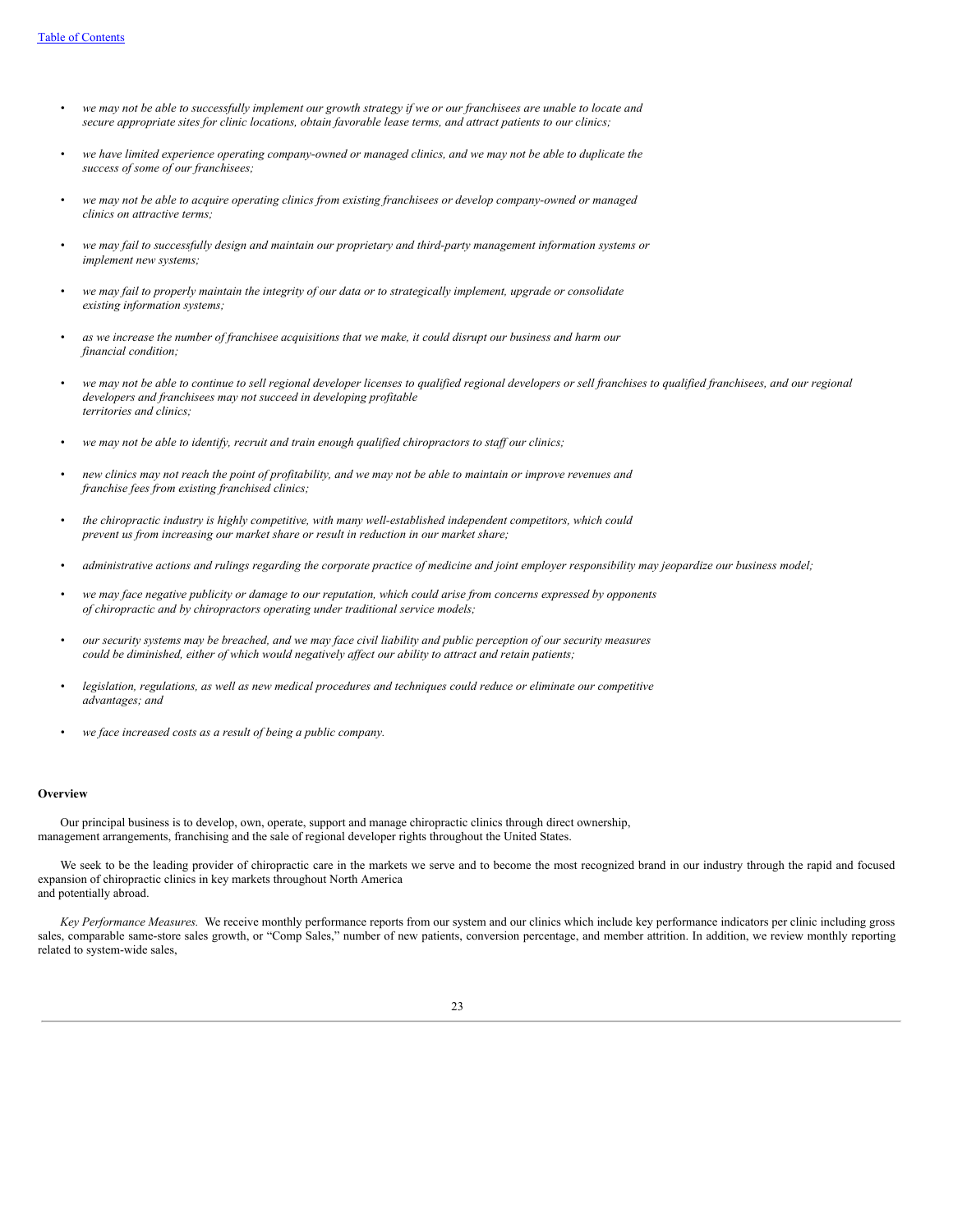- we may not be able to successfully implement our growth strategy if we or our franchisees are unable to locate and secure appropriate sites for clinic locations, obtain favorable lease terms, and attract patients to our clinics;
- we have limited experience operating company-owned or managed clinics, and we may not be able to duplicate the *success of some of our franchisees;*
- we may not be able to acquire operating clinics from existing franchisees or develop company-owned or managed *clinics on attractive terms;*
- we may fail to successfully design and maintain our proprietary and third-party management information systems or *implement new systems;*
- we may fail to properly maintain the integrity of our data or to strategically implement, upgrade or consolidate *existing information systems;*
- as we increase the number of franchisee acquisitions that we make, it could disrupt our business and harm our *financial condition;*
- we may not be able to continue to sell regional developer licenses to qualified regional developers or sell franchises to qualified franchisees, and our regional *developers and franchisees may not succeed in developing profitable territories and clinics;*
- we may not be able to identify, recruit and train enough qualified chiropractors to staff our clinics;
- new clinics may not reach the point of profitability, and we may not be able to maintain or improve revenues and *franchise fees from existing franchised clinics;*
- *• the chiropractic industry is highly competitive, with many well-established independent competitors, which could prevent us from increasing our market share or result in reduction in our market share;*
- administrative actions and rulings regarding the corporate practice of medicine and joint employer responsibility may jeopardize our business model;
- we may face negative publicity or damage to our reputation, which could arise from concerns expressed by opponents *of chiropractic and by chiropractors operating under traditional service models;*
- our security systems may be breached, and we may face civil liability and public perception of our security measures *could be diminished, either of which would negatively af ect our ability to attract and retain patients;*
- legislation, regulations, as well as new medical procedures and techniques could reduce or eliminate our competitive *advantages; and*
- *• we face increased costs as a result of being a public company.*

## **Overview**

Our principal business is to develop, own, operate, support and manage chiropractic clinics through direct ownership, management arrangements, franchising and the sale of regional developer rights throughout the United States.

We seek to be the leading provider of chiropractic care in the markets we serve and to become the most recognized brand in our industry through the rapid and focused expansion of chiropractic clinics in key markets throughout North America and potentially abroad.

*Key Performance Measures.* We receive monthly performance reports from our system and our clinics which include key performance indicators per clinic including gross sales, comparable same-store sales growth, or "Comp Sales," number of new patients, conversion percentage, and member attrition. In addition, we review monthly reporting related to system-wide sales,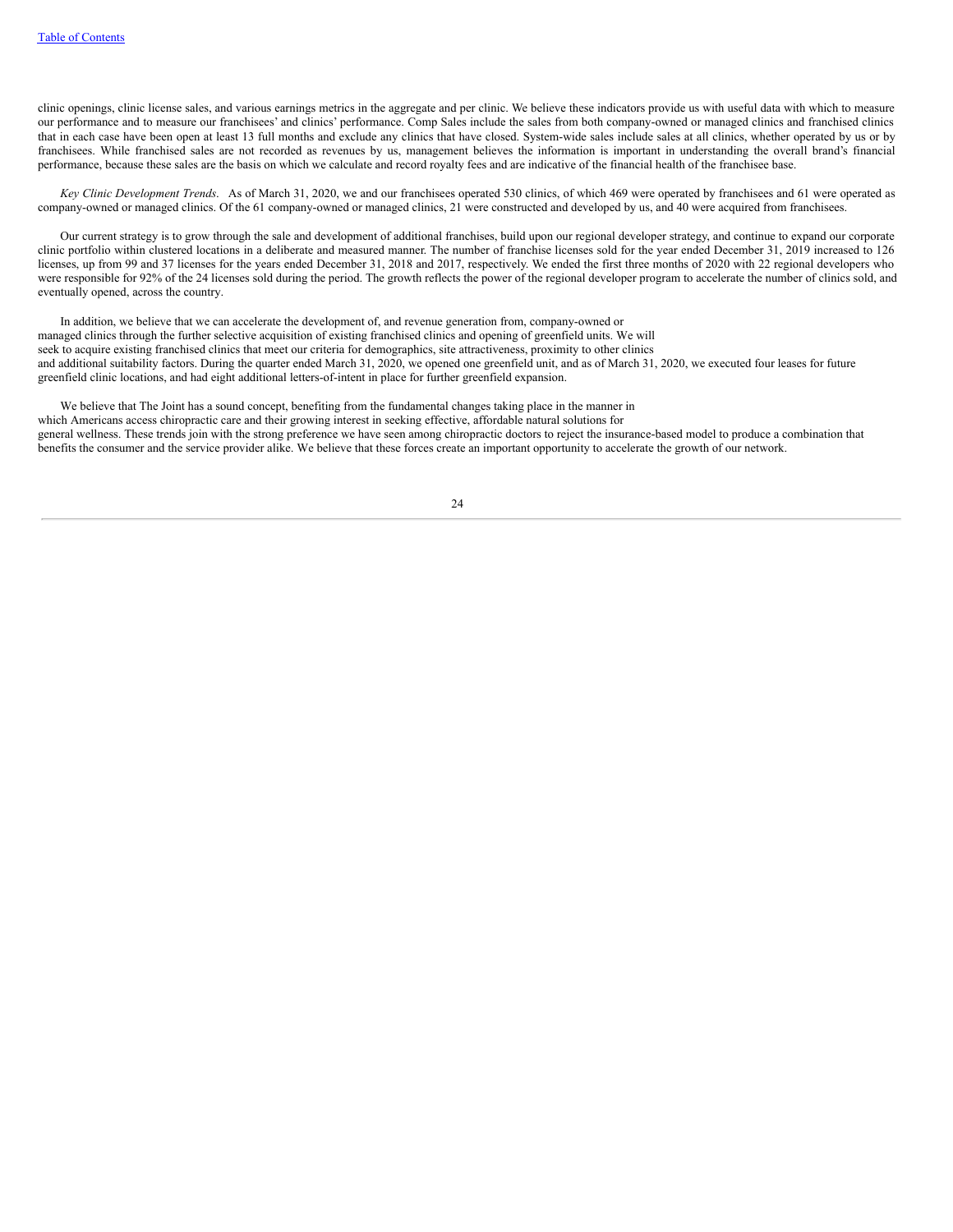clinic openings, clinic license sales, and various earnings metrics in the aggregate and per clinic. We believe these indicators provide us with useful data with which to measure our performance and to measure our franchisees' and clinics' performance. Comp Sales include the sales from both company-owned or managed clinics and franchised clinics that in each case have been open at least 13 full months and exclude any clinics that have closed. System-wide sales include sales at all clinics, whether operated by us or by franchisees. While franchised sales are not recorded as revenues by us, management believes the information is important in understanding the overall brand's financial performance, because these sales are the basis on which we calculate and record royalty fees and are indicative of the financial health of the franchisee base.

*Key Clinic Development Trends*. As of March 31, 2020, we and our franchisees operated 530 clinics, of which 469 were operated by franchisees and 61 were operated as company-owned or managed clinics. Of the 61 company-owned or managed clinics, 21 were constructed and developed by us, and 40 were acquired from franchisees.

Our current strategy is to grow through the sale and development of additional franchises, build upon our regional developer strategy, and continue to expand our corporate clinic portfolio within clustered locations in a deliberate and measured manner. The number of franchise licenses sold for the year ended December 31, 2019 increased to 126 licenses, up from 99 and 37 licenses for the years ended December 31, 2018 and 2017, respectively. We ended the first three months of 2020 with 22 regional developers who were responsible for 92% of the 24 licenses sold during the period. The growth reflects the power of the regional developer program to accelerate the number of clinics sold, and eventually opened, across the country.

In addition, we believe that we can accelerate the development of, and revenue generation from, company-owned or managed clinics through the further selective acquisition of existing franchised clinics and opening of greenfield units. We will seek to acquire existing franchised clinics that meet our criteria for demographics, site attractiveness, proximity to other clinics and additional suitability factors. During the quarter ended March 31, 2020, we opened one greenfield unit, and as of March 31, 2020, we executed four leases for future greenfield clinic locations, and had eight additional letters-of-intent in place for further greenfield expansion.

We believe that The Joint has a sound concept, benefiting from the fundamental changes taking place in the manner in which Americans access chiropractic care and their growing interest in seeking effective, affordable natural solutions for general wellness. These trends join with the strong preference we have seen among chiropractic doctors to reject the insurance-based model to produce a combination that benefits the consumer and the service provider alike. We believe that these forces create an important opportunity to accelerate the growth of our network.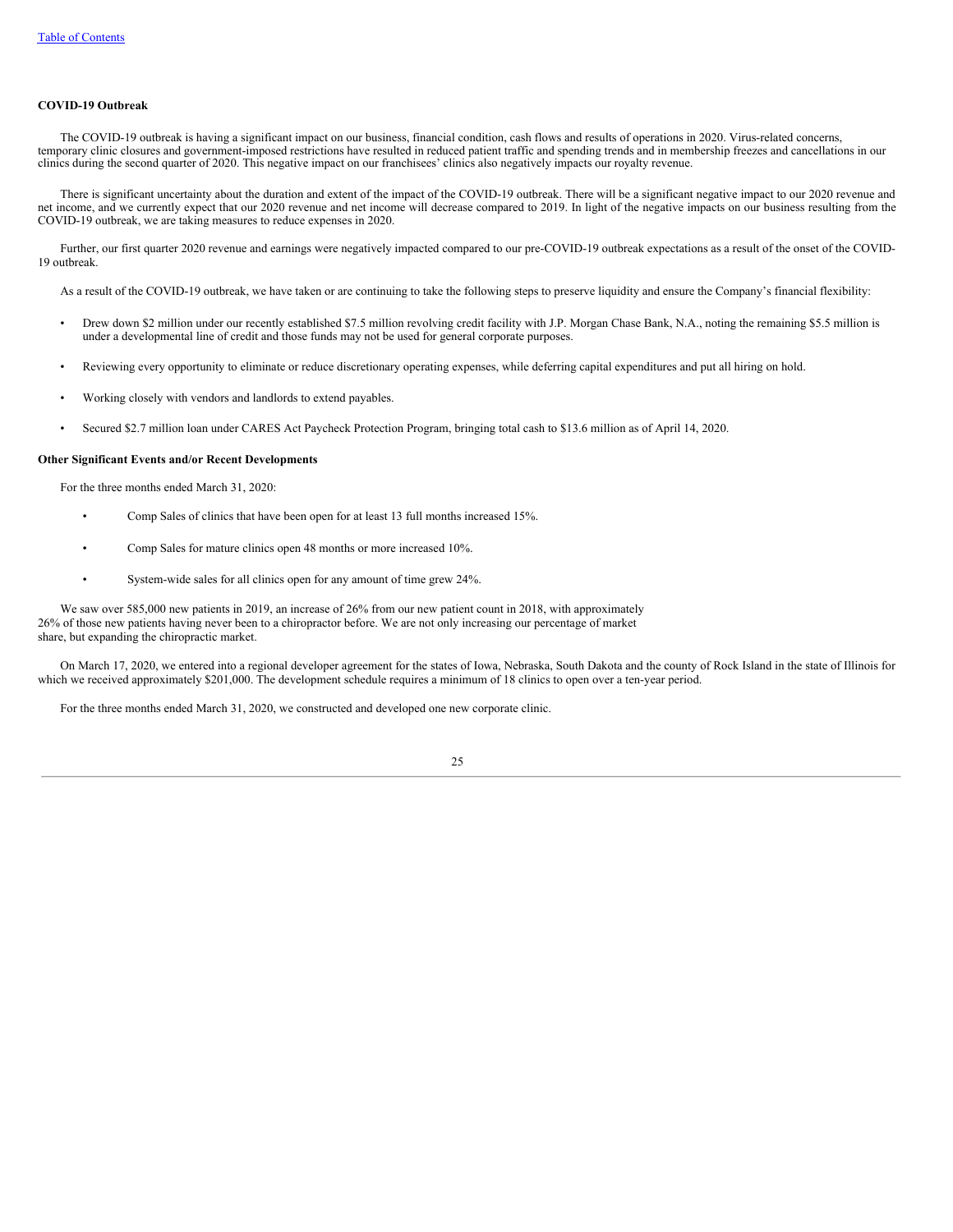# **COVID-19 Outbreak**

The COVID-19 outbreak is having a significant impact on our business, financial condition, cash flows and results of operations in 2020. Virus-related concerns, temporary clinic closures and government-imposed restrictions have resulted in reduced patient traffic and spending trends and in membership freezes and cancellations in our clinics during the second quarter of 2020. This negative impact on our franchisees' clinics also negatively impacts our royalty revenue.

There is significant uncertainty about the duration and extent of the impact of the COVID-19 outbreak. There will be a significant negative impact to our 2020 revenue and net income, and we currently expect that our 2020 revenue and net income will decrease compared to 2019. In light of the negative impacts on our business resulting from the COVID-19 outbreak, we are taking measures to reduce expenses in 2020.

Further, our first quarter 2020 revenue and earnings were negatively impacted compared to our pre-COVID-19 outbreak expectations as a result of the onset of the COVID-19 outbreak.

As a result of the COVID-19 outbreak, we have taken or are continuing to take the following steps to preserve liquidity and ensure the Company's financial flexibility:

- Drew down \$2 million under our recently established \$7.5 million revolving credit facility with J.P. Morgan Chase Bank, N.A., noting the remaining \$5.5 million is under a developmental line of credit and those funds may not be used for general corporate purposes.
- Reviewing every opportunity to eliminate or reduce discretionary operating expenses, while deferring capital expenditures and put all hiring on hold.
- Working closely with vendors and landlords to extend payables.
- Secured \$2.7 million loan under CARES Act Paycheck Protection Program, bringing total cash to \$13.6 million as of April 14, 2020.

## **Other Significant Events and/or Recent Developments**

For the three months ended March 31, 2020:

- Comp Sales of clinics that have been open for at least 13 full months increased 15%.
- Comp Sales for mature clinics open 48 months or more increased 10%.
- System-wide sales for all clinics open for any amount of time grew 24%.

We saw over 585,000 new patients in 2019, an increase of 26% from our new patient count in 2018, with approximately 26% of those new patients having never been to a chiropractor before. We are not only increasing our percentage of market share, but expanding the chiropractic market.

On March 17, 2020, we entered into a regional developer agreement for the states of Iowa, Nebraska, South Dakota and the county of Rock Island in the state of Illinois for which we received approximately \$201,000. The development schedule requires a minimum of 18 clinics to open over a ten-year period.

For the three months ended March 31, 2020, we constructed and developed one new corporate clinic.

| $\sim$ |
|--------|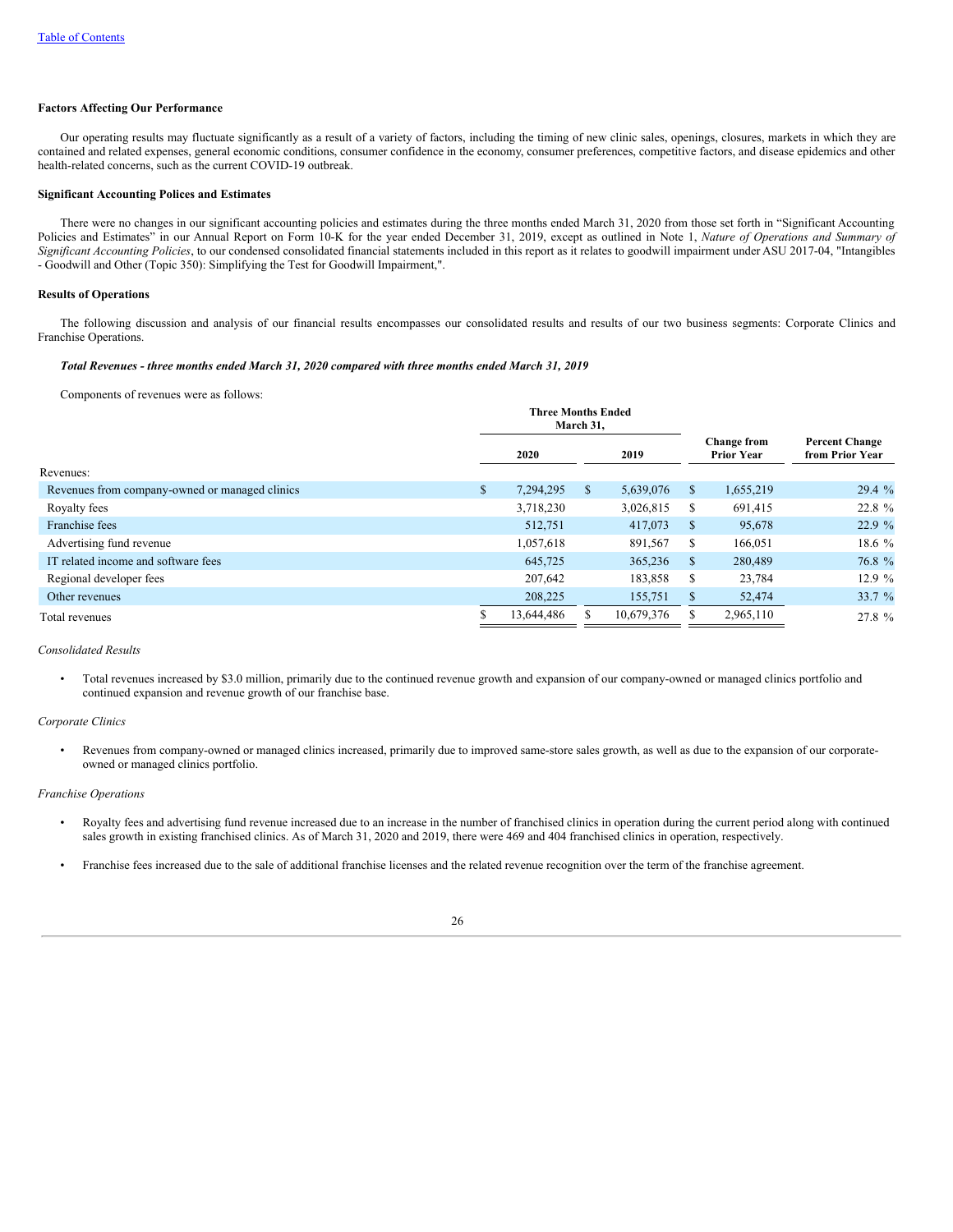## **Factors Affecting Our Performance**

Our operating results may fluctuate significantly as a result of a variety of factors, including the timing of new clinic sales, openings, closures, markets in which they are contained and related expenses, general economic conditions, consumer confidence in the economy, consumer preferences, competitive factors, and disease epidemics and other health-related concerns, such as the current COVID-19 outbreak.

## **Significant Accounting Polices and Estimates**

There were no changes in our significant accounting policies and estimates during the three months ended March 31, 2020 from those set forth in "Significant Accounting Policies and Estimates" in our Annual Report on Form 10-K for the year ended December 31, 2019, except as outlined in Note 1, *Nature of Operations and Summary of Significant Accounting Policies*, to our condensed consolidated financial statements included in this report as it relates to goodwill impairment under ASU 2017-04, "Intangibles - Goodwill and Other (Topic 350): Simplifying the Test for Goodwill Impairment,".

#### **Results of Operations**

The following discussion and analysis of our financial results encompasses our consolidated results and results of our two business segments: Corporate Clinics and Franchise Operations.

### *Total Revenues - three months ended March 31, 2020 compared with three months ended March 31, 2019*

Components of revenues were as follows:

|                                                |              | <b>Three Months Ended</b><br>March 31, |               |                                         |                                          |           |          |
|------------------------------------------------|--------------|----------------------------------------|---------------|-----------------------------------------|------------------------------------------|-----------|----------|
|                                                | 2019<br>2020 |                                        |               | <b>Change from</b><br><b>Prior Year</b> | <b>Percent Change</b><br>from Prior Year |           |          |
| Revenues:                                      |              |                                        |               |                                         |                                          |           |          |
| Revenues from company-owned or managed clinics | $\mathbb{S}$ | 7,294,295                              | <sup>\$</sup> | 5,639,076                               | <sup>S</sup>                             | 1,655,219 | 29.4 %   |
| Royalty fees                                   |              | 3,718,230                              |               | 3,026,815                               | S                                        | 691,415   | 22.8 %   |
| Franchise fees                                 |              | 512,751                                |               | 417,073                                 | <sup>S</sup>                             | 95,678    | 22.9 %   |
| Advertising fund revenue                       |              | 1,057,618                              |               | 891,567                                 | <sup>\$</sup>                            | 166,051   | 18.6 $%$ |
| IT related income and software fees            |              | 645,725                                |               | 365,236                                 | <sup>\$</sup>                            | 280,489   | 76.8 %   |
| Regional developer fees                        |              | 207,642                                |               | 183,858                                 | <sup>\$</sup>                            | 23,784    | 12.9 $%$ |
| Other revenues                                 |              | 208,225                                |               | 155,751                                 | <sup>S</sup>                             | 52,474    | 33.7 %   |
| Total revenues                                 |              | 13,644,486                             |               | 10,679,376                              |                                          | 2,965,110 | 27.8 %   |
|                                                |              |                                        |               |                                         |                                          |           |          |

### *Consolidated Results*

• Total revenues increased by \$3.0 million, primarily due to the continued revenue growth and expansion of our company-owned or managed clinics portfolio and continued expansion and revenue growth of our franchise base.

### *Corporate Clinics*

• Revenues from company-owned or managed clinics increased, primarily due to improved same-store sales growth, as well as due to the expansion of our corporateowned or managed clinics portfolio.

## *Franchise Operations*

- Royalty fees and advertising fund revenue increased due to an increase in the number of franchised clinics in operation during the current period along with continued sales growth in existing franchised clinics. As of March 31, 2020 and 2019, there were 469 and 404 franchised clinics in operation, respectively.
- Franchise fees increased due to the sale of additional franchise licenses and the related revenue recognition over the term of the franchise agreement.

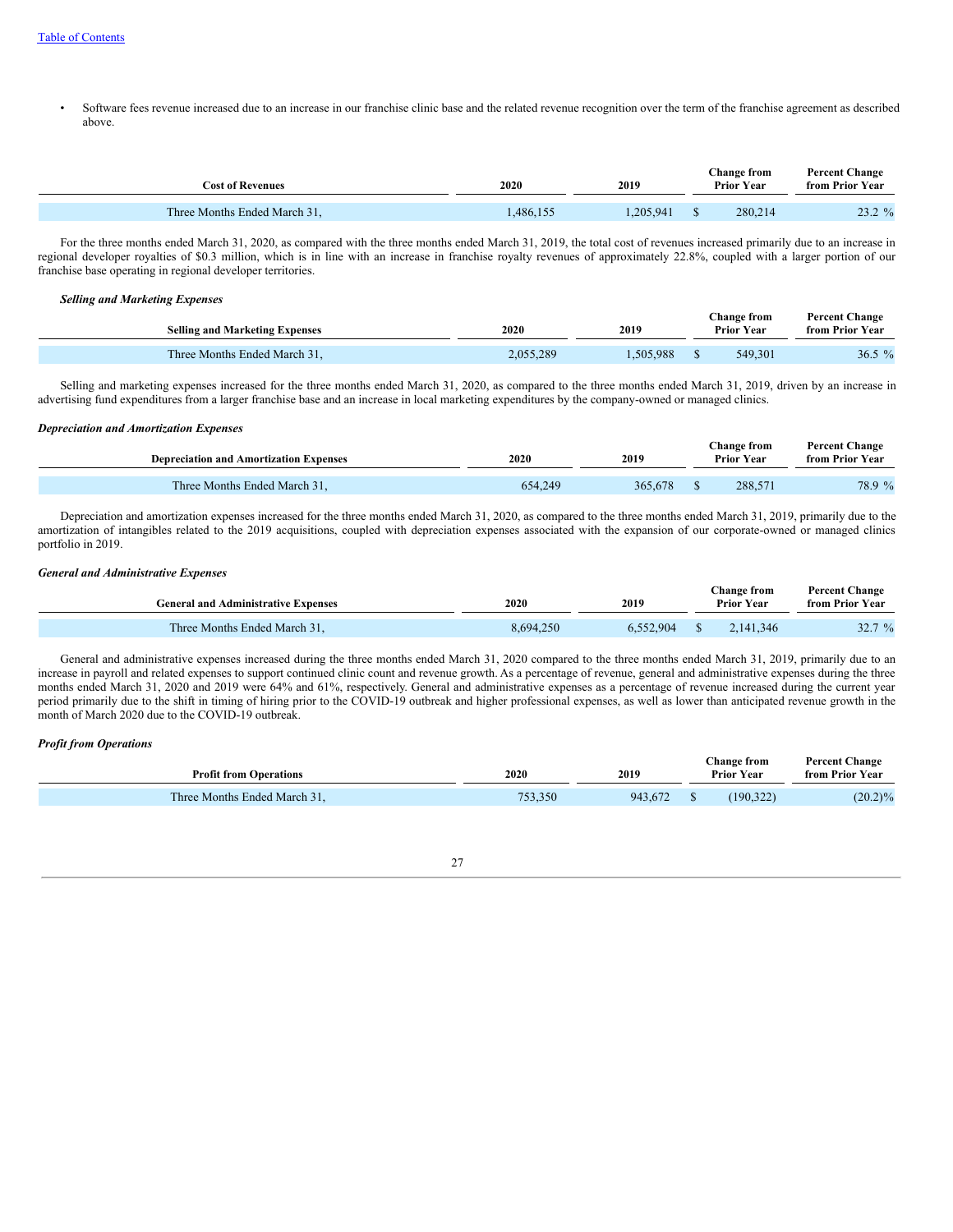• Software fees revenue increased due to an increase in our franchise clinic base and the related revenue recognition over the term of the franchise agreement as described above.

| <b>Cost of Revenues</b>      | 2019<br>2020<br>$\sim$ $\sim$ |           | <b>Change from</b><br><b>Prior Year</b> | <b>Percent Change</b><br>from Prior Year  |
|------------------------------|-------------------------------|-----------|-----------------------------------------|-------------------------------------------|
|                              |                               |           |                                         |                                           |
| Three Months Ended March 31. | .486.155                      | 1,205,941 | 280,214                                 | $2\frac{9}{6}$<br>2 <sup>2</sup><br>ے. دے |

For the three months ended March 31, 2020, as compared with the three months ended March 31, 2019, the total cost of revenues increased primarily due to an increase in regional developer royalties of \$0.3 million, which is in line with an increase in franchise royalty revenues of approximately 22.8%, coupled with a larger portion of our franchise base operating in regional developer territories.

## *Selling and Marketing Expenses*

| <b>Selling and Marketing Expenses</b> | 2020      | 2019     | <b>Change from</b><br><b>Prior Year</b> | <b>Percent Change</b><br>from Prior Year |
|---------------------------------------|-----------|----------|-----------------------------------------|------------------------------------------|
| Three Months Ended March 31.          | 2,055,289 | .505,988 | 549,301                                 | $36.5 \%$                                |

Selling and marketing expenses increased for the three months ended March 31, 2020, as compared to the three months ended March 31, 2019, driven by an increase in advertising fund expenditures from a larger franchise base and an increase in local marketing expenditures by the company-owned or managed clinics.

## *Depreciation and Amortization Expenses*

| <b>Depreciation and Amortization Expenses</b> | 2020    | 2019    | Change from<br><b>Prior Year</b> |         | <b>Percent Change</b><br>from Prior Year |
|-----------------------------------------------|---------|---------|----------------------------------|---------|------------------------------------------|
| Three Months Ended March 31,                  | 654,249 | 365,678 |                                  | 288.571 | 78.9 %                                   |

Depreciation and amortization expenses increased for the three months ended March 31, 2020, as compared to the three months ended March 31, 2019, primarily due to the amortization of intangibles related to the 2019 acquisitions, coupled with depreciation expenses associated with the expansion of our corporate-owned or managed clinics portfolio in 2019.

## *General and Administrative Expenses*

| <b>General and Administrative Expenses</b> | <b>2020</b> | 2019      | Change from<br><b>Prior Year</b> | <b>Percent Change</b><br>from Prior Year |
|--------------------------------------------|-------------|-----------|----------------------------------|------------------------------------------|
|                                            |             |           |                                  |                                          |
| Three Months Ended March 31,               | 8,694,250   | 6.552.904 | 2.141.346                        | 32.7%                                    |

General and administrative expenses increased during the three months ended March 31, 2020 compared to the three months ended March 31, 2019, primarily due to an increase in payroll and related expenses to support continued clinic count and revenue growth. As a percentage of revenue, general and administrative expenses during the three months ended March 31, 2020 and 2019 were 64% and 61%, respectively. General and administrative expenses as a percentage of revenue increased during the current year period primarily due to the shift in timing of hiring prior to the COVID-19 outbreak and higher professional expenses, as well as lower than anticipated revenue growth in the month of March 2020 due to the COVID-19 outbreak.

## *Profit from Operations*

| <b>Profit from Operations</b> | 2020    | 2019    | <b>Change from</b><br><b>Prior Year</b> |            | <b>Percent Change</b><br>from Prior Year |
|-------------------------------|---------|---------|-----------------------------------------|------------|------------------------------------------|
| Three Months Ended March 31,  | 753.350 | 943,672 |                                         | (190, 322) | $(20.2)\%$                               |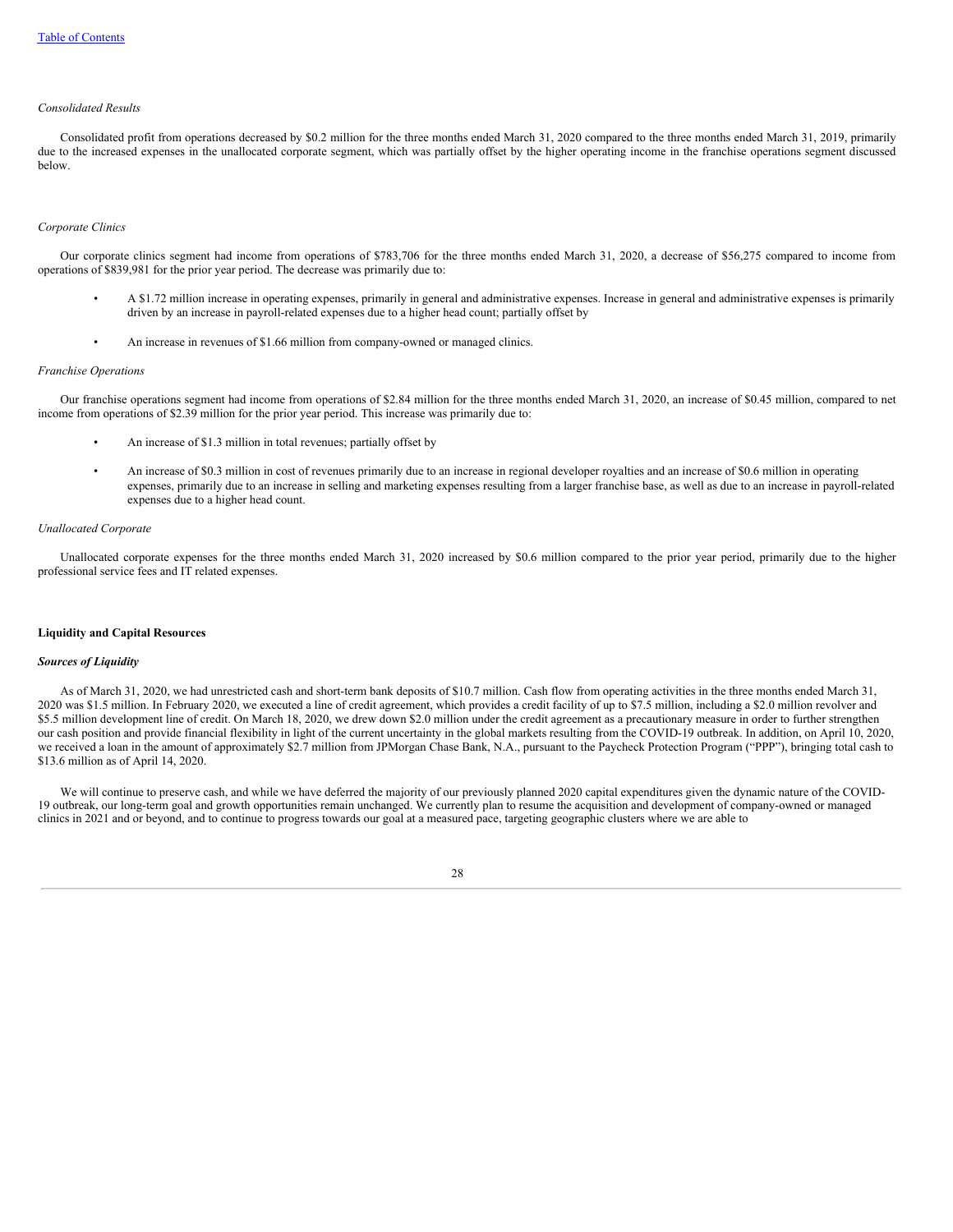# *Consolidated Results*

Consolidated profit from operations decreased by \$0.2 million for the three months ended March 31, 2020 compared to the three months ended March 31, 2019, primarily due to the increased expenses in the unallocated corporate segment, which was partially offset by the higher operating income in the franchise operations segment discussed below.

#### *Corporate Clinics*

Our corporate clinics segment had income from operations of \$783,706 for the three months ended March 31, 2020, a decrease of \$56,275 compared to income from operations of \$839,981 for the prior year period. The decrease was primarily due to:

- A \$1.72 million increase in operating expenses, primarily in general and administrative expenses. Increase in general and administrative expenses is primarily driven by an increase in payroll-related expenses due to a higher head count; partially offset by
- An increase in revenues of \$1.66 million from company-owned or managed clinics.

## *Franchise Operations*

Our franchise operations segment had income from operations of \$2.84 million for the three months ended March 31, 2020, an increase of \$0.45 million, compared to net income from operations of \$2.39 million for the prior year period. This increase was primarily due to:

- An increase of \$1.3 million in total revenues; partially offset by
- An increase of \$0.3 million in cost of revenues primarily due to an increase in regional developer royalties and an increase of \$0.6 million in operating expenses, primarily due to an increase in selling and marketing expenses resulting from a larger franchise base, as well as due to an increase in payroll-related expenses due to a higher head count.

#### *Unallocated Corporate*

Unallocated corporate expenses for the three months ended March 31, 2020 increased by \$0.6 million compared to the prior year period, primarily due to the higher professional service fees and IT related expenses.

## **Liquidity and Capital Resources**

### *Sources of Liquidity*

As of March 31, 2020, we had unrestricted cash and short-term bank deposits of \$10.7 million. Cash flow from operating activities in the three months ended March 31, 2020 was \$1.5 million. In February 2020, we executed a line of credit agreement, which provides a credit facility of up to \$7.5 million, including a \$2.0 million revolver and \$5.5 million development line of credit. On March 18, 2020, we drew down \$2.0 million under the credit agreement as a precautionary measure in order to further strengthen our cash position and provide financial flexibility in light of the current uncertainty in the global markets resulting from the COVID-19 outbreak. In addition, on April 10, 2020, we received a loan in the amount of approximately \$2.7 million from JPMorgan Chase Bank, N.A., pursuant to the Paycheck Protection Program ("PPP"), bringing total cash to \$13.6 million as of April 14, 2020.

We will continue to preserve cash, and while we have deferred the majority of our previously planned 2020 capital expenditures given the dynamic nature of the COVID-19 outbreak, our long-term goal and growth opportunities remain unchanged. We currently plan to resume the acquisition and development of company-owned or managed clinics in 2021 and or beyond, and to continue to progress towards our goal at a measured pace, targeting geographic clusters where we are able to

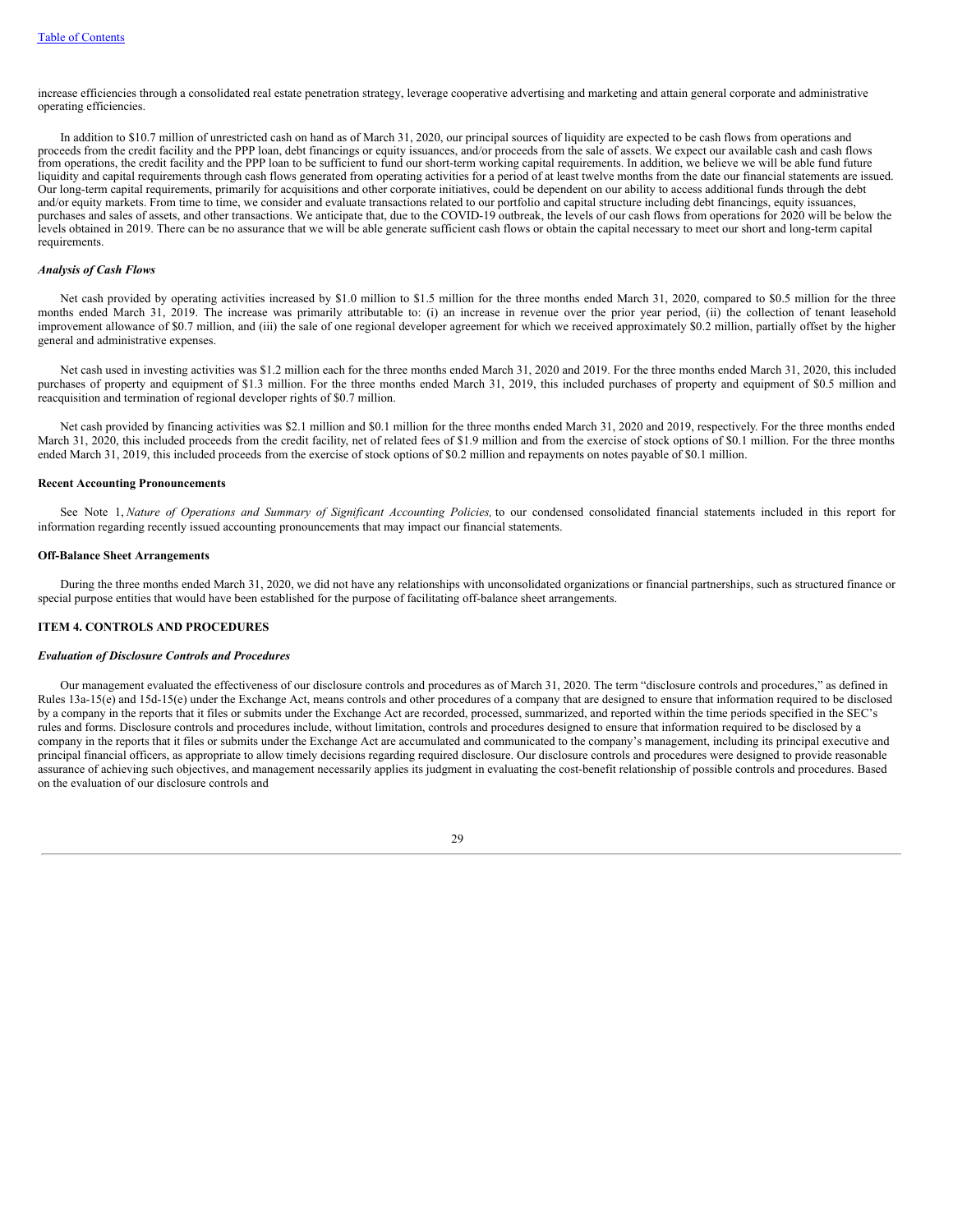increase efficiencies through a consolidated real estate penetration strategy, leverage cooperative advertising and marketing and attain general corporate and administrative operating efficiencies.

In addition to \$10.7 million of unrestricted cash on hand as of March 31, 2020, our principal sources of liquidity are expected to be cash flows from operations and proceeds from the credit facility and the PPP loan, debt financings or equity issuances, and/or proceeds from the sale of assets. We expect our available cash and cash flows from operations, the credit facility and the PPP loan to be sufficient to fund our short-term working capital requirements. In addition, we believe we will be able fund future liquidity and capital requirements through cash flows generated from operating activities for a period of at least twelve months from the date our financial statements are issued. Our long-term capital requirements, primarily for acquisitions and other corporate initiatives, could be dependent on our ability to access additional funds through the debt and/or equity markets. From time to time, we consider and evaluate transactions related to our portfolio and capital structure including debt financings, equity issuances, purchases and sales of assets, and other transactions. We anticipate that, due to the COVID-19 outbreak, the levels of our cash flows from operations for 2020 will be below the levels obtained in 2019. There can be no assurance that we will be able generate sufficient cash flows or obtain the capital necessary to meet our short and long-term capital requirements.

#### *Analysis of Cash Flows*

Net cash provided by operating activities increased by \$1.0 million to \$1.5 million for the three months ended March 31, 2020, compared to \$0.5 million for the three months ended March 31, 2019. The increase was primarily attributable to: (i) an increase in revenue over the prior year period, (ii) the collection of tenant leasehold improvement allowance of \$0.7 million, and (iii) the sale of one regional developer agreement for which we received approximately \$0.2 million, partially offset by the higher general and administrative expenses.

Net cash used in investing activities was \$1.2 million each for the three months ended March 31, 2020 and 2019. For the three months ended March 31, 2020, this included purchases of property and equipment of \$1.3 million. For the three months ended March 31, 2019, this included purchases of property and equipment of \$0.5 million and reacquisition and termination of regional developer rights of \$0.7 million.

Net cash provided by financing activities was \$2.1 million and \$0.1 million for the three months ended March 31, 2020 and 2019, respectively. For the three months ended March 31, 2020, this included proceeds from the credit facility, net of related fees of \$1.9 million and from the exercise of stock options of \$0.1 million. For the three months ended March 31, 2019, this included proceeds from the exercise of stock options of \$0.2 million and repayments on notes payable of \$0.1 million.

#### **Recent Accounting Pronouncements**

See Note 1, *Nature of Operations and Summary of Significant Accounting Policies,* to our condensed consolidated financial statements included in this report for information regarding recently issued accounting pronouncements that may impact our financial statements.

#### **Off-Balance Sheet Arrangements**

During the three months ended March 31, 2020, we did not have any relationships with unconsolidated organizations or financial partnerships, such as structured finance or special purpose entities that would have been established for the purpose of facilitating off-balance sheet arrangements.

### <span id="page-31-0"></span>**ITEM 4. CONTROLS AND PROCEDURES**

## *Evaluation of Disclosure Controls and Procedures*

Our management evaluated the effectiveness of our disclosure controls and procedures as of March 31, 2020. The term "disclosure controls and procedures," as defined in Rules 13a-15(e) and 15d-15(e) under the Exchange Act, means controls and other procedures of a company that are designed to ensure that information required to be disclosed by a company in the reports that it files or submits under the Exchange Act are recorded, processed, summarized, and reported within the time periods specified in the SEC's rules and forms. Disclosure controls and procedures include, without limitation, controls and procedures designed to ensure that information required to be disclosed by a company in the reports that it files or submits under the Exchange Act are accumulated and communicated to the company's management, including its principal executive and principal financial officers, as appropriate to allow timely decisions regarding required disclosure. Our disclosure controls and procedures were designed to provide reasonable assurance of achieving such objectives, and management necessarily applies its judgment in evaluating the cost-benefit relationship of possible controls and procedures. Based on the evaluation of our disclosure controls and

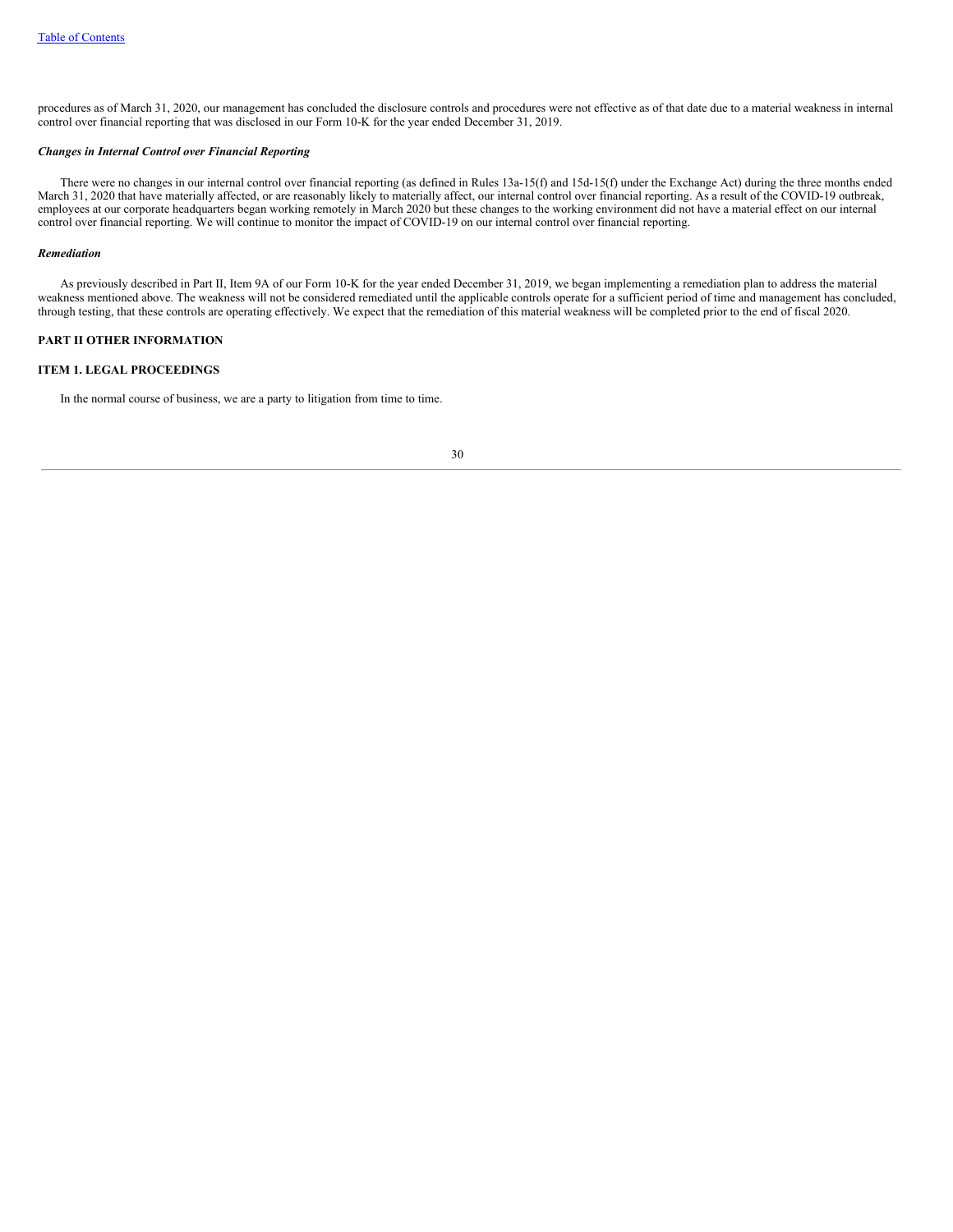procedures as of March 31, 2020, our management has concluded the disclosure controls and procedures were not effective as of that date due to a material weakness in internal control over financial reporting that was disclosed in our Form 10-K for the year ended December 31, 2019.

# *Changes in Internal Control over Financial Reporting*

There were no changes in our internal control over financial reporting (as defined in Rules 13a-15(f) and 15d-15(f) under the Exchange Act) during the three months ended March 31, 2020 that have materially affected, or are reasonably likely to materially affect, our internal control over financial reporting. As a result of the COVID-19 outbreak, employees at our corporate headquarters began working remotely in March 2020 but these changes to the working environment did not have a material effect on our internal control over financial reporting. We will continue to monitor the impact of COVID-19 on our internal control over financial reporting.

#### *Remediation*

As previously described in Part II, Item 9A of our Form 10-K for the year ended December 31, 2019, we began implementing a remediation plan to address the material weakness mentioned above. The weakness will not be considered remediated until the applicable controls operate for a sufficient period of time and management has concluded, through testing, that these controls are operating effectively. We expect that the remediation of this material weakness will be completed prior to the end of fiscal 2020.

# <span id="page-32-1"></span><span id="page-32-0"></span>**PART II OTHER INFORMATION**

# **ITEM 1. LEGAL PROCEEDINGS**

<span id="page-32-2"></span>In the normal course of business, we are a party to litigation from time to time.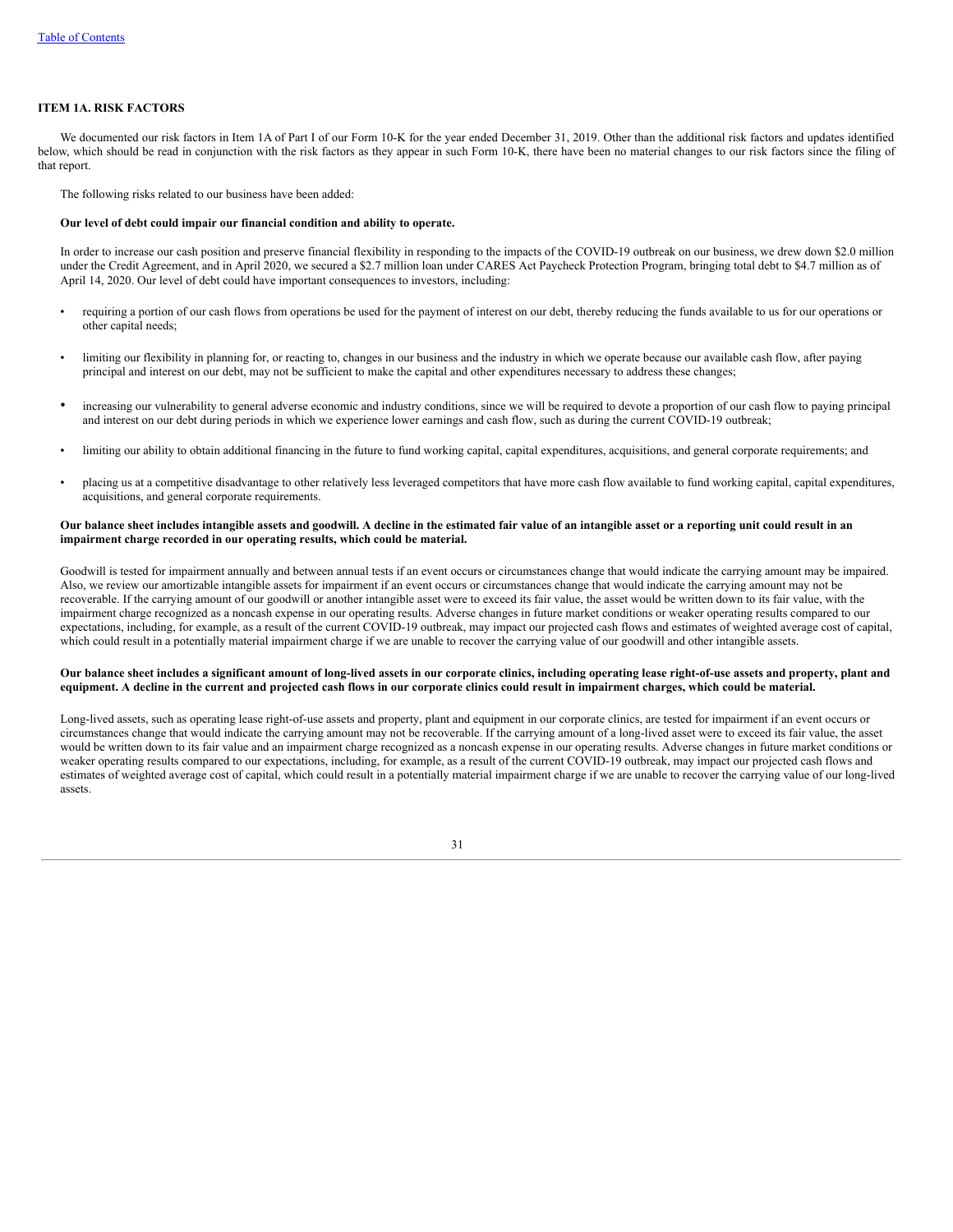# **ITEM 1A. RISK FACTORS**

We documented our risk factors in Item 1A of Part I of our Form 10-K for the year ended December 31, 2019. Other than the additional risk factors and updates identified below, which should be read in conjunction with the risk factors as they appear in such Form 10-K, there have been no material changes to our risk factors since the filing of that report.

The following risks related to our business have been added:

#### **Our level of debt could impair our financial condition and ability to operate.**

In order to increase our cash position and preserve financial flexibility in responding to the impacts of the COVID-19 outbreak on our business, we drew down \$2.0 million under the Credit Agreement, and in April 2020, we secured a \$2.7 million loan under CARES Act Paycheck Protection Program, bringing total debt to \$4.7 million as of April 14, 2020. Our level of debt could have important consequences to investors, including:

- requiring a portion of our cash flows from operations be used for the payment of interest on our debt, thereby reducing the funds available to us for our operations or other capital needs;
- limiting our flexibility in planning for, or reacting to, changes in our business and the industry in which we operate because our available cash flow, after paying principal and interest on our debt, may not be sufficient to make the capital and other expenditures necessary to address these changes;
- increasing our vulnerability to general adverse economic and industry conditions, since we will be required to devote a proportion of our cash flow to paying principal and interest on our debt during periods in which we experience lower earnings and cash flow, such as during the current COVID-19 outbreak;
- limiting our ability to obtain additional financing in the future to fund working capital, capital expenditures, acquisitions, and general corporate requirements; and
- placing us at a competitive disadvantage to other relatively less leveraged competitors that have more cash flow available to fund working capital, capital expenditures, acquisitions, and general corporate requirements.

### Our balance sheet includes intangible assets and goodwill. A decline in the estimated fair value of an intangible asset or a reporting unit could result in an **impairment charge recorded in our operating results, which could be material.**

Goodwill is tested for impairment annually and between annual tests if an event occurs or circumstances change that would indicate the carrying amount may be impaired. Also, we review our amortizable intangible assets for impairment if an event occurs or circumstances change that would indicate the carrying amount may not be recoverable. If the carrying amount of our goodwill or another intangible asset were to exceed its fair value, the asset would be written down to its fair value, with the impairment charge recognized as a noncash expense in our operating results. Adverse changes in future market conditions or weaker operating results compared to our expectations, including, for example, as a result of the current COVID-19 outbreak, may impact our projected cash flows and estimates of weighted average cost of capital, which could result in a potentially material impairment charge if we are unable to recover the carrying value of our goodwill and other intangible assets.

## Our balance sheet includes a significant amount of long-lived assets in our corporate clinics, including operating lease right-of-use assets and property, plant and equipment. A decline in the current and projected cash flows in our corporate clinics could result in impairment charges, which could be material.

Long-lived assets, such as operating lease right-of-use assets and property, plant and equipment in our corporate clinics, are tested for impairment if an event occurs or circumstances change that would indicate the carrying amount may not be recoverable. If the carrying amount of a long-lived asset were to exceed its fair value, the asset would be written down to its fair value and an impairment charge recognized as a noncash expense in our operating results. Adverse changes in future market conditions or weaker operating results compared to our expectations, including, for example, as a result of the current COVID-19 outbreak, may impact our projected cash flows and estimates of weighted average cost of capital, which could result in a potentially material impairment charge if we are unable to recover the carrying value of our long-lived assets.

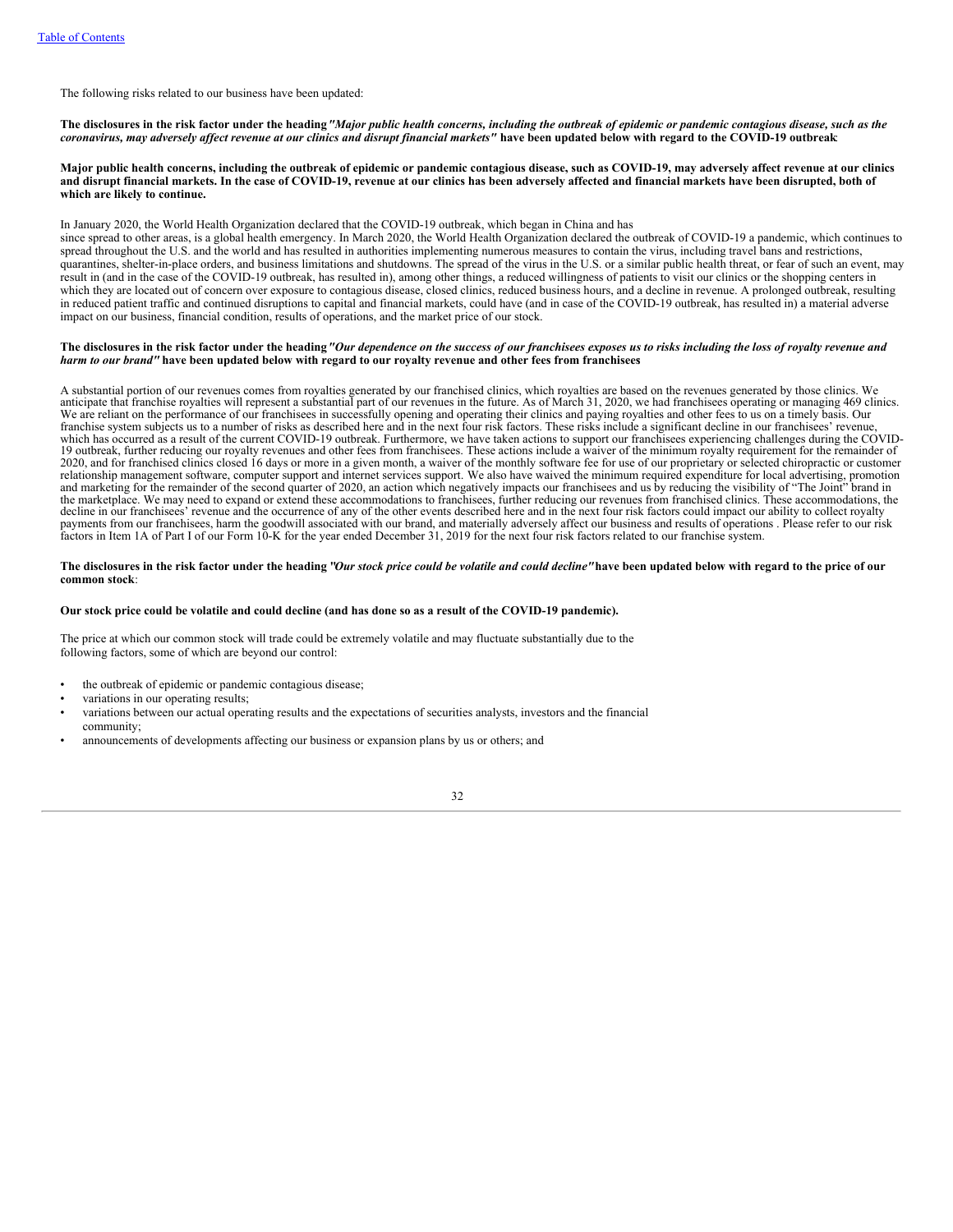The following risks related to our business have been updated:

## The disclosures in the risk factor under the heading "Major public health concerns, including the outbreak of epidemic or pandemic contagious disease, such as the coronavirus, may adversely affect revenue at our clinics and disrupt financial markets" have been updated below with regard to the COVID-19 outbreak

Major public health concerns, including the outbreak of epidemic or pandemic contagious disease, such as COVID-19, may adversely affect revenue at our clinics and disrupt financial markets. In the case of COVID-19, revenue at our clinics has been adversely affected and financial markets have been disrupted, both of **which are likely to continue.**

In January 2020, the World Health Organization declared that the COVID-19 outbreak, which began in China and has

since spread to other areas, is a global health emergency. In March 2020, the World Health Organization declared the outbreak of COVID-19 a pandemic, which continues to spread throughout the U.S. and the world and has resulted in authorities implementing numerous measures to contain the virus, including travel bans and restrictions, quarantines, shelter-in-place orders, and business limitations and shutdowns. The spread of the virus in the U.S. or a similar public health threat, or fear of such an event, may result in (and in the case of the COVID-19 outbreak, has resulted in), among other things, a reduced willingness of patients to visit our clinics or the shopping centers in which they are located out of concern over exposure to contagious disease, closed clinics, reduced business hours, and a decline in revenue. A prolonged outbreak, resulting in reduced patient traffic and continued disruptions to capital and financial markets, could have (and in case of the COVID-19 outbreak, has resulted in) a material adverse impact on our business, financial condition, results of operations, and the market price of our stock.

#### The disclosures in the risk factor under the heading "Our dependence on the success of our franchisees exposes us to risks including the loss of royalty revenue and harm to our brand" have been updated below with regard to our royalty revenue and other fees from franchisees

A substantial portion of our revenues comes from royalties generated by our franchised clinics, which royalties are based on the revenues generated by those clinics. We anticipate that franchise royalties will represent a substantial part of our revenues in the future. As of March 31, 2020, we had franchisees operating or managing 469 clinics.<br>We are reliant on the performance of our fran franchise system subjects us to a number of risks as described here and in the next four risk factors. These risks include a significant decline in our franchisees' revenue, which has occurred as a result of the current COVID-19 outbreak. Furthermore, we have taken actions to support our franchisees experiencing challenges during the COVID-19 outbreak, further reducing our royalty revenues and other fees from franchisees. These actions include a waiver of the minimum royalty requirement for the remainder of 2020, and for franchised clinics closed 16 days or more in a given month, a waiver of the monthly software fee for use of our proprietary or selected chiropractic or customer relationship management software, computer support and internet services support. We also have waived the minimum required expenditure for local advertising, promotion<br>and marketing for the remainder of the second quarter the marketplace. We may need to expand or extend these accommodations to franchisees, further reducing our revenues from franchised clinics. These accommodations, the decline in our franchisees' revenue and the occurrence of any of the other events described here and in the next four risk factors could impact our ability to collect royalty payments from our franchisees, harm the goodwill associated with our brand, and materially adversely affect our business and results of operations . Please refer to our risk factors in Item 1A of Part I of our Form 10-K for the year ended December 31, 2019 for the next four risk factors related to our franchise system.

## The disclosures in the risk factor under the heading "Our stock price could be volatile and could decline" have been updated below with regard to the price of our **common stock**:

#### Our stock price could be volatile and could decline (and has done so as a result of the COVID-19 pandemic).

The price at which our common stock will trade could be extremely volatile and may fluctuate substantially due to the following factors, some of which are beyond our control:

- the outbreak of epidemic or pandemic contagious disease;
- variations in our operating results;
- variations between our actual operating results and the expectations of securities analysts, investors and the financial community;
- announcements of developments affecting our business or expansion plans by us or others; and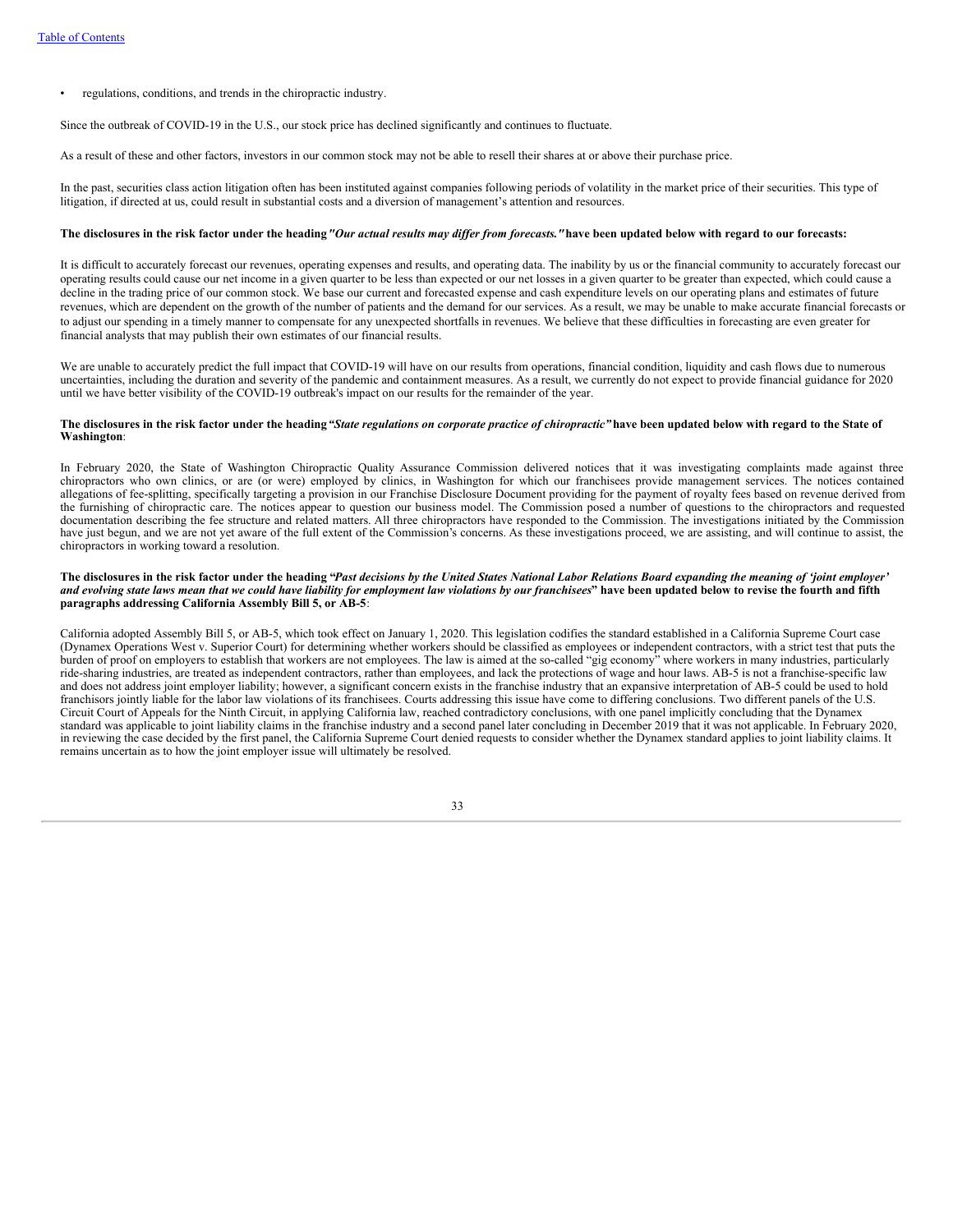• regulations, conditions, and trends in the chiropractic industry.

Since the outbreak of COVID-19 in the U.S., our stock price has declined significantly and continues to fluctuate.

As a result of these and other factors, investors in our common stock may not be able to resell their shares at or above their purchase price.

In the past, securities class action litigation often has been instituted against companies following periods of volatility in the market price of their securities. This type of litigation, if directed at us, could result in substantial costs and a diversion of management's attention and resources.

## The disclosures in the risk factor under the heading "Our actual results may differ from forecasts." have been updated below with regard to our forecasts:

It is difficult to accurately forecast our revenues, operating expenses and results, and operating data. The inability by us or the financial community to accurately forecast our operating results could cause our net income in a given quarter to be less than expected or our net losses in a given quarter to be greater than expected, which could cause a decline in the trading price of our common stock. We base our current and forecasted expense and cash expenditure levels on our operating plans and estimates of future revenues, which are dependent on the growth of the number of patients and the demand for our services. As a result, we may be unable to make accurate financial forecasts or to adjust our spending in a timely manner to compensate for any unexpected shortfalls in revenues. We believe that these difficulties in forecasting are even greater for financial analysts that may publish their own estimates of our financial results.

We are unable to accurately predict the full impact that COVID-19 will have on our results from operations, financial condition, liquidity and cash flows due to numerous uncertainties, including the duration and severity of the pandemic and containment measures. As a result, we currently do not expect to provide financial guidance for 2020 until we have better visibility of the COVID-19 outbreak's impact on our results for the remainder of the year.

### The disclosures in the risk factor under the heading "State regulations on corporate practice of chiropractic" have been updated below with regard to the State of **Washington**:

In February 2020, the State of Washington Chiropractic Quality Assurance Commission delivered notices that it was investigating complaints made against three chiropractors who own clinics, or are (or were) employed by clinics, in Washington for which our franchisees provide management services. The notices contained allegations of fee-splitting, specifically targeting a provision in our Franchise Disclosure Document providing for the payment of royalty fees based on revenue derived from the furnishing of chiropractic care. The notices appear to question our business model. The Commission posed a number of questions to the chiropractors and requested documentation describing the fee structure and related matters. All three chiropractors have responded to the Commission. The investigations initiated by the Commission have just begun, and we are not yet aware of the full extent of the Commission's concerns. As these investigations proceed, we are assisting, and will continue to assist, the chiropractors in working toward a resolution.

#### The disclosures in the risk factor under the heading "Past decisions by the United States National Labor Relations Board expanding the meaning of 'joint employer' and evolving state laws mean that we could have liability for employment law violations by our franchisees" have been updated below to revise the fourth and fifth **paragraphs addressing California Assembly Bill 5, or AB-5**:

California adopted Assembly Bill 5, or AB-5, which took effect on January 1, 2020. This legislation codifies the standard established in a California Supreme Court case (Dynamex Operations West v. Superior Court) for determining whether workers should be classified as employees or independent contractors, with a strict test that puts the burden of proof on employers to establish that workers are not employees. The law is aimed at the so-called "gig economy" where workers in many industries, particularly ride-sharing industries, are treated as independent contractors, rather than employees, and lack the protections of wage and hour laws. AB-5 is not a franchise-specific law and does not address joint employer liability; however, a significant concern exists in the franchise industry that an expansive interpretation of AB-5 could be used to hold franchisors jointly liable for the labor law violations of its franchisees. Courts addressing this issue have come to differing conclusions. Two different panels of the U.S. Circuit Court of Appeals for the Ninth Circuit, in applying California law, reached contradictory conclusions, with one panel implicitly concluding that the Dynamex standard was applicable to joint liability claims in the franchise industry and a second panel later concluding in December 2019 that it was not applicable. In February 2020, in reviewing the case decided by the first panel, the California Supreme Court denied requests to consider whether the Dynamex standard applies to joint liability claims. It remains uncertain as to how the joint employer issue will ultimately be resolved.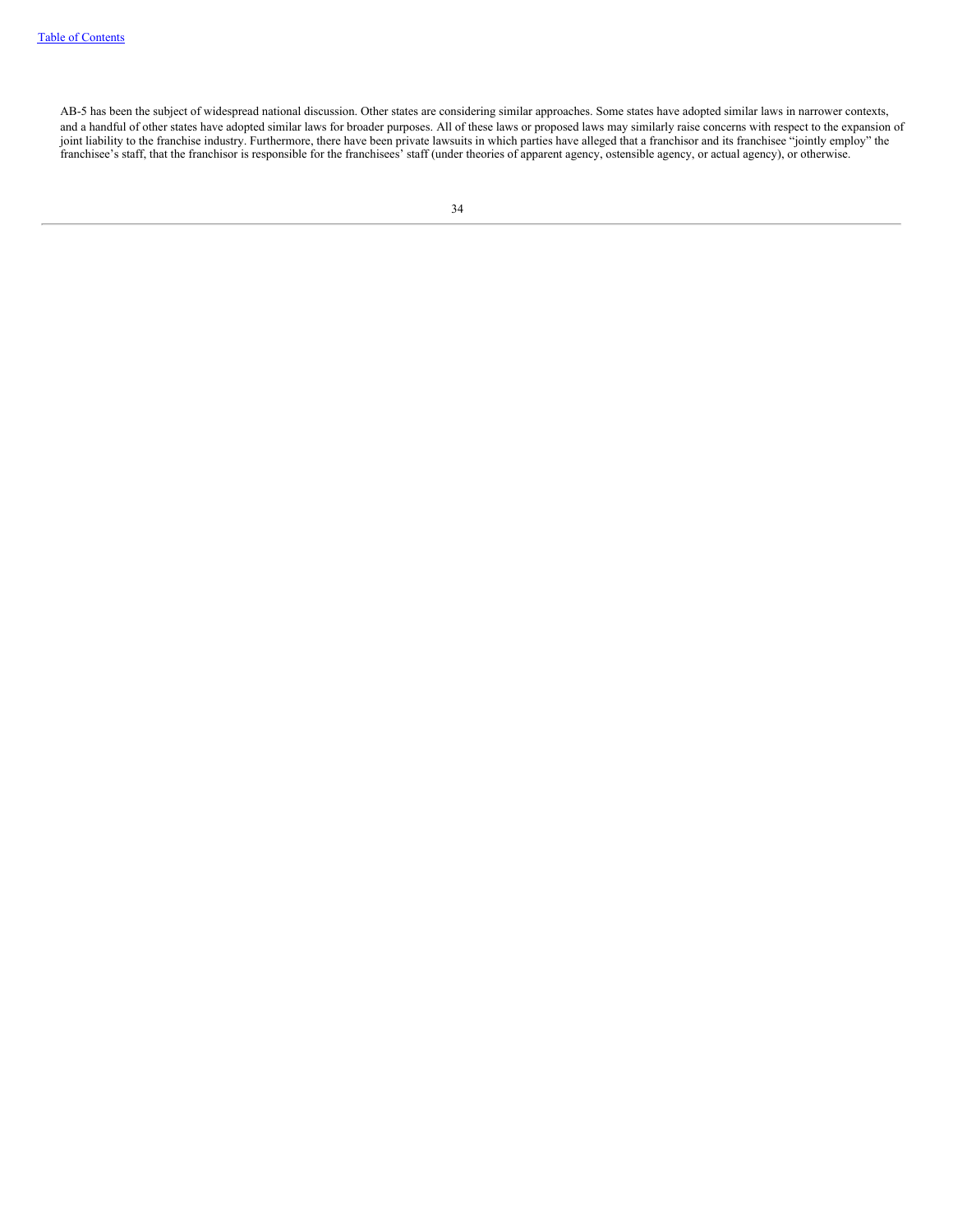<span id="page-36-0"></span>AB-5 has been the subject of widespread national discussion. Other states are considering similar approaches. Some states have adopted similar laws in narrower contexts, and a handful of other states have adopted similar laws for broader purposes. All of these laws or proposed laws may similarly raise concerns with respect to the expansion of joint liability to the franchise industry. Furthermore, there have been private lawsuits in which parties have alleged that a franchisor and its franchisee "jointly employ" the franchisee's staff, that the franchisor is responsible for the franchisees' staff (under theories of apparent agency, ostensible agency, or actual agency), or otherwise.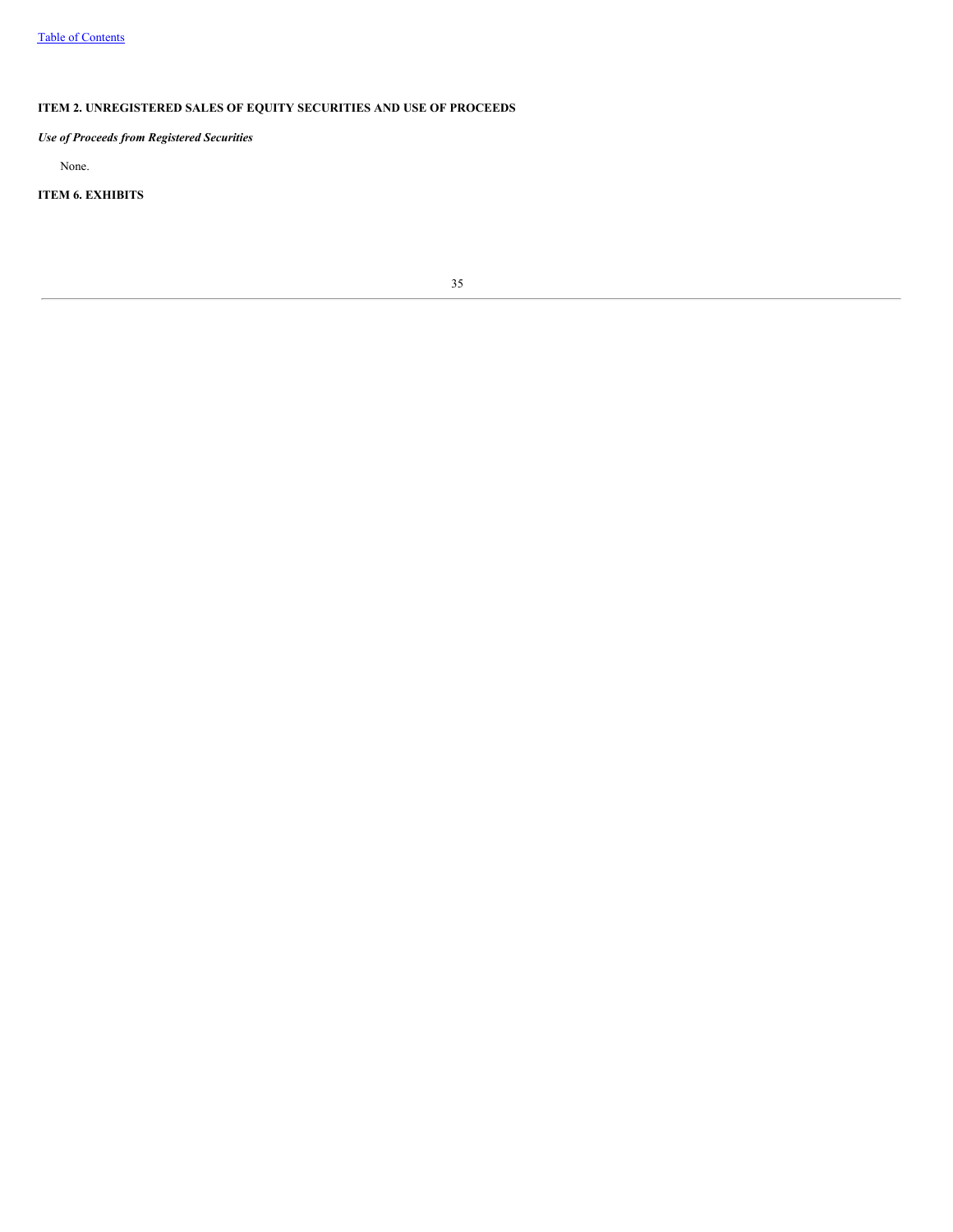# **ITEM 2. UNREGISTERED SALES OF EQUITY SECURITIES AND USE OF PROCEEDS**

# *Use of Proceeds from Registered Securities*

None.

# <span id="page-37-1"></span><span id="page-37-0"></span>**ITEM 6. EXHIBITS**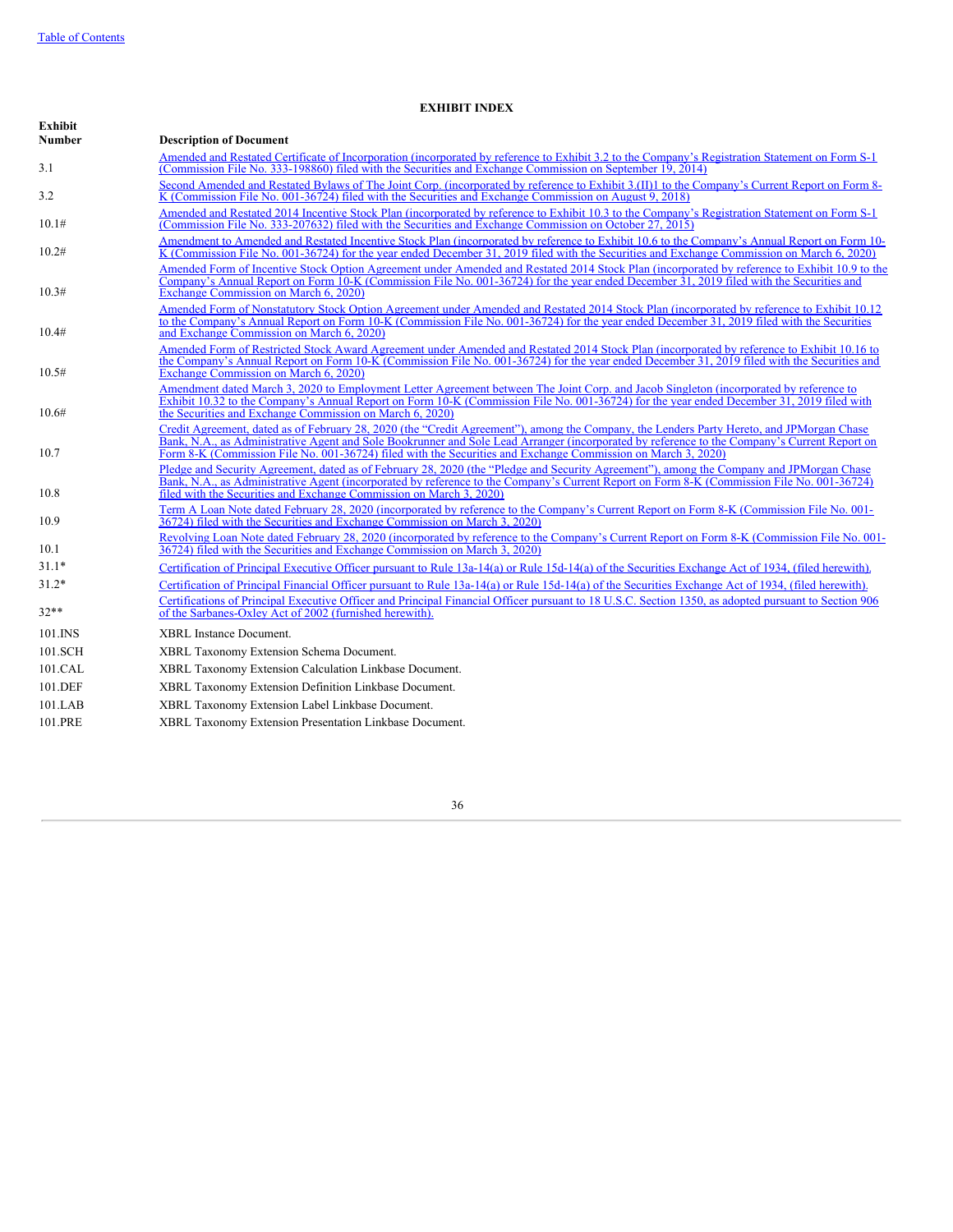# **EXHIBIT INDEX**

| <b>Exhibit</b><br><b>Number</b> | <b>Description of Document</b>                                                                                                                                                                                                                                                                                                                                                                            |
|---------------------------------|-----------------------------------------------------------------------------------------------------------------------------------------------------------------------------------------------------------------------------------------------------------------------------------------------------------------------------------------------------------------------------------------------------------|
| 3.1                             | Amended and Restated Certificate of Incorporation (incorporated by reference to Exhibit 3.2 to the Company's Registration Statement on Form S-1<br>(Commission File No. 333-198860) filed with the Securities and Exchange Commission on September 19, 2014)                                                                                                                                              |
| 3.2                             | Second Amended and Restated Bylaws of The Joint Corp. (incorporated by reference to Exhibit 3.(II)1 to the Company's Current Report on Form 8-<br>K (Commission File No. 001-36724) filed with the Securities and Exchange Commission on August 9, 2018)                                                                                                                                                  |
| 10.1#                           | Amended and Restated 2014 Incentive Stock Plan (incorporated by reference to Exhibit 10.3 to the Company's Registration Statement on Form S-1<br>(Commission File No. 333-207632) filed with the Securities and Exchange Commission on October 27, $\overline{2015}$ )                                                                                                                                    |
| 10.2#                           | Amendment to Amended and Restated Incentive Stock Plan (incorporated by reference to Exhibit 10.6 to the Company's Annual Report on Form 10-<br>K (Commission File No. 001-36724) for the year ended December 31, 2019 filed with the Securities and Exchange Commission on March 6, 2020)                                                                                                                |
| 10.3#                           | Amended Form of Incentive Stock Option Agreement under Amended and Restated 2014 Stock Plan (incorporated by reference to Exhibit 10.9 to the<br>Company's Annual Report on Form 10-K (Commission File No. 001-36724) for the year ended December 31, 2019 filed with the Securities and<br>Exchange Commission on March 6, 2020)                                                                         |
| 10.4#                           | Amended Form of Nonstatutory Stock Option Agreement under Amended and Restated 2014 Stock Plan (incorporated by reference to Exhibit 10.12<br>to the Company's Annual Report on Form 10-K (Commission File No. 001-36724) for the year ended December 31, 2019 filed with the Securities<br>and Exchange Commission on March 6, 2020)                                                                     |
| 10.5#                           | Amended Form of Restricted Stock Award Agreement under Amended and Restated 2014 Stock Plan (incorporated by reference to Exhibit 10.16 to<br>the Company's Annual Report on Form 10-K (Commission File No. 001-36724) for the year ended December 31, 2019 filed with the Securities and<br>Exchange Commission on March 6, 2020)                                                                        |
| 10.6#                           | Amendment dated March 3, 2020 to Employment Letter Agreement between The Joint Corp. and Jacob Singleton (incorporated by reference to<br>Exhibit 10.32 to the Company's Annual Report on Form 10-K (Commission File No. 001-36724) for the year ended December 31, 2019 filed with<br>the Securities and Exchange Commission on March 6, 2020)                                                           |
| 10.7                            | Credit Agreement, dated as of February 28, 2020 (the "Credit Agreement"), among the Company, the Lenders Party Hereto, and JPMorgan Chase<br>Bank, N.A., as Administrative Agent and Sole Bookrunner and Sole Lead Arranger (incorporated by reference to the Company's Current Report on<br>Form 8-K (Commission File No. 001-36724) filed with the Securities and Exchange Commission on March 3, 2020) |
| 10.8                            | Pledge and Security Agreement, dated as of February 28, 2020 (the "Pledge and Security Agreement"), among the Company and JPMorgan Chase<br>Bank, N.A., as Administrative Agent (incorporated by reference to the Company's Current Report on Form 8-K (Commission File No. 001-36724)<br>filed with the Securities and Exchange Commission on March 3, 2020)                                             |
| 10.9                            | Term A Loan Note dated February 28, 2020 (incorporated by reference to the Company's Current Report on Form 8-K (Commission File No. 001-<br>36724) filed with the Securities and Exchange Commission on March 3, 2020)                                                                                                                                                                                   |
| 10.1                            | Revolving Loan Note dated February 28, 2020 (incorporated by reference to the Company's Current Report on Form 8-K (Commission File No. 001-<br>36724) filed with the Securities and Exchange Commission on March 3, 2020)                                                                                                                                                                                |
| $31.1*$                         | Certification of Principal Executive Officer pursuant to Rule 13a-14(a) or Rule 15d-14(a) of the Securities Exchange Act of 1934, (filed herewith).                                                                                                                                                                                                                                                       |
| $31.2*$                         | Certification of Principal Financial Officer pursuant to Rule 13a-14(a) or Rule 15d-14(a) of the Securities Exchange Act of 1934, (filed herewith).                                                                                                                                                                                                                                                       |
| $32**$                          | Certifications of Principal Executive Officer and Principal Financial Officer pursuant to 18 U.S.C. Section 1350, as adopted pursuant to Section 906<br>of the Sarbanes-Oxley Act of 2002 (furnished herewith).                                                                                                                                                                                           |
| 101.INS                         | XBRL Instance Document.                                                                                                                                                                                                                                                                                                                                                                                   |
| 101.SCH                         | XBRL Taxonomy Extension Schema Document.                                                                                                                                                                                                                                                                                                                                                                  |
| 101.CAL                         | XBRL Taxonomy Extension Calculation Linkbase Document.                                                                                                                                                                                                                                                                                                                                                    |
| 101.DEF                         | XBRL Taxonomy Extension Definition Linkbase Document.                                                                                                                                                                                                                                                                                                                                                     |
| 101.LAB                         | XBRL Taxonomy Extension Label Linkbase Document.                                                                                                                                                                                                                                                                                                                                                          |
| 101.PRE                         | XBRL Taxonomy Extension Presentation Linkbase Document.                                                                                                                                                                                                                                                                                                                                                   |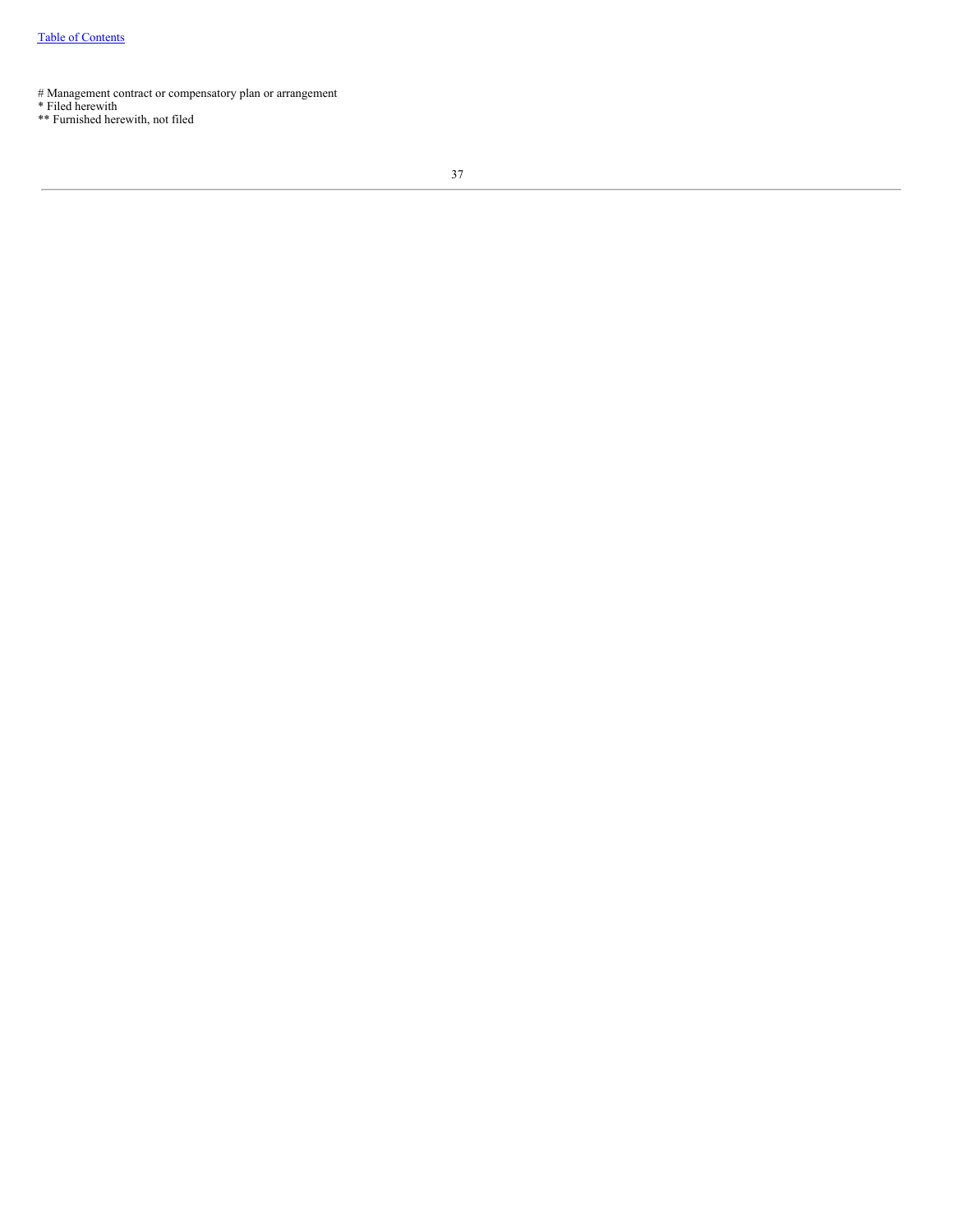- # Management contract or compensatory plan or arrangement
- \* Filed herewith
- <span id="page-39-0"></span>\*\* Furnished herewith, not filed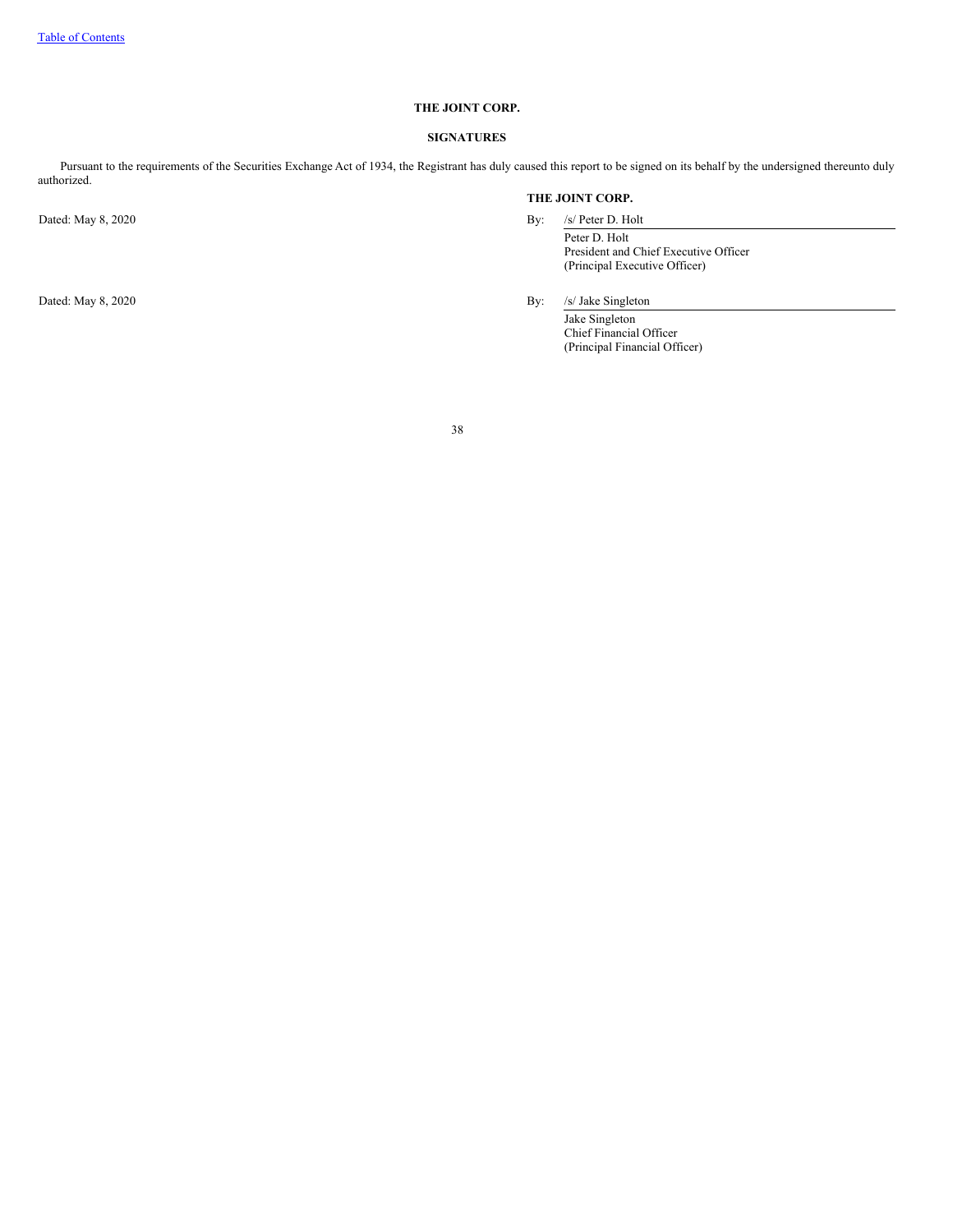## **THE JOINT CORP.**

# **SIGNATURES**

Pursuant to the requirements of the Securities Exchange Act of 1934, the Registrant has duly caused this report to be signed on its behalf by the undersigned thereunto duly authorized.

Dated: May 8, 2020 By: /s/ Peter D. Holt

**THE JOINT CORP.**

Peter D. Holt President and Chief Executive Officer (Principal Executive Officer)

Dated: May 8, 2020 By: /s/ Jake Singleton

Jake Singleton Chief Financial Officer (Principal Financial Officer)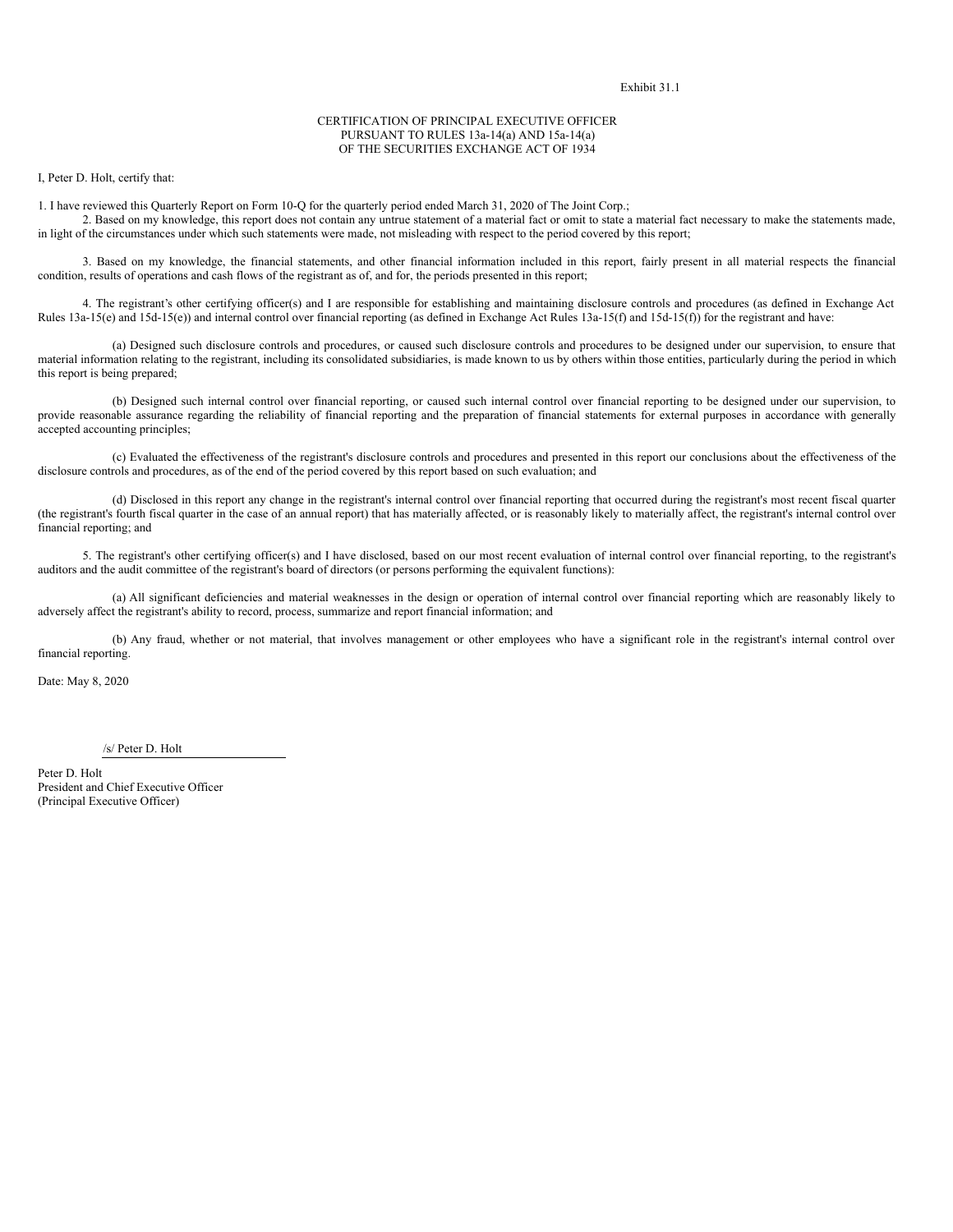## CERTIFICATION OF PRINCIPAL EXECUTIVE OFFICER PURSUANT TO RULES 13a-14(a) AND 15a-14(a) OF THE SECURITIES EXCHANGE ACT OF 1934

# <span id="page-41-0"></span>I, Peter D. Holt, certify that:

1. I have reviewed this Quarterly Report on Form 10-Q for the quarterly period ended March 31, 2020 of The Joint Corp.;

2. Based on my knowledge, this report does not contain any untrue statement of a material fact or omit to state a material fact necessary to make the statements made, in light of the circumstances under which such statements were made, not misleading with respect to the period covered by this report;

3. Based on my knowledge, the financial statements, and other financial information included in this report, fairly present in all material respects the financial condition, results of operations and cash flows of the registrant as of, and for, the periods presented in this report;

4. The registrant's other certifying officer(s) and I are responsible for establishing and maintaining disclosure controls and procedures (as defined in Exchange Act Rules 13a-15(e) and 15d-15(e)) and internal control over financial reporting (as defined in Exchange Act Rules 13a-15(f) and 15d-15(f)) for the registrant and have:

(a) Designed such disclosure controls and procedures, or caused such disclosure controls and procedures to be designed under our supervision, to ensure that material information relating to the registrant, including its consolidated subsidiaries, is made known to us by others within those entities, particularly during the period in which this report is being prepared;

(b) Designed such internal control over financial reporting, or caused such internal control over financial reporting to be designed under our supervision, to provide reasonable assurance regarding the reliability of financial reporting and the preparation of financial statements for external purposes in accordance with generally accepted accounting principles;

(c) Evaluated the effectiveness of the registrant's disclosure controls and procedures and presented in this report our conclusions about the effectiveness of the disclosure controls and procedures, as of the end of the period covered by this report based on such evaluation; and

(d) Disclosed in this report any change in the registrant's internal control over financial reporting that occurred during the registrant's most recent fiscal quarter (the registrant's fourth fiscal quarter in the case of an annual report) that has materially affected, or is reasonably likely to materially affect, the registrant's internal control over financial reporting; and

5. The registrant's other certifying officer(s) and I have disclosed, based on our most recent evaluation of internal control over financial reporting, to the registrant's auditors and the audit committee of the registrant's board of directors (or persons performing the equivalent functions):

(a) All significant deficiencies and material weaknesses in the design or operation of internal control over financial reporting which are reasonably likely to adversely affect the registrant's ability to record, process, summarize and report financial information; and

(b) Any fraud, whether or not material, that involves management or other employees who have a significant role in the registrant's internal control over financial reporting.

Date: May 8, 2020

/s/ Peter D. Holt

Peter D. Holt President and Chief Executive Officer (Principal Executive Officer)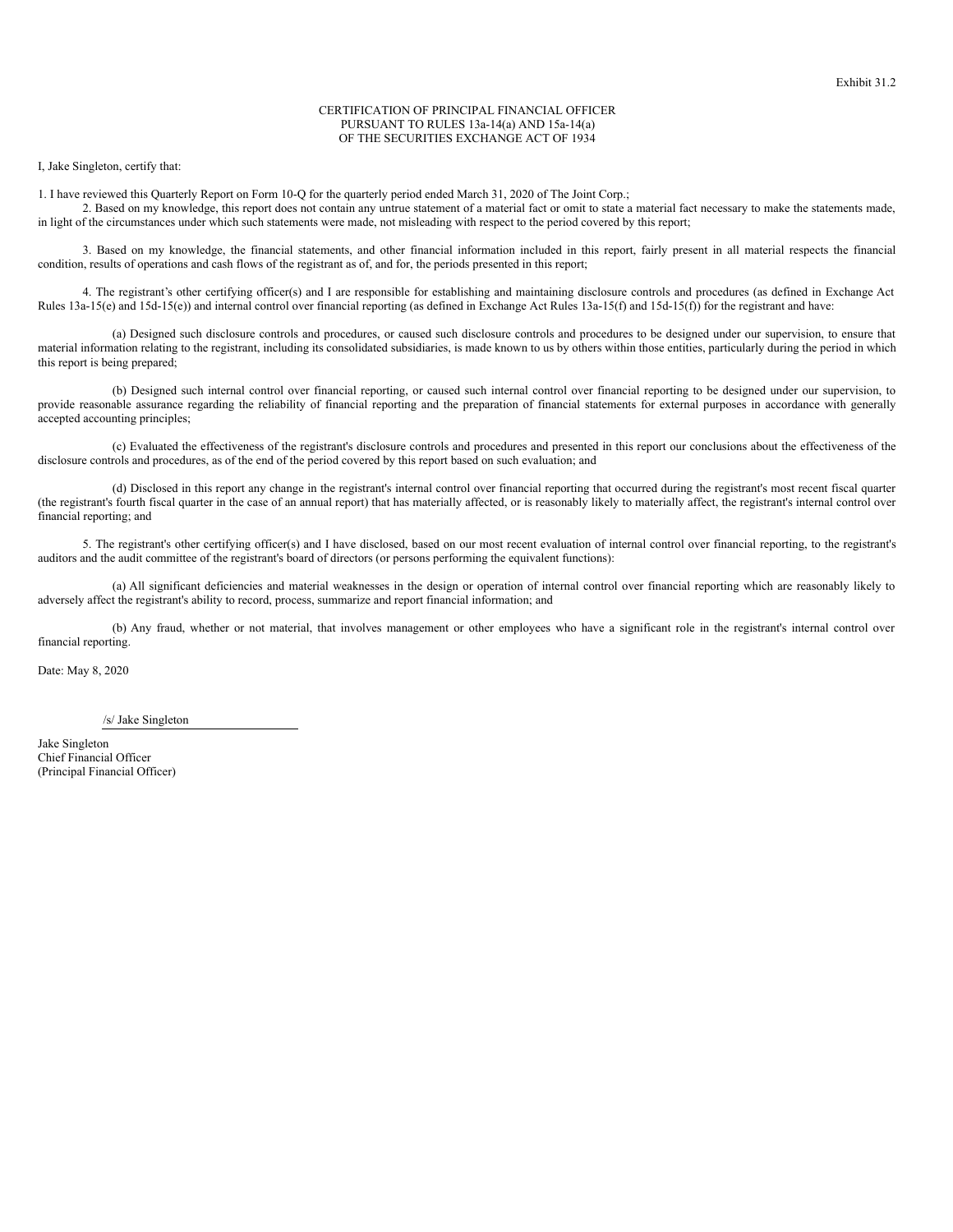## CERTIFICATION OF PRINCIPAL FINANCIAL OFFICER PURSUANT TO RULES 13a-14(a) AND 15a-14(a) OF THE SECURITIES EXCHANGE ACT OF 1934

<span id="page-42-0"></span>I, Jake Singleton, certify that:

1. I have reviewed this Quarterly Report on Form 10-Q for the quarterly period ended March 31, 2020 of The Joint Corp.;

2. Based on my knowledge, this report does not contain any untrue statement of a material fact or omit to state a material fact necessary to make the statements made, in light of the circumstances under which such statements were made, not misleading with respect to the period covered by this report;

3. Based on my knowledge, the financial statements, and other financial information included in this report, fairly present in all material respects the financial condition, results of operations and cash flows of the registrant as of, and for, the periods presented in this report;

4. The registrant's other certifying officer(s) and I are responsible for establishing and maintaining disclosure controls and procedures (as defined in Exchange Act Rules 13a-15(e) and 15d-15(e)) and internal control over financial reporting (as defined in Exchange Act Rules 13a-15(f) and 15d-15(f)) for the registrant and have:

(a) Designed such disclosure controls and procedures, or caused such disclosure controls and procedures to be designed under our supervision, to ensure that material information relating to the registrant, including its consolidated subsidiaries, is made known to us by others within those entities, particularly during the period in which this report is being prepared;

(b) Designed such internal control over financial reporting, or caused such internal control over financial reporting to be designed under our supervision, to provide reasonable assurance regarding the reliability of financial reporting and the preparation of financial statements for external purposes in accordance with generally accepted accounting principles;

(c) Evaluated the effectiveness of the registrant's disclosure controls and procedures and presented in this report our conclusions about the effectiveness of the disclosure controls and procedures, as of the end of the period covered by this report based on such evaluation; and

(d) Disclosed in this report any change in the registrant's internal control over financial reporting that occurred during the registrant's most recent fiscal quarter (the registrant's fourth fiscal quarter in the case of an annual report) that has materially affected, or is reasonably likely to materially affect, the registrant's internal control over financial reporting; and

5. The registrant's other certifying officer(s) and I have disclosed, based on our most recent evaluation of internal control over financial reporting, to the registrant's auditors and the audit committee of the registrant's board of directors (or persons performing the equivalent functions):

(a) All significant deficiencies and material weaknesses in the design or operation of internal control over financial reporting which are reasonably likely to adversely affect the registrant's ability to record, process, summarize and report financial information; and

(b) Any fraud, whether or not material, that involves management or other employees who have a significant role in the registrant's internal control over financial reporting.

Date: May 8, 2020

/s/ Jake Singleton

Jake Singleton Chief Financial Officer (Principal Financial Officer)